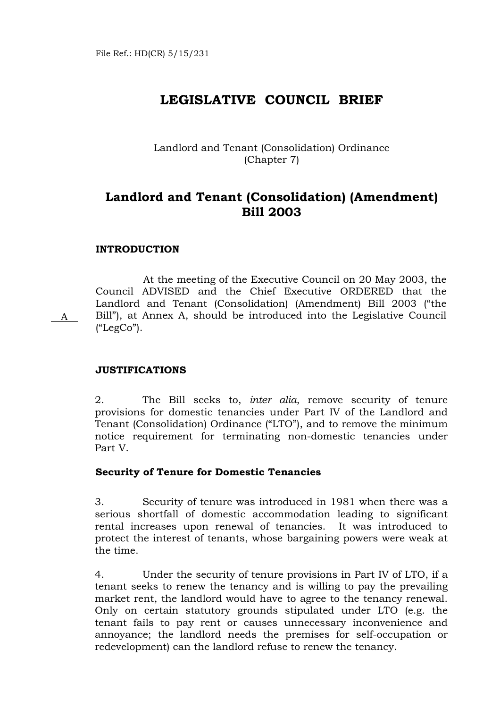# **LEGISLATIVE COUNCIL BRIEF**

Landlord and Tenant (Consolidation) Ordinance (Chapter 7)

# **Landlord and Tenant (Consolidation) (Amendment) Bill 2003**

# **INTRODUCTION**

 At the meeting of the Executive Council on 20 May 2003, the Council ADVISED and the Chief Executive ORDERED that the Landlord and Tenant (Consolidation) (Amendment) Bill 2003 ("the Bill"), at Annex A, should be introduced into the Legislative Council ("LegCo").

# **JUSTIFICATIONS**

A

2. The Bill seeks to, *inter alia*, remove security of tenure provisions for domestic tenancies under Part IV of the Landlord and Tenant (Consolidation) Ordinance ("LTO"), and to remove the minimum notice requirement for terminating non-domestic tenancies under Part V.

## **Security of Tenure for Domestic Tenancies**

3. Security of tenure was introduced in 1981 when there was a serious shortfall of domestic accommodation leading to significant rental increases upon renewal of tenancies. It was introduced to protect the interest of tenants, whose bargaining powers were weak at the time.

4. Under the security of tenure provisions in Part IV of LTO, if a tenant seeks to renew the tenancy and is willing to pay the prevailing market rent, the landlord would have to agree to the tenancy renewal. Only on certain statutory grounds stipulated under LTO (e.g. the tenant fails to pay rent or causes unnecessary inconvenience and annoyance; the landlord needs the premises for self-occupation or redevelopment) can the landlord refuse to renew the tenancy.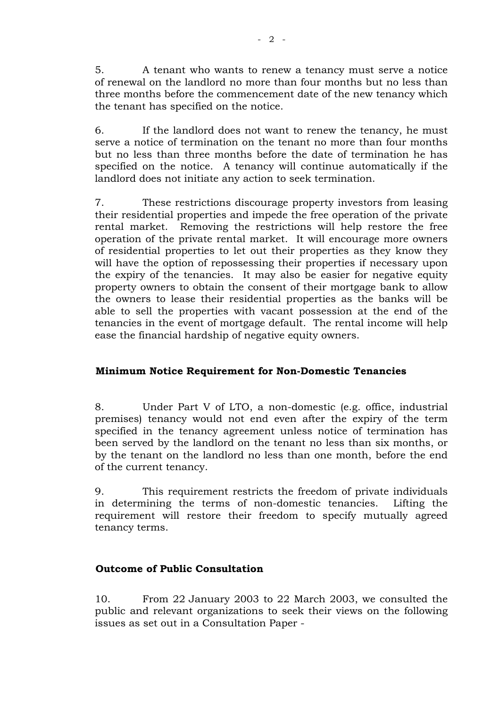5. A tenant who wants to renew a tenancy must serve a notice of renewal on the landlord no more than four months but no less than three months before the commencement date of the new tenancy which the tenant has specified on the notice.

6. If the landlord does not want to renew the tenancy, he must serve a notice of termination on the tenant no more than four months but no less than three months before the date of termination he has specified on the notice. A tenancy will continue automatically if the landlord does not initiate any action to seek termination.

7. These restrictions discourage property investors from leasing their residential properties and impede the free operation of the private rental market. Removing the restrictions will help restore the free operation of the private rental market. It will encourage more owners of residential properties to let out their properties as they know they will have the option of repossessing their properties if necessary upon the expiry of the tenancies. It may also be easier for negative equity property owners to obtain the consent of their mortgage bank to allow the owners to lease their residential properties as the banks will be able to sell the properties with vacant possession at the end of the tenancies in the event of mortgage default. The rental income will help ease the financial hardship of negative equity owners.

# **Minimum Notice Requirement for Non-Domestic Tenancies**

8. Under Part V of LTO, a non-domestic (e.g. office, industrial premises) tenancy would not end even after the expiry of the term specified in the tenancy agreement unless notice of termination has been served by the landlord on the tenant no less than six months, or by the tenant on the landlord no less than one month, before the end of the current tenancy.

9. This requirement restricts the freedom of private individuals in determining the terms of non-domestic tenancies. Lifting the requirement will restore their freedom to specify mutually agreed tenancy terms.

# **Outcome of Public Consultation**

10. From 22 January 2003 to 22 March 2003, we consulted the public and relevant organizations to seek their views on the following issues as set out in a Consultation Paper -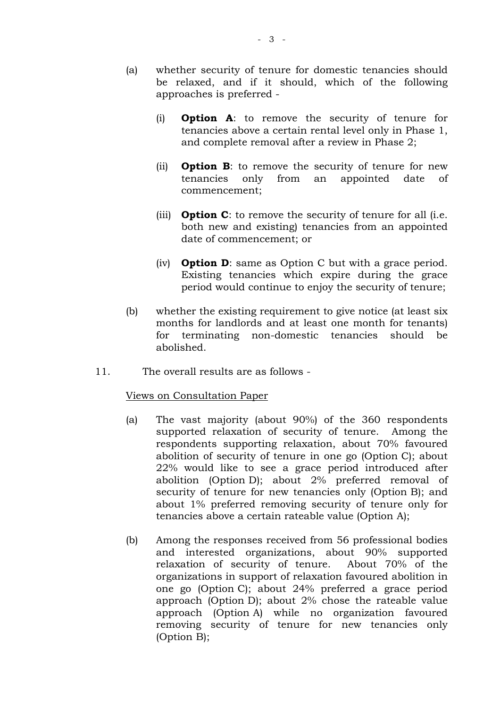- (a) whether security of tenure for domestic tenancies should be relaxed, and if it should, which of the following approaches is preferred -
	- (i) **Option A**: to remove the security of tenure for tenancies above a certain rental level only in Phase 1, and complete removal after a review in Phase 2;
	- (ii) **Option B**: to remove the security of tenure for new tenancies only from an appointed date of commencement;
	- (iii) **Option C**: to remove the security of tenure for all (i.e. both new and existing) tenancies from an appointed date of commencement; or
	- (iv) **Option D**: same as Option C but with a grace period. Existing tenancies which expire during the grace period would continue to enjoy the security of tenure;
- (b) whether the existing requirement to give notice (at least six months for landlords and at least one month for tenants) for terminating non-domestic tenancies should be abolished.
- 11. The overall results are as follows -

# Views on Consultation Paper

- (a) The vast majority (about 90%) of the 360 respondents supported relaxation of security of tenure. Among the respondents supporting relaxation, about 70% favoured abolition of security of tenure in one go (Option C); about 22% would like to see a grace period introduced after abolition (Option D); about 2% preferred removal of security of tenure for new tenancies only (Option B); and about 1% preferred removing security of tenure only for tenancies above a certain rateable value (Option A);
- (b) Among the responses received from 56 professional bodies and interested organizations, about 90% supported relaxation of security of tenure. About 70% of the organizations in support of relaxation favoured abolition in one go (Option C); about 24% preferred a grace period approach (Option D); about 2% chose the rateable value approach (Option A) while no organization favoured removing security of tenure for new tenancies only (Option B);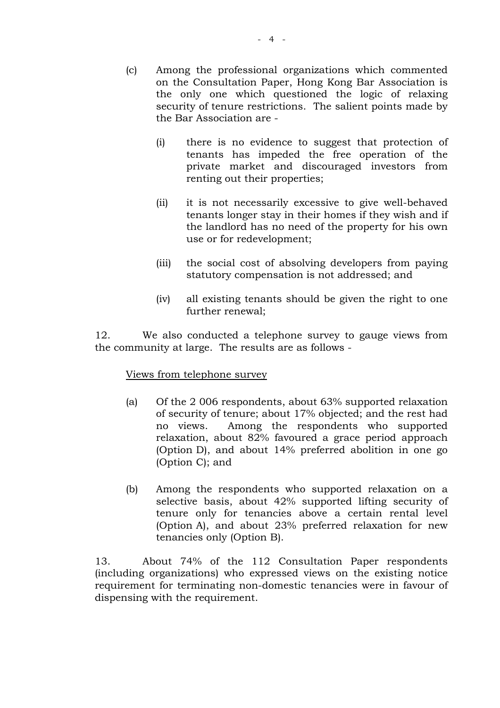- (c) Among the professional organizations which commented on the Consultation Paper, Hong Kong Bar Association is the only one which questioned the logic of relaxing security of tenure restrictions. The salient points made by the Bar Association are -
	- (i) there is no evidence to suggest that protection of tenants has impeded the free operation of the private market and discouraged investors from renting out their properties;
	- (ii) it is not necessarily excessive to give well-behaved tenants longer stay in their homes if they wish and if the landlord has no need of the property for his own use or for redevelopment;
	- (iii) the social cost of absolving developers from paying statutory compensation is not addressed; and
	- (iv) all existing tenants should be given the right to one further renewal;

12. We also conducted a telephone survey to gauge views from the community at large. The results are as follows -

# Views from telephone survey

- (a) Of the 2 006 respondents, about 63% supported relaxation of security of tenure; about 17% objected; and the rest had no views. Among the respondents who supported relaxation, about 82% favoured a grace period approach (Option D), and about 14% preferred abolition in one go (Option C); and
- (b) Among the respondents who supported relaxation on a selective basis, about 42% supported lifting security of tenure only for tenancies above a certain rental level (Option A), and about 23% preferred relaxation for new tenancies only (Option B).

13. About 74% of the 112 Consultation Paper respondents (including organizations) who expressed views on the existing notice requirement for terminating non-domestic tenancies were in favour of dispensing with the requirement.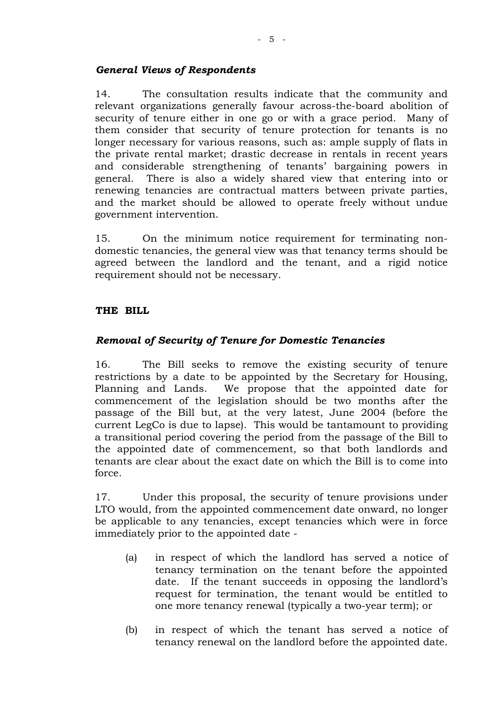# *General Views of Respondents*

14. The consultation results indicate that the community and relevant organizations generally favour across-the-board abolition of security of tenure either in one go or with a grace period. Many of them consider that security of tenure protection for tenants is no longer necessary for various reasons, such as: ample supply of flats in the private rental market; drastic decrease in rentals in recent years and considerable strengthening of tenants' bargaining powers in general. There is also a widely shared view that entering into or renewing tenancies are contractual matters between private parties, and the market should be allowed to operate freely without undue government intervention.

15. On the minimum notice requirement for terminating nondomestic tenancies, the general view was that tenancy terms should be agreed between the landlord and the tenant, and a rigid notice requirement should not be necessary.

# **THE BILL**

# *Removal of Security of Tenure for Domestic Tenancies*

16. The Bill seeks to remove the existing security of tenure restrictions by a date to be appointed by the Secretary for Housing, Planning and Lands. We propose that the appointed date for commencement of the legislation should be two months after the passage of the Bill but, at the very latest, June 2004 (before the current LegCo is due to lapse). This would be tantamount to providing a transitional period covering the period from the passage of the Bill to the appointed date of commencement, so that both landlords and tenants are clear about the exact date on which the Bill is to come into force.

17. Under this proposal, the security of tenure provisions under LTO would, from the appointed commencement date onward, no longer be applicable to any tenancies, except tenancies which were in force immediately prior to the appointed date -

- (a) in respect of which the landlord has served a notice of tenancy termination on the tenant before the appointed date. If the tenant succeeds in opposing the landlord's request for termination, the tenant would be entitled to one more tenancy renewal (typically a two-year term); or
- (b) in respect of which the tenant has served a notice of tenancy renewal on the landlord before the appointed date.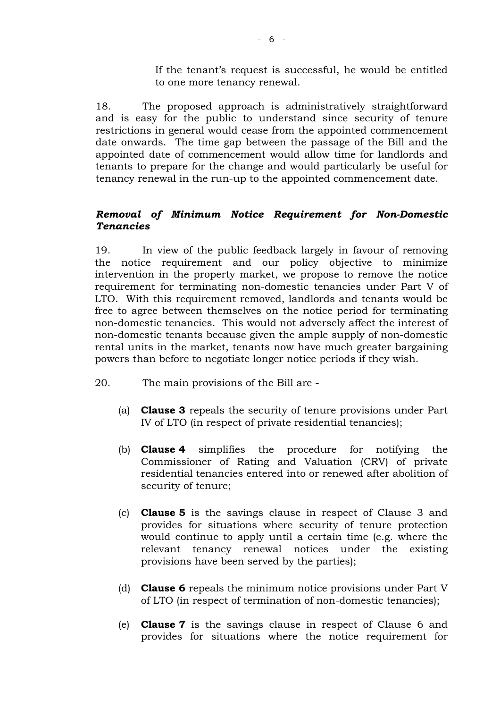If the tenant's request is successful, he would be entitled to one more tenancy renewal.

18. The proposed approach is administratively straightforward and is easy for the public to understand since security of tenure restrictions in general would cease from the appointed commencement date onwards. The time gap between the passage of the Bill and the appointed date of commencement would allow time for landlords and tenants to prepare for the change and would particularly be useful for tenancy renewal in the run-up to the appointed commencement date.

# *Removal of Minimum Notice Requirement for Non-Domestic Tenancies*

19. In view of the public feedback largely in favour of removing the notice requirement and our policy objective to minimize intervention in the property market, we propose to remove the notice requirement for terminating non-domestic tenancies under Part V of LTO. With this requirement removed, landlords and tenants would be free to agree between themselves on the notice period for terminating non-domestic tenancies. This would not adversely affect the interest of non-domestic tenants because given the ample supply of non-domestic rental units in the market, tenants now have much greater bargaining powers than before to negotiate longer notice periods if they wish.

- 20. The main provisions of the Bill are
	- (a) **Clause 3** repeals the security of tenure provisions under Part IV of LTO (in respect of private residential tenancies);
	- (b) **Clause 4** simplifies the procedure for notifying the Commissioner of Rating and Valuation (CRV) of private residential tenancies entered into or renewed after abolition of security of tenure;
	- (c) **Clause 5** is the savings clause in respect of Clause 3 and provides for situations where security of tenure protection would continue to apply until a certain time (e.g. where the relevant tenancy renewal notices under the existing provisions have been served by the parties);
	- (d) **Clause 6** repeals the minimum notice provisions under Part V of LTO (in respect of termination of non-domestic tenancies);
	- (e) **Clause 7** is the savings clause in respect of Clause 6 and provides for situations where the notice requirement for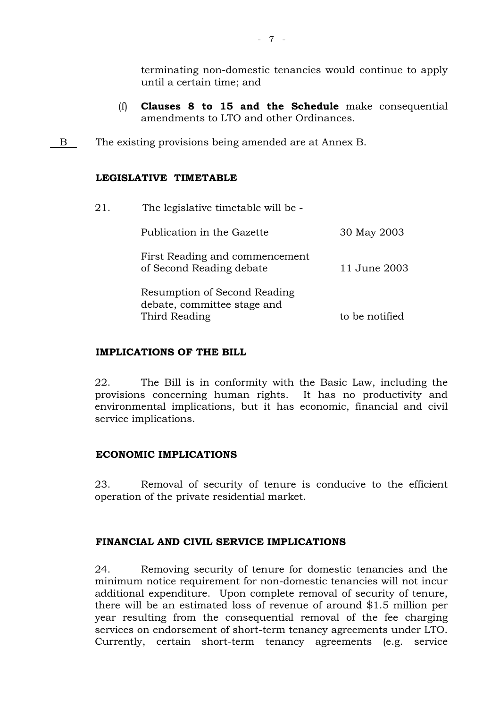terminating non-domestic tenancies would continue to apply until a certain time; and

- (f) **Clauses 8 to 15 and the Schedule** make consequential amendments to LTO and other Ordinances.
- B The existing provisions being amended are at Annex B.

# **LEGISLATIVE TIMETABLE**

| 21. | The legislative timetable will be -                         |                |  |  |  |  |
|-----|-------------------------------------------------------------|----------------|--|--|--|--|
|     | Publication in the Gazette                                  | 30 May 2003    |  |  |  |  |
|     | First Reading and commencement<br>of Second Reading debate  | 11 June 2003   |  |  |  |  |
|     | Resumption of Second Reading<br>debate, committee stage and |                |  |  |  |  |
|     | Third Reading                                               | to be notified |  |  |  |  |
|     |                                                             |                |  |  |  |  |

# **IMPLICATIONS OF THE BILL**

22. The Bill is in conformity with the Basic Law, including the provisions concerning human rights. It has no productivity and environmental implications, but it has economic, financial and civil service implications.

# **ECONOMIC IMPLICATIONS**

23. Removal of security of tenure is conducive to the efficient operation of the private residential market.

# **FINANCIAL AND CIVIL SERVICE IMPLICATIONS**

24. Removing security of tenure for domestic tenancies and the minimum notice requirement for non-domestic tenancies will not incur additional expenditure. Upon complete removal of security of tenure, there will be an estimated loss of revenue of around \$1.5 million per year resulting from the consequential removal of the fee charging services on endorsement of short-term tenancy agreements under LTO. Currently, certain short-term tenancy agreements (e.g. service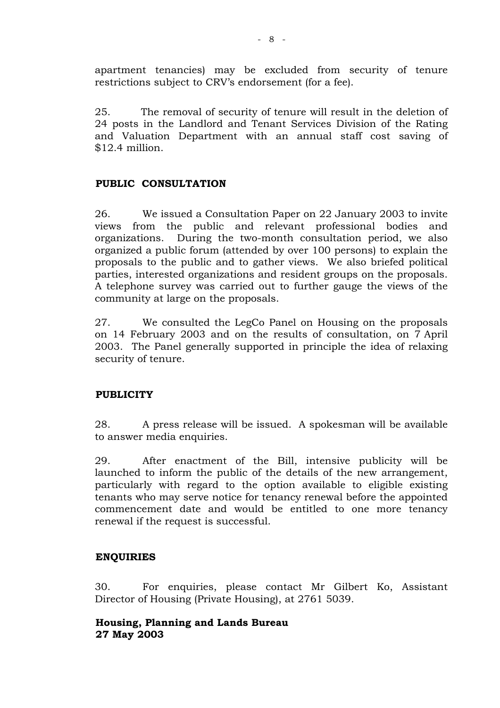apartment tenancies) may be excluded from security of tenure restrictions subject to CRV's endorsement (for a fee).

25. The removal of security of tenure will result in the deletion of 24 posts in the Landlord and Tenant Services Division of the Rating and Valuation Department with an annual staff cost saving of \$12.4 million.

# **PUBLIC CONSULTATION**

26. We issued a Consultation Paper on 22 January 2003 to invite views from the public and relevant professional bodies and organizations. During the two-month consultation period, we also organized a public forum (attended by over 100 persons) to explain the proposals to the public and to gather views. We also briefed political parties, interested organizations and resident groups on the proposals. A telephone survey was carried out to further gauge the views of the community at large on the proposals.

27. We consulted the LegCo Panel on Housing on the proposals on 14 February 2003 and on the results of consultation, on 7 April 2003. The Panel generally supported in principle the idea of relaxing security of tenure.

# **PUBLICITY**

28. A press release will be issued. A spokesman will be available to answer media enquiries.

29. After enactment of the Bill, intensive publicity will be launched to inform the public of the details of the new arrangement, particularly with regard to the option available to eligible existing tenants who may serve notice for tenancy renewal before the appointed commencement date and would be entitled to one more tenancy renewal if the request is successful.

# **ENQUIRIES**

30. For enquiries, please contact Mr Gilbert Ko, Assistant Director of Housing (Private Housing), at 2761 5039.

# **Housing, Planning and Lands Bureau 27 May 2003**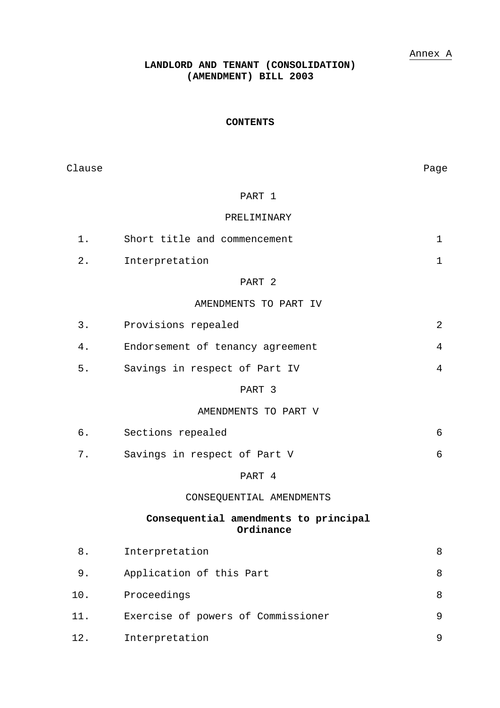## Annex A

# **LANDLORD AND TENANT (CONSOLIDATION) (AMENDMENT) BILL 2003**

#### **CONTENTS**

| Clause |                                                    | Page           |
|--------|----------------------------------------------------|----------------|
|        | PART 1                                             |                |
|        | PRELIMINARY                                        |                |
| $1$ .  | Short title and commencement                       | $\mathbf 1$    |
| 2.     | Interpretation                                     | $\mathbf 1$    |
|        | PART 2                                             |                |
|        | AMENDMENTS TO PART IV                              |                |
| 3.     | Provisions repealed                                | $\overline{2}$ |
| 4.     | Endorsement of tenancy agreement                   | 4              |
| 5.     | Savings in respect of Part IV                      | 4              |
|        | PART 3                                             |                |
|        | AMENDMENTS TO PART V                               |                |
| б.     | Sections repealed                                  | 6              |
| 7.     | Savings in respect of Part V                       | 6              |
|        | PART 4                                             |                |
|        | CONSEQUENTIAL AMENDMENTS                           |                |
|        | Consequential amendments to principal<br>Ordinance |                |
| $8$ .  | Interpretation                                     | 8              |
| 9.     | Application of this Part                           | 8              |
| 10.    | Proceedings                                        | 8              |
| 11.    | Exercise of powers of Commissioner                 | 9              |
| 12.    | Interpretation                                     | 9              |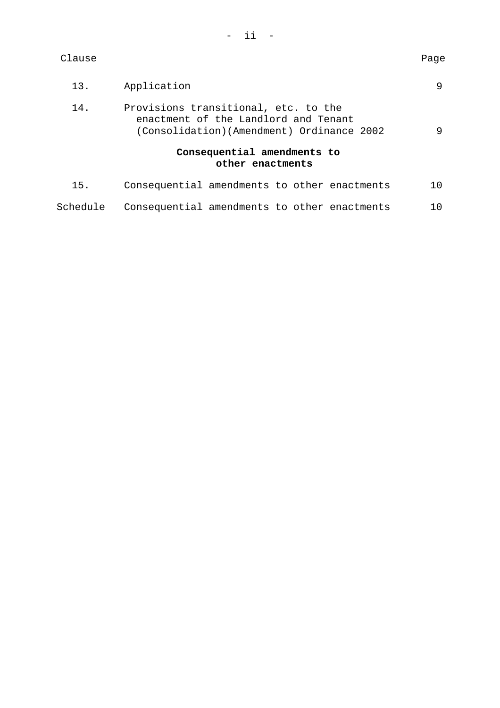| Clause   |                                                                                                                           | Page |  |  |
|----------|---------------------------------------------------------------------------------------------------------------------------|------|--|--|
| 13.      | Application                                                                                                               |      |  |  |
| 14.      | Provisions transitional, etc. to the<br>enactment of the Landlord and Tenant<br>(Consolidation)(Amendment) Ordinance 2002 |      |  |  |
|          | Consequential amendments to<br>other enactments                                                                           |      |  |  |
| 15.      | Consequential amendments to other enactments                                                                              | 10   |  |  |
| Schedule | Consequential amendments to other enactments                                                                              |      |  |  |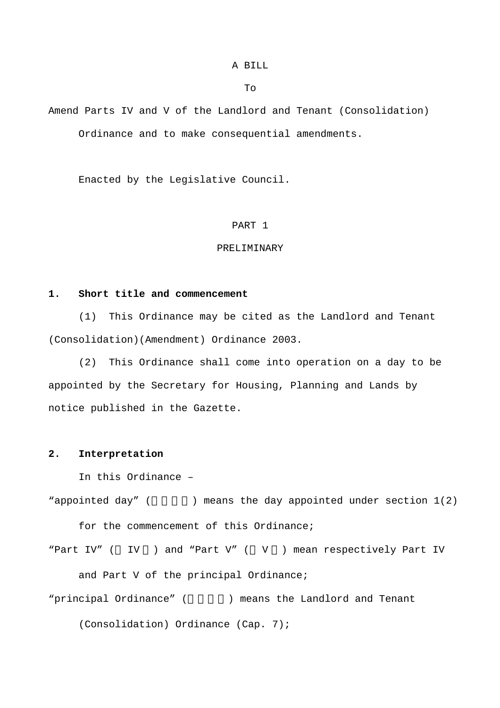#### A BILL

To

Amend Parts IV and V of the Landlord and Tenant (Consolidation) Ordinance and to make consequential amendments.

Enacted by the Legislative Council.

## PART 1

## PRELIMINARY

### **1. Short title and commencement**

 (1) This Ordinance may be cited as the Landlord and Tenant (Consolidation)(Amendment) Ordinance 2003.

 (2) This Ordinance shall come into operation on a day to be appointed by the Secretary for Housing, Planning and Lands by notice published in the Gazette.

## **2. Interpretation**

In this Ordinance –

"appointed day" ( $\qquad$ ) means the day appointed under section  $1(2)$ for the commencement of this Ordinance;

"Part IV" ( IV ) and "Part V" ( V ) mean respectively Part IV

and Part V of the principal Ordinance;

"principal Ordinance" ( ) means the Landlord and Tenant

(Consolidation) Ordinance (Cap. 7);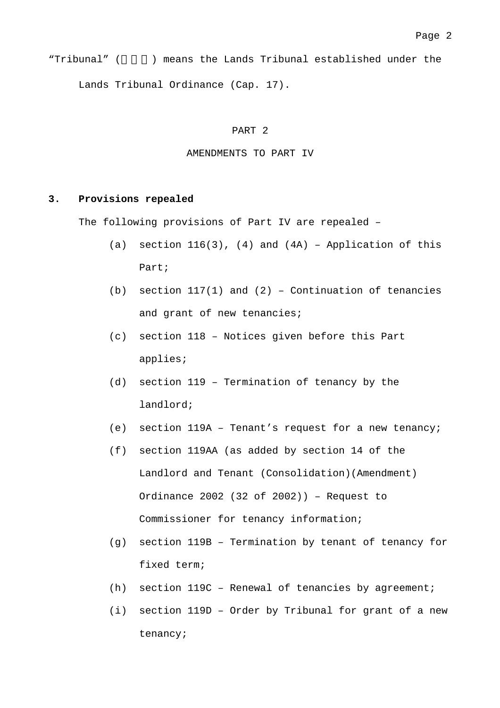"Tribunal" ( ) means the Lands Tribunal established under the Lands Tribunal Ordinance (Cap. 17).

#### PART 2

#### AMENDMENTS TO PART IV

## **3. Provisions repealed**

The following provisions of Part IV are repealed –

- (a) section  $116(3)$ , (4) and (4A) Application of this Part;
- (b) section  $117(1)$  and  $(2)$  Continuation of tenancies and grant of new tenancies;
- (c) section 118 Notices given before this Part applies;
- (d) section 119 Termination of tenancy by the landlord;
- (e) section 119A Tenant's request for a new tenancy;
- (f) section 119AA (as added by section 14 of the Landlord and Tenant (Consolidation)(Amendment) Ordinance 2002 (32 of 2002)) – Request to Commissioner for tenancy information;
- (g) section 119B Termination by tenant of tenancy for fixed term;
- (h) section 119C Renewal of tenancies by agreement;
- (i) section 119D Order by Tribunal for grant of a new tenancy;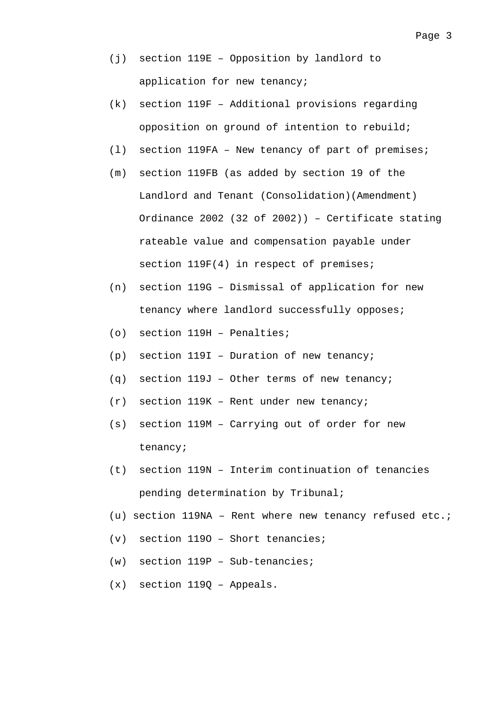- (j) section 119E Opposition by landlord to application for new tenancy;
- (k) section 119F Additional provisions regarding opposition on ground of intention to rebuild;
- (l) section 119FA New tenancy of part of premises;
- (m) section 119FB (as added by section 19 of the Landlord and Tenant (Consolidation)(Amendment) Ordinance 2002 (32 of 2002)) – Certificate stating rateable value and compensation payable under section  $119F(4)$  in respect of premises;
- (n) section 119G Dismissal of application for new tenancy where landlord successfully opposes;
- (o) section 119H Penalties;
- (p) section 119I Duration of new tenancy;
- (q) section 119J Other terms of new tenancy;
- (r) section 119K Rent under new tenancy;
- (s) section 119M Carrying out of order for new tenancy;
- (t) section 119N Interim continuation of tenancies pending determination by Tribunal;
- (u) section 119NA Rent where new tenancy refused etc.;
- (v) section 119O Short tenancies;
- (w) section 119P Sub-tenancies;
- (x) section 119Q Appeals.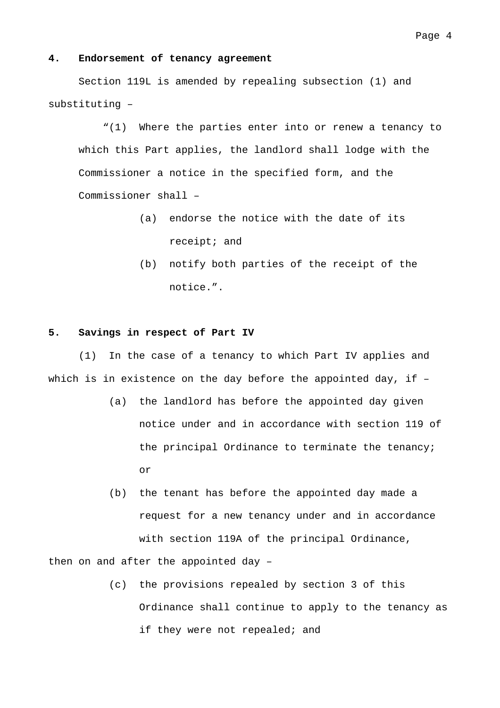#### **4. Endorsement of tenancy agreement**

 Section 119L is amended by repealing subsection (1) and substituting –

"(1) Where the parties enter into or renew a tenancy to which this Part applies, the landlord shall lodge with the Commissioner a notice in the specified form, and the Commissioner shall –

- (a) endorse the notice with the date of its receipt; and
- (b) notify both parties of the receipt of the notice.".

#### **5. Savings in respect of Part IV**

 (1) In the case of a tenancy to which Part IV applies and which is in existence on the day before the appointed day, if –

- (a) the landlord has before the appointed day given notice under and in accordance with section 119 of the principal Ordinance to terminate the tenancy; or
- (b) the tenant has before the appointed day made a request for a new tenancy under and in accordance with section 119A of the principal Ordinance,

then on and after the appointed day –

(c) the provisions repealed by section 3 of this Ordinance shall continue to apply to the tenancy as if they were not repealed; and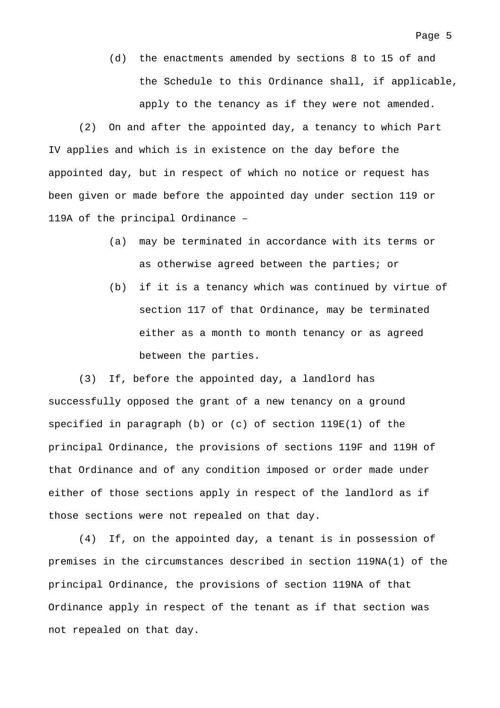(d) the enactments amended by sections 8 to 15 of and the Schedule to this Ordinance shall, if applicable, apply to the tenancy as if they were not amended.

 (2) On and after the appointed day, a tenancy to which Part IV applies and which is in existence on the day before the appointed day, but in respect of which no notice or request has been given or made before the appointed day under section 119 or 119A of the principal Ordinance –

- (a) may be terminated in accordance with its terms or as otherwise agreed between the parties; or
- (b) if it is a tenancy which was continued by virtue of section 117 of that Ordinance, may be terminated either as a month to month tenancy or as agreed between the parties.

 (3) If, before the appointed day, a landlord has successfully opposed the grant of a new tenancy on a ground specified in paragraph (b) or (c) of section 119E(1) of the principal Ordinance, the provisions of sections 119F and 119H of that Ordinance and of any condition imposed or order made under either of those sections apply in respect of the landlord as if those sections were not repealed on that day.

 (4) If, on the appointed day, a tenant is in possession of premises in the circumstances described in section 119NA(1) of the principal Ordinance, the provisions of section 119NA of that Ordinance apply in respect of the tenant as if that section was not repealed on that day.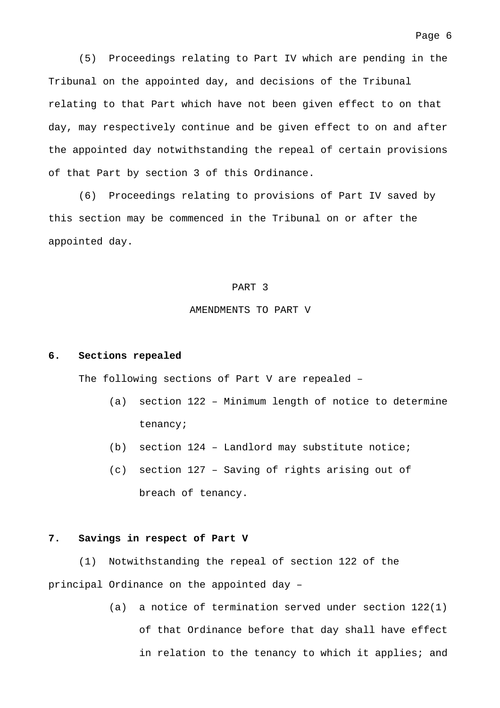(5) Proceedings relating to Part IV which are pending in the Tribunal on the appointed day, and decisions of the Tribunal relating to that Part which have not been given effect to on that day, may respectively continue and be given effect to on and after the appointed day notwithstanding the repeal of certain provisions of that Part by section 3 of this Ordinance.

 (6) Proceedings relating to provisions of Part IV saved by this section may be commenced in the Tribunal on or after the appointed day.

#### PART 3

## AMENDMENTS TO PART V

#### **6. Sections repealed**

The following sections of Part V are repealed –

- (a) section 122 Minimum length of notice to determine tenancy;
- (b) section 124 Landlord may substitute notice;
- (c) section 127 Saving of rights arising out of breach of tenancy.

#### **7. Savings in respect of Part V**

 (1) Notwithstanding the repeal of section 122 of the principal Ordinance on the appointed day –

> (a) a notice of termination served under section 122(1) of that Ordinance before that day shall have effect in relation to the tenancy to which it applies; and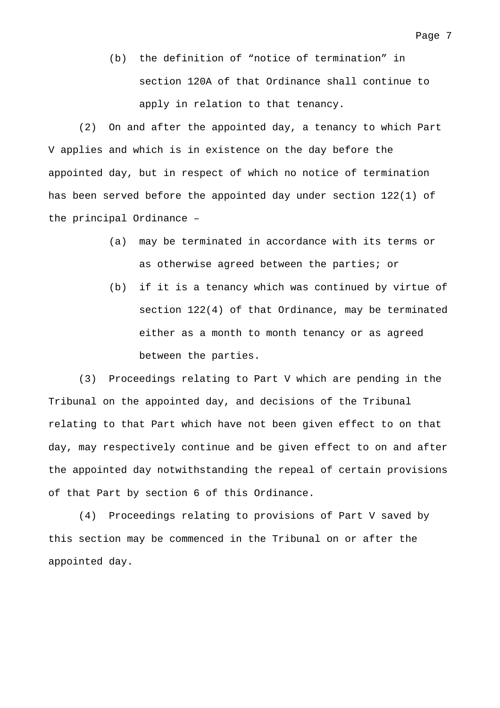(b) the definition of "notice of termination" in section 120A of that Ordinance shall continue to apply in relation to that tenancy.

 (2) On and after the appointed day, a tenancy to which Part V applies and which is in existence on the day before the appointed day, but in respect of which no notice of termination has been served before the appointed day under section 122(1) of the principal Ordinance –

- (a) may be terminated in accordance with its terms or as otherwise agreed between the parties; or
- (b) if it is a tenancy which was continued by virtue of section 122(4) of that Ordinance, may be terminated either as a month to month tenancy or as agreed between the parties.

 (3) Proceedings relating to Part V which are pending in the Tribunal on the appointed day, and decisions of the Tribunal relating to that Part which have not been given effect to on that day, may respectively continue and be given effect to on and after the appointed day notwithstanding the repeal of certain provisions of that Part by section 6 of this Ordinance.

 (4) Proceedings relating to provisions of Part V saved by this section may be commenced in the Tribunal on or after the appointed day.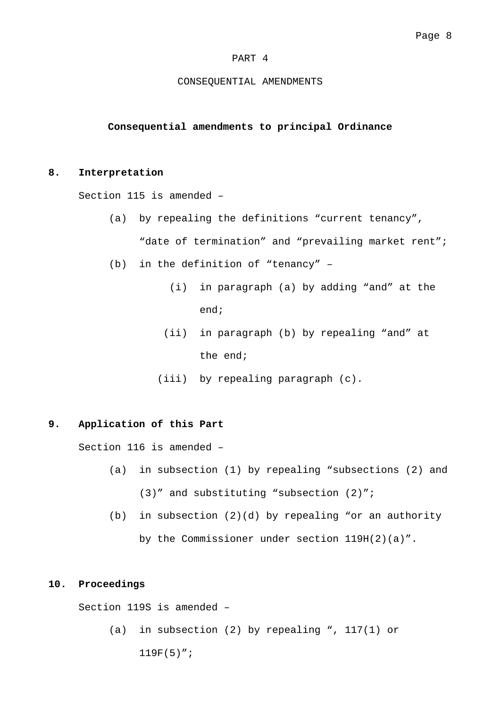#### PART 4

#### CONSEQUENTIAL AMENDMENTS

## **Consequential amendments to principal Ordinance**

## **8. Interpretation**

Section 115 is amended –

- (a) by repealing the definitions "current tenancy", "date of termination" and "prevailing market rent";
- (b) in the definition of "tenancy"
	- (i) in paragraph (a) by adding "and" at the end;
	- (ii) in paragraph (b) by repealing "and" at the end;
	- (iii) by repealing paragraph (c).

## **9. Application of this Part**

Section 116 is amended –

- (a) in subsection (1) by repealing "subsections (2) and (3)" and substituting "subsection (2)";
- (b) in subsection  $(2)(d)$  by repealing "or an authority by the Commissioner under section 119H(2)(a)".

## **10. Proceedings**

Section 119S is amended –

(a) in subsection (2) by repealing ", 117(1) or

 $119F(5)$ ";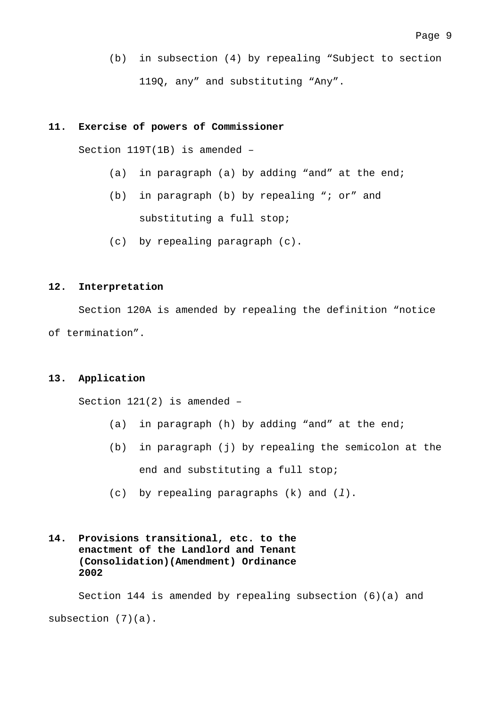(b) in subsection (4) by repealing "Subject to section 119Q, any" and substituting "Any".

#### **11. Exercise of powers of Commissioner**

Section 119T(1B) is amended –

- (a) in paragraph (a) by adding "and" at the end;
- (b) in paragraph (b) by repealing "; or" and substituting a full stop;
- (c) by repealing paragraph (c).

## **12. Interpretation**

 Section 120A is amended by repealing the definition "notice of termination".

## **13. Application**

Section 121(2) is amended –

- (a) in paragraph (h) by adding "and" at the end;
- (b) in paragraph (j) by repealing the semicolon at the end and substituting a full stop;
- (c) by repealing paragraphs (k) and (*l*).
- **14. Provisions transitional, etc. to the enactment of the Landlord and Tenant (Consolidation)(Amendment) Ordinance 2002**

 Section 144 is amended by repealing subsection (6)(a) and subsection (7)(a).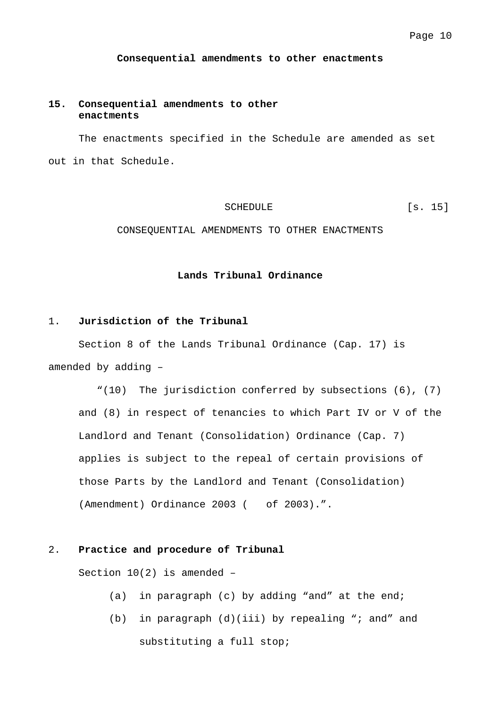**Consequential amendments to other enactments** 

## **15. Consequential amendments to other enactments**

The enactments specified in the Schedule are amended as set out in that Schedule.

SCHEDULE [s. 15]

CONSEQUENTIAL AMENDMENTS TO OTHER ENACTMENTS

## **Lands Tribunal Ordinance**

#### 1. **Jurisdiction of the Tribunal**

Section 8 of the Lands Tribunal Ordinance (Cap. 17) is amended by adding –

"(10) The jurisdiction conferred by subsections (6), (7) and (8) in respect of tenancies to which Part IV or V of the Landlord and Tenant (Consolidation) Ordinance (Cap. 7) applies is subject to the repeal of certain provisions of those Parts by the Landlord and Tenant (Consolidation) (Amendment) Ordinance 2003 ( of 2003).".

#### 2. **Practice and procedure of Tribunal**

Section 10(2) is amended –

- (a) in paragraph (c) by adding "and" at the end;
- (b) in paragraph (d)(iii) by repealing "; and" and substituting a full stop;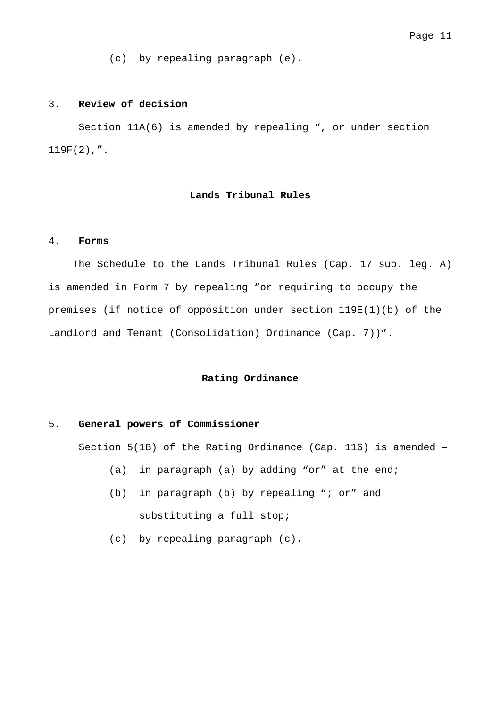(c) by repealing paragraph (e).

#### 3. **Review of decision**

 Section 11A(6) is amended by repealing ", or under section  $119F(2)$ ,".

#### **Lands Tribunal Rules**

#### 4. **Forms**

 The Schedule to the Lands Tribunal Rules (Cap. 17 sub. leg. A) is amended in Form 7 by repealing "or requiring to occupy the premises (if notice of opposition under section 119E(1)(b) of the Landlord and Tenant (Consolidation) Ordinance (Cap. 7))".

## **Rating Ordinance**

## 5. **General powers of Commissioner**

Section 5(1B) of the Rating Ordinance (Cap. 116) is amended –

- (a) in paragraph (a) by adding "or" at the end;
- (b) in paragraph (b) by repealing "; or" and substituting a full stop;
- (c) by repealing paragraph (c).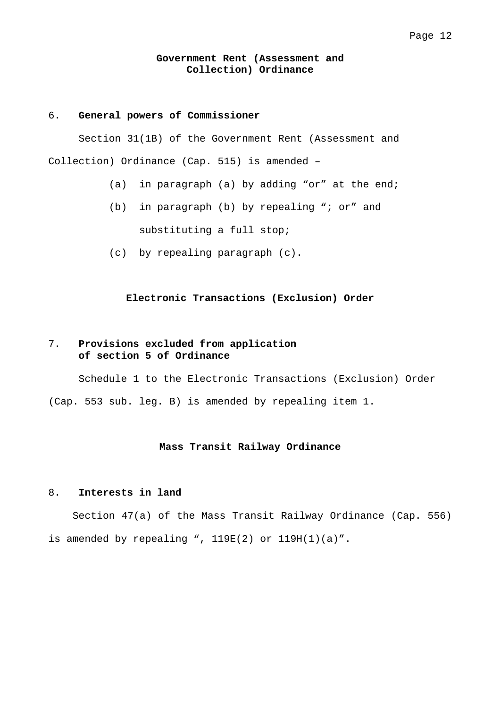### **Government Rent (Assessment and Collection) Ordinance**

## 6. **General powers of Commissioner**

 Section 31(1B) of the Government Rent (Assessment and Collection) Ordinance (Cap. 515) is amended –

- (a) in paragraph (a) by adding "or" at the end;
- (b) in paragraph (b) by repealing "; or" and substituting a full stop;
- (c) by repealing paragraph (c).

## **Electronic Transactions (Exclusion) Order**

## 7. **Provisions excluded from application of section 5 of Ordinance**

 Schedule 1 to the Electronic Transactions (Exclusion) Order (Cap. 553 sub. leg. B) is amended by repealing item 1.

## **Mass Transit Railway Ordinance**

#### 8. **Interests in land**

 Section 47(a) of the Mass Transit Railway Ordinance (Cap. 556) is amended by repealing ",  $119E(2)$  or  $119H(1)(a)$ ".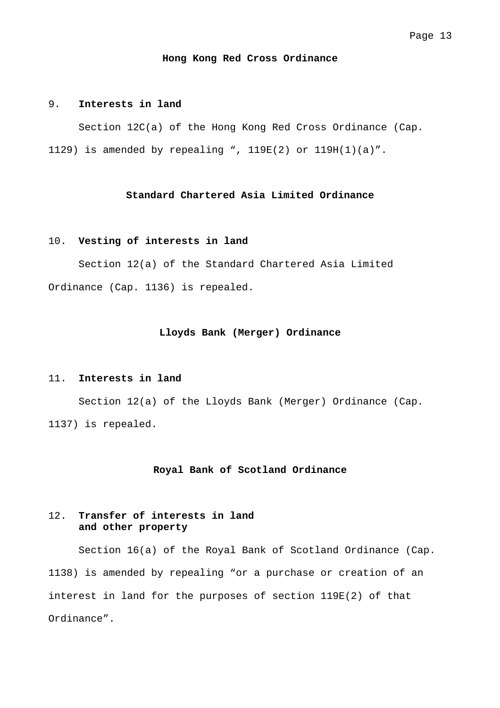#### **Hong Kong Red Cross Ordinance**

#### 9. **Interests in land**

 Section 12C(a) of the Hong Kong Red Cross Ordinance (Cap. 1129) is amended by repealing ", 119E(2) or 119H(1)(a)".

### **Standard Chartered Asia Limited Ordinance**

#### 10. **Vesting of interests in land**

 Section 12(a) of the Standard Chartered Asia Limited Ordinance (Cap. 1136) is repealed.

#### **Lloyds Bank (Merger) Ordinance**

#### 11. **Interests in land**

 Section 12(a) of the Lloyds Bank (Merger) Ordinance (Cap. 1137) is repealed.

#### **Royal Bank of Scotland Ordinance**

## 12. **Transfer of interests in land and other property**

 Section 16(a) of the Royal Bank of Scotland Ordinance (Cap. 1138) is amended by repealing "or a purchase or creation of an interest in land for the purposes of section 119E(2) of that Ordinance".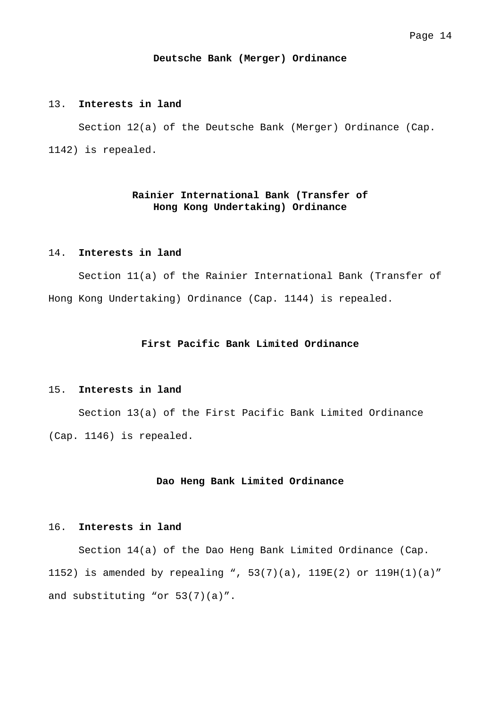#### **Deutsche Bank (Merger) Ordinance**

#### 13. **Interests in land**

 Section 12(a) of the Deutsche Bank (Merger) Ordinance (Cap. 1142) is repealed.

## **Rainier International Bank (Transfer of Hong Kong Undertaking) Ordinance**

## 14. **Interests in land**

 Section 11(a) of the Rainier International Bank (Transfer of Hong Kong Undertaking) Ordinance (Cap. 1144) is repealed.

## **First Pacific Bank Limited Ordinance**

#### 15. **Interests in land**

 Section 13(a) of the First Pacific Bank Limited Ordinance (Cap. 1146) is repealed.

#### **Dao Heng Bank Limited Ordinance**

## 16. **Interests in land**

 Section 14(a) of the Dao Heng Bank Limited Ordinance (Cap. 1152) is amended by repealing ", 53(7)(a), 119E(2) or 119H(1)(a)" and substituting "or 53(7)(a)".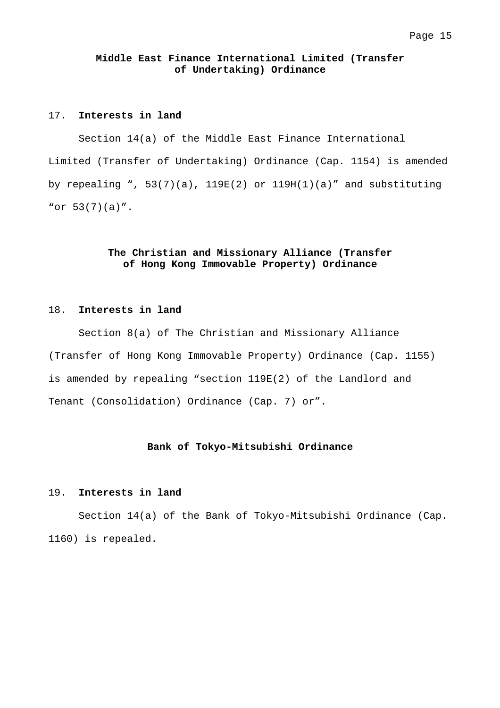## **Middle East Finance International Limited (Transfer of Undertaking) Ordinance**

## 17. **Interests in land**

 Section 14(a) of the Middle East Finance International Limited (Transfer of Undertaking) Ordinance (Cap. 1154) is amended by repealing ",  $53(7)(a)$ ,  $119E(2)$  or  $119H(1)(a)$ " and substituting "or 53(7)(a)".

## **The Christian and Missionary Alliance (Transfer of Hong Kong Immovable Property) Ordinance**

## 18. **Interests in land**

 Section 8(a) of The Christian and Missionary Alliance (Transfer of Hong Kong Immovable Property) Ordinance (Cap. 1155) is amended by repealing "section 119E(2) of the Landlord and Tenant (Consolidation) Ordinance (Cap. 7) or".

## **Bank of Tokyo-Mitsubishi Ordinance**

#### 19. **Interests in land**

 Section 14(a) of the Bank of Tokyo-Mitsubishi Ordinance (Cap. 1160) is repealed.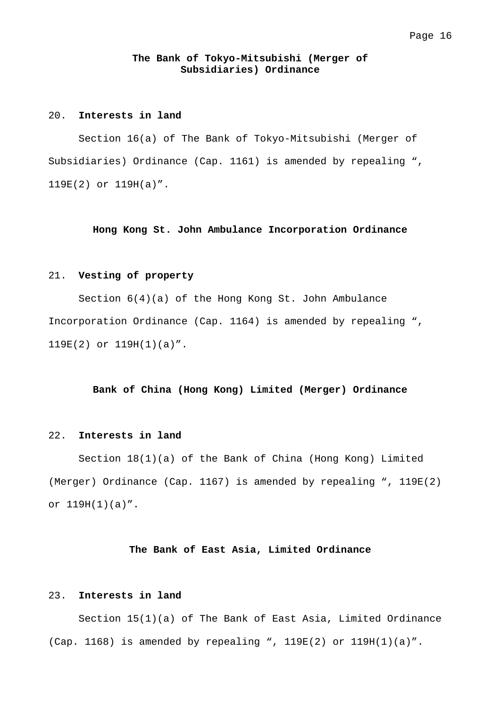### **The Bank of Tokyo-Mitsubishi (Merger of Subsidiaries) Ordinance**

## 20. **Interests in land**

 Section 16(a) of The Bank of Tokyo-Mitsubishi (Merger of Subsidiaries) Ordinance (Cap. 1161) is amended by repealing ", 119E(2) or 119H(a)".

#### **Hong Kong St. John Ambulance Incorporation Ordinance**

#### 21. **Vesting of property**

 Section 6(4)(a) of the Hong Kong St. John Ambulance Incorporation Ordinance (Cap. 1164) is amended by repealing ", 119E(2) or 119H(1)(a)".

#### **Bank of China (Hong Kong) Limited (Merger) Ordinance**

#### 22. **Interests in land**

 Section 18(1)(a) of the Bank of China (Hong Kong) Limited (Merger) Ordinance (Cap. 1167) is amended by repealing ", 119E(2) or 119H(1)(a)".

#### **The Bank of East Asia, Limited Ordinance**

#### 23. **Interests in land**

 Section 15(1)(a) of The Bank of East Asia, Limited Ordinance (Cap. 1168) is amended by repealing ", 119E(2) or 119H(1)(a)".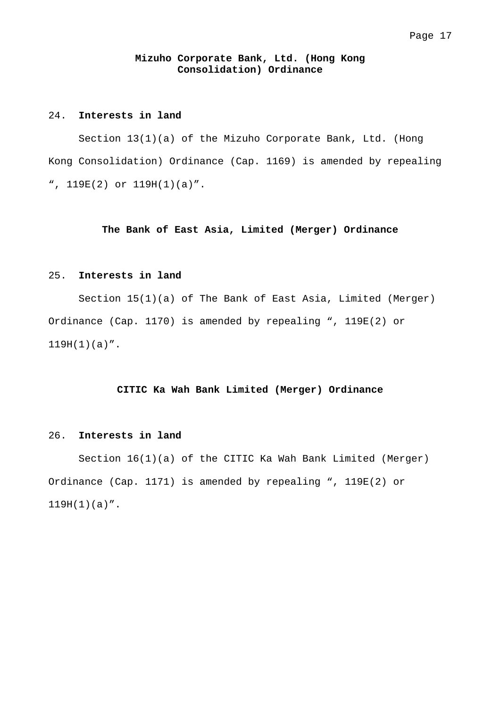### **Mizuho Corporate Bank, Ltd. (Hong Kong Consolidation) Ordinance**

## 24. **Interests in land**

 Section 13(1)(a) of the Mizuho Corporate Bank, Ltd. (Hong Kong Consolidation) Ordinance (Cap. 1169) is amended by repealing ", 119E(2) or 119H(1)(a)".

## **The Bank of East Asia, Limited (Merger) Ordinance**

## 25. **Interests in land**

 Section 15(1)(a) of The Bank of East Asia, Limited (Merger) Ordinance (Cap. 1170) is amended by repealing ", 119E(2) or  $119H(1)(a)$ ".

#### **CITIC Ka Wah Bank Limited (Merger) Ordinance**

#### 26. **Interests in land**

 Section 16(1)(a) of the CITIC Ka Wah Bank Limited (Merger) Ordinance (Cap. 1171) is amended by repealing ", 119E(2) or  $119H(1)(a)''$ .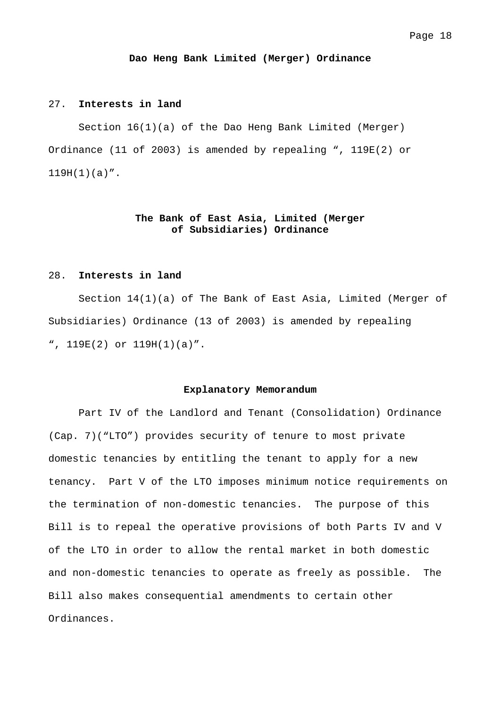#### **Dao Heng Bank Limited (Merger) Ordinance**

#### 27. **Interests in land**

 Section 16(1)(a) of the Dao Heng Bank Limited (Merger) Ordinance (11 of 2003) is amended by repealing ", 119E(2) or  $119H(1)(a)''$ .

## **The Bank of East Asia, Limited (Merger of Subsidiaries) Ordinance**

#### 28. **Interests in land**

 Section 14(1)(a) of The Bank of East Asia, Limited (Merger of Subsidiaries) Ordinance (13 of 2003) is amended by repealing ", 119E(2) or 119H(1)(a)".

#### **Explanatory Memorandum**

 Part IV of the Landlord and Tenant (Consolidation) Ordinance (Cap. 7)("LTO") provides security of tenure to most private domestic tenancies by entitling the tenant to apply for a new tenancy. Part V of the LTO imposes minimum notice requirements on the termination of non-domestic tenancies. The purpose of this Bill is to repeal the operative provisions of both Parts IV and V of the LTO in order to allow the rental market in both domestic and non-domestic tenancies to operate as freely as possible. The Bill also makes consequential amendments to certain other Ordinances.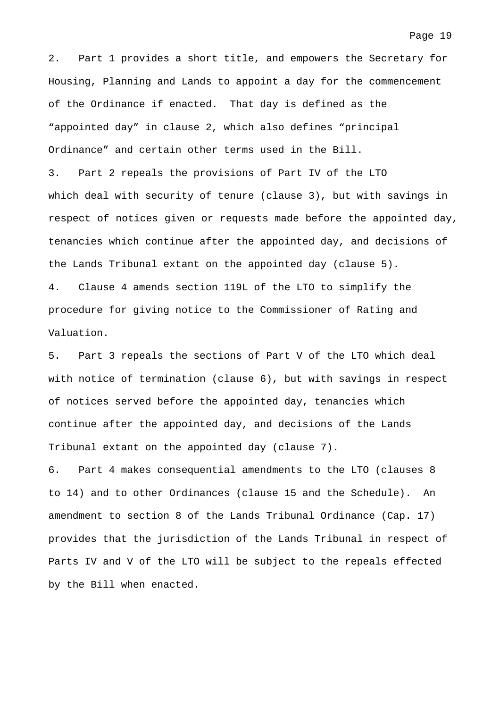2. Part 1 provides a short title, and empowers the Secretary for Housing, Planning and Lands to appoint a day for the commencement of the Ordinance if enacted. That day is defined as the "appointed day" in clause 2, which also defines "principal Ordinance" and certain other terms used in the Bill. 3. Part 2 repeals the provisions of Part IV of the LTO

which deal with security of tenure (clause 3), but with savings in respect of notices given or requests made before the appointed day, tenancies which continue after the appointed day, and decisions of the Lands Tribunal extant on the appointed day (clause 5). 4. Clause 4 amends section 119L of the LTO to simplify the procedure for giving notice to the Commissioner of Rating and Valuation.

5. Part 3 repeals the sections of Part V of the LTO which deal with notice of termination (clause 6), but with savings in respect of notices served before the appointed day, tenancies which continue after the appointed day, and decisions of the Lands Tribunal extant on the appointed day (clause 7).

6. Part 4 makes consequential amendments to the LTO (clauses 8 to 14) and to other Ordinances (clause 15 and the Schedule). An amendment to section 8 of the Lands Tribunal Ordinance (Cap. 17) provides that the jurisdiction of the Lands Tribunal in respect of Parts IV and V of the LTO will be subject to the repeals effected by the Bill when enacted.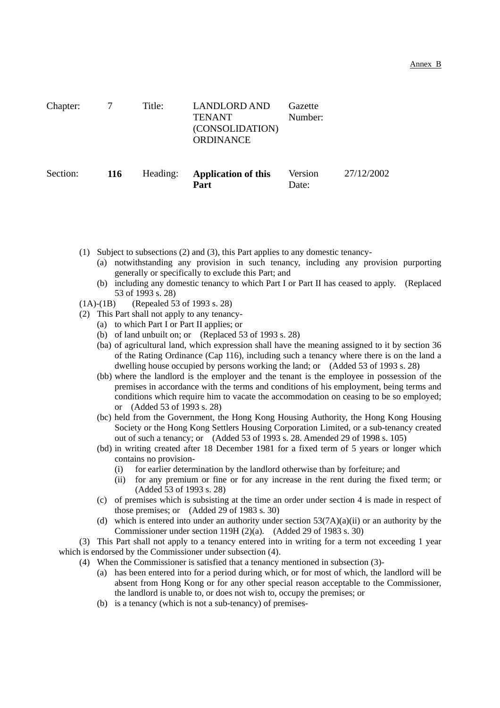| Chapter: |            | Title:   | <b>LANDLORD AND</b><br><b>TENANT</b><br>(CONSOLIDATION)<br><b>ORDINANCE</b> | Gazette<br>Number: |            |
|----------|------------|----------|-----------------------------------------------------------------------------|--------------------|------------|
| Section: | <b>116</b> | Heading: | <b>Application of this</b><br>Part                                          | Version<br>Date:   | 27/12/2002 |

- (1) Subject to subsections (2) and (3), this Part applies to any domestic tenancy-
	- (a) notwithstanding any provision in such tenancy, including any provision purporting generally or specifically to exclude this Part; and
	- (b) including any domestic tenancy to which Part I or Part II has ceased to apply. (Replaced 53 of 1993 s. 28)
- (1A)-(1B) (Repealed 53 of 1993 s. 28)
- (2) This Part shall not apply to any tenancy-
	- (a) to which Part I or Part II applies; or
	- (b) of land unbuilt on; or (Replaced 53 of 1993 s. 28)
	- (ba) of agricultural land, which expression shall have the meaning assigned to it by section 36 of the Rating Ordinance (Cap 116), including such a tenancy where there is on the land a dwelling house occupied by persons working the land; or (Added 53 of 1993 s. 28)
	- (bb) where the landlord is the employer and the tenant is the employee in possession of the premises in accordance with the terms and conditions of his employment, being terms and conditions which require him to vacate the accommodation on ceasing to be so employed; or (Added 53 of 1993 s. 28)
	- (bc) held from the Government, the Hong Kong Housing Authority, the Hong Kong Housing Society or the Hong Kong Settlers Housing Corporation Limited, or a sub-tenancy created out of such a tenancy; or (Added 53 of 1993 s. 28. Amended 29 of 1998 s. 105)
	- (bd) in writing created after 18 December 1981 for a fixed term of 5 years or longer which contains no provision-
		- (i) for earlier determination by the landlord otherwise than by forfeiture; and
		- (ii) for any premium or fine or for any increase in the rent during the fixed term; or (Added 53 of 1993 s. 28)
	- (c) of premises which is subsisting at the time an order under section 4 is made in respect of those premises; or (Added 29 of 1983 s. 30)
	- (d) which is entered into under an authority under section  $53(7A)(a)(ii)$  or an authority by the Commissioner under section 119H (2)(a). (Added 29 of 1983 s. 30)

(3) This Part shall not apply to a tenancy entered into in writing for a term not exceeding 1 year which is endorsed by the Commissioner under subsection (4).

(4) When the Commissioner is satisfied that a tenancy mentioned in subsection (3)-

- (a) has been entered into for a period during which, or for most of which, the landlord will be absent from Hong Kong or for any other special reason acceptable to the Commissioner, the landlord is unable to, or does not wish to, occupy the premises; or
- (b) is a tenancy (which is not a sub-tenancy) of premises-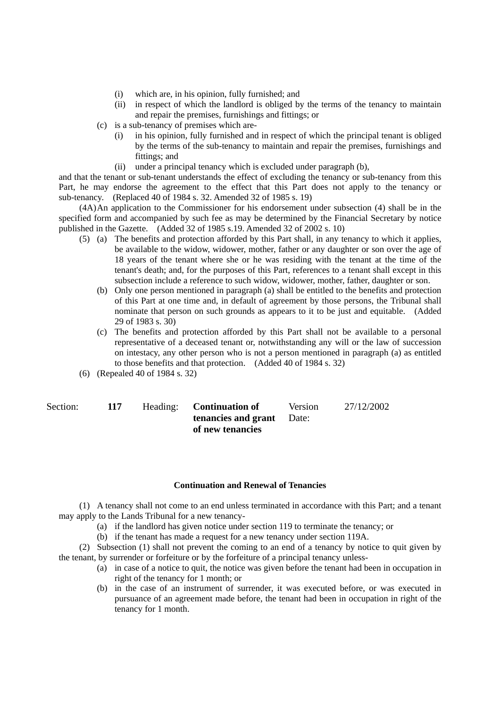- (i) which are, in his opinion, fully furnished; and
- (ii) in respect of which the landlord is obliged by the terms of the tenancy to maintain and repair the premises, furnishings and fittings; or
- (c) is a sub-tenancy of premises which are-
	- (i) in his opinion, fully furnished and in respect of which the principal tenant is obliged by the terms of the sub-tenancy to maintain and repair the premises, furnishings and fittings; and
	- (ii) under a principal tenancy which is excluded under paragraph (b),

and that the tenant or sub-tenant understands the effect of excluding the tenancy or sub-tenancy from this Part, he may endorse the agreement to the effect that this Part does not apply to the tenancy or sub-tenancy. (Replaced 40 of 1984 s. 32. Amended 32 of 1985 s. 19)

(4A) An application to the Commissioner for his endorsement under subsection (4) shall be in the specified form and accompanied by such fee as may be determined by the Financial Secretary by notice published in the Gazette. (Added 32 of 1985 s.19. Amended 32 of 2002 s. 10)

- (5) (a) The benefits and protection afforded by this Part shall, in any tenancy to which it applies, be available to the widow, widower, mother, father or any daughter or son over the age of 18 years of the tenant where she or he was residing with the tenant at the time of the tenant's death; and, for the purposes of this Part, references to a tenant shall except in this subsection include a reference to such widow, widower, mother, father, daughter or son.
	- (b) Only one person mentioned in paragraph (a) shall be entitled to the benefits and protection of this Part at one time and, in default of agreement by those persons, the Tribunal shall nominate that person on such grounds as appears to it to be just and equitable. (Added 29 of 1983 s. 30)
	- (c) The benefits and protection afforded by this Part shall not be available to a personal representative of a deceased tenant or, notwithstanding any will or the law of succession on intestacy, any other person who is not a person mentioned in paragraph (a) as entitled to those benefits and that protection. (Added 40 of 1984 s. 32)
- (6) (Repealed 40 of 1984 s. 32)

| Section: |  |
|----------|--|
|          |  |

| Section: |  | Heading: <b>Continuation of</b>  | <b>Version</b> | 27/12/2002 |
|----------|--|----------------------------------|----------------|------------|
|          |  | <b>tenancies and grant</b> Date: |                |            |
|          |  | of new tenancies                 |                |            |

## **Continuation and Renewal of Tenancies**

(1) A tenancy shall not come to an end unless terminated in accordance with this Part; and a tenant may apply to the Lands Tribunal for a new tenancy-

- (a) if the landlord has given notice under section 119 to terminate the tenancy; or
- (b) if the tenant has made a request for a new tenancy under section 119A.

(2) Subsection (1) shall not prevent the coming to an end of a tenancy by notice to quit given by the tenant, by surrender or forfeiture or by the forfeiture of a principal tenancy unless-

- (a) in case of a notice to quit, the notice was given before the tenant had been in occupation in right of the tenancy for 1 month; or
- (b) in the case of an instrument of surrender, it was executed before, or was executed in pursuance of an agreement made before, the tenant had been in occupation in right of the tenancy for 1 month.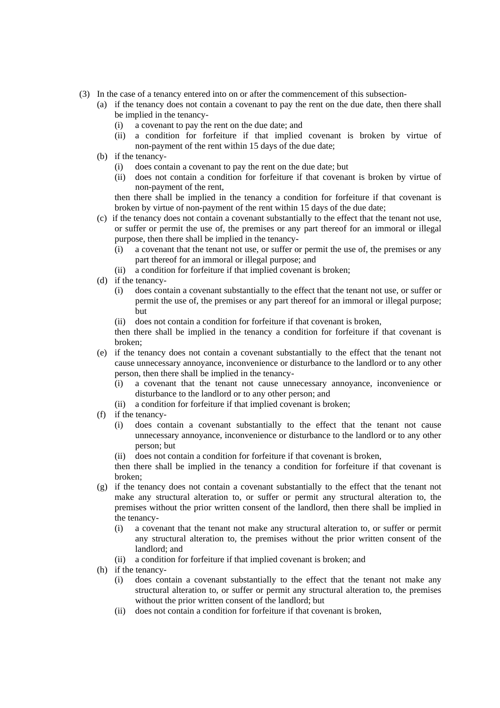- (3) In the case of a tenancy entered into on or after the commencement of this subsection-
	- (a) if the tenancy does not contain a covenant to pay the rent on the due date, then there shall be implied in the tenancy-
		- (i) a covenant to pay the rent on the due date; and
		- (ii) a condition for forfeiture if that implied covenant is broken by virtue of non-payment of the rent within 15 days of the due date;
	- (b) if the tenancy-
		- (i) does contain a covenant to pay the rent on the due date; but
		- (ii) does not contain a condition for forfeiture if that covenant is broken by virtue of non-payment of the rent,

then there shall be implied in the tenancy a condition for forfeiture if that covenant is broken by virtue of non-payment of the rent within 15 days of the due date;

- (c) if the tenancy does not contain a covenant substantially to the effect that the tenant not use, or suffer or permit the use of, the premises or any part thereof for an immoral or illegal purpose, then there shall be implied in the tenancy-
	- (i) a covenant that the tenant not use, or suffer or permit the use of, the premises or any part thereof for an immoral or illegal purpose; and
	- (ii) a condition for forfeiture if that implied covenant is broken;
- (d) if the tenancy-
	- (i) does contain a covenant substantially to the effect that the tenant not use, or suffer or permit the use of, the premises or any part thereof for an immoral or illegal purpose; but
	- (ii) does not contain a condition for forfeiture if that covenant is broken,

then there shall be implied in the tenancy a condition for forfeiture if that covenant is broken;

- (e) if the tenancy does not contain a covenant substantially to the effect that the tenant not cause unnecessary annoyance, inconvenience or disturbance to the landlord or to any other person, then there shall be implied in the tenancy-
	- (i) a covenant that the tenant not cause unnecessary annoyance, inconvenience or disturbance to the landlord or to any other person; and
	- (ii) a condition for forfeiture if that implied covenant is broken;
- (f) if the tenancy-
	- (i) does contain a covenant substantially to the effect that the tenant not cause unnecessary annoyance, inconvenience or disturbance to the landlord or to any other person; but
	- (ii) does not contain a condition for forfeiture if that covenant is broken,

then there shall be implied in the tenancy a condition for forfeiture if that covenant is broken;

- (g) if the tenancy does not contain a covenant substantially to the effect that the tenant not make any structural alteration to, or suffer or permit any structural alteration to, the premises without the prior written consent of the landlord, then there shall be implied in the tenancy-
	- (i) a covenant that the tenant not make any structural alteration to, or suffer or permit any structural alteration to, the premises without the prior written consent of the landlord; and
	- (ii) a condition for forfeiture if that implied covenant is broken; and
- (h) if the tenancy-
	- (i) does contain a covenant substantially to the effect that the tenant not make any structural alteration to, or suffer or permit any structural alteration to, the premises without the prior written consent of the landlord; but
	- (ii) does not contain a condition for forfeiture if that covenant is broken,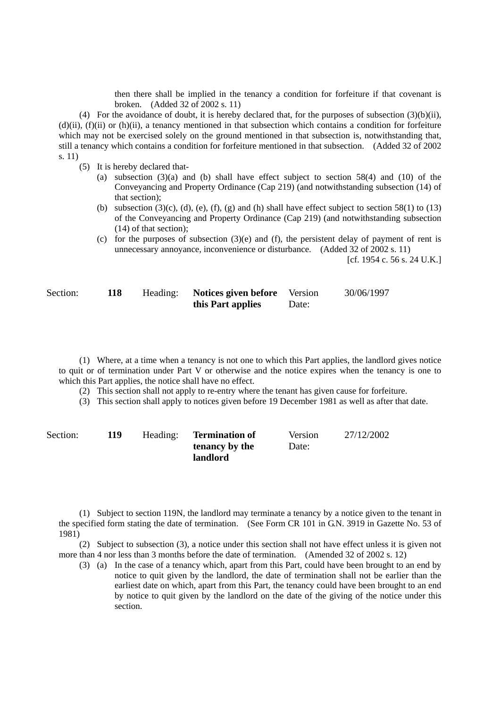then there shall be implied in the tenancy a condition for forfeiture if that covenant is broken. (Added 32 of 2002 s. 11)

(4) For the avoidance of doubt, it is hereby declared that, for the purposes of subsection (3)(b)(ii),  $(d)(ii)$ ,  $(f)(ii)$  or  $(h)(ii)$ , a tenancy mentioned in that subsection which contains a condition for forfeiture which may not be exercised solely on the ground mentioned in that subsection is, notwithstanding that, still a tenancy which contains a condition for forfeiture mentioned in that subsection. (Added 32 of 2002 s. 11)

- (5) It is hereby declared that-
	- (a) subsection  $(3)(a)$  and (b) shall have effect subject to section 58(4) and (10) of the Conveyancing and Property Ordinance (Cap 219) (and notwithstanding subsection (14) of that section);
	- (b) subsection (3)(c), (d), (e), (f), (g) and (h) shall have effect subject to section 58(1) to (13) of the Conveyancing and Property Ordinance (Cap 219) (and notwithstanding subsection (14) of that section);
	- (c) for the purposes of subsection (3)(e) and (f), the persistent delay of payment of rent is unnecessary annoyance, inconvenience or disturbance. (Added 32 of 2002 s. 11)

[cf. 1954 c. 56 s. 24 U.K.]

| Section: | 118 | Heading: | <b>Notices given before</b> Version |       | 30/06/1997 |
|----------|-----|----------|-------------------------------------|-------|------------|
|          |     |          | this Part applies                   | Date: |            |

(1) Where, at a time when a tenancy is not one to which this Part applies, the landlord gives notice to quit or of termination under Part V or otherwise and the notice expires when the tenancy is one to which this Part applies, the notice shall have no effect.

(2) This section shall not apply to re-entry where the tenant has given cause for forfeiture.

(3) This section shall apply to notices given before 19 December 1981 as well as after that date.

| Section: | 119 | Heading: | <b>Termination of</b> | <b>Version</b> | 27/12/2002 |
|----------|-----|----------|-----------------------|----------------|------------|
|          |     |          | tenancy by the        | Date:          |            |
|          |     |          | landlord              |                |            |

(1) Subject to section 119N, the landlord may terminate a tenancy by a notice given to the tenant in the specified form stating the date of termination. (See Form CR 101 in G.N. 3919 in Gazette No. 53 of 1981)

(2) Subject to subsection (3), a notice under this section shall not have effect unless it is given not more than 4 nor less than 3 months before the date of termination. (Amended 32 of 2002 s. 12)

(3) (a) In the case of a tenancy which, apart from this Part, could have been brought to an end by notice to quit given by the landlord, the date of termination shall not be earlier than the earliest date on which, apart from this Part, the tenancy could have been brought to an end by notice to quit given by the landlord on the date of the giving of the notice under this section.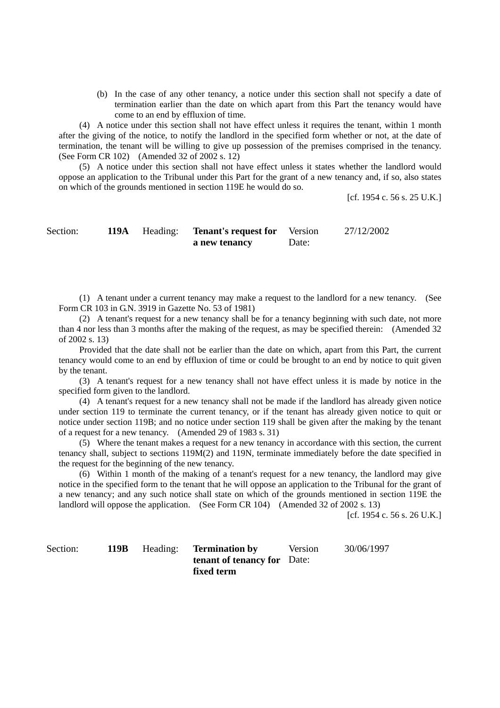(b) In the case of any other tenancy, a notice under this section shall not specify a date of termination earlier than the date on which apart from this Part the tenancy would have come to an end by effluxion of time.

(4) A notice under this section shall not have effect unless it requires the tenant, within 1 month after the giving of the notice, to notify the landlord in the specified form whether or not, at the date of termination, the tenant will be willing to give up possession of the premises comprised in the tenancy. (See Form CR 102) (Amended 32 of 2002 s. 12)

(5) A notice under this section shall not have effect unless it states whether the landlord would oppose an application to the Tribunal under this Part for the grant of a new tenancy and, if so, also states on which of the grounds mentioned in section 119E he would do so.

[cf. 1954 c. 56 s. 25 U.K.]

Section: **119A** Heading: **Tenant's request for a new tenancy**  Version Date: 27/12/2002

(1) A tenant under a current tenancy may make a request to the landlord for a new tenancy. (See Form CR 103 in G.N. 3919 in Gazette No. 53 of 1981)

(2) A tenant's request for a new tenancy shall be for a tenancy beginning with such date, not more than 4 nor less than 3 months after the making of the request, as may be specified therein: (Amended 32 of 2002 s. 13)

Provided that the date shall not be earlier than the date on which, apart from this Part, the current tenancy would come to an end by effluxion of time or could be brought to an end by notice to quit given by the tenant.

(3) A tenant's request for a new tenancy shall not have effect unless it is made by notice in the specified form given to the landlord.

(4) A tenant's request for a new tenancy shall not be made if the landlord has already given notice under section 119 to terminate the current tenancy, or if the tenant has already given notice to quit or notice under section 119B; and no notice under section 119 shall be given after the making by the tenant of a request for a new tenancy. (Amended 29 of 1983 s. 31)

(5) Where the tenant makes a request for a new tenancy in accordance with this section, the current tenancy shall, subject to sections 119M(2) and 119N, terminate immediately before the date specified in the request for the beginning of the new tenancy.

(6) Within 1 month of the making of a tenant's request for a new tenancy, the landlord may give notice in the specified form to the tenant that he will oppose an application to the Tribunal for the grant of a new tenancy; and any such notice shall state on which of the grounds mentioned in section 119E the landlord will oppose the application. (See Form CR 104) (Amended 32 of 2002 s. 13)

[cf. 1954 c. 56 s. 26 U.K.]

Section: **119B** Heading: **Termination by tenant of tenancy for**  Date: **fixed term**  Version 30/06/1997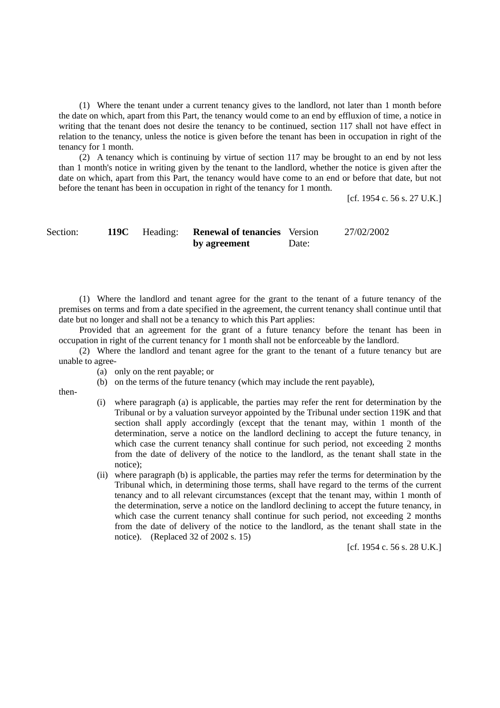(1) Where the tenant under a current tenancy gives to the landlord, not later than 1 month before the date on which, apart from this Part, the tenancy would come to an end by effluxion of time, a notice in writing that the tenant does not desire the tenancy to be continued, section 117 shall not have effect in relation to the tenancy, unless the notice is given before the tenant has been in occupation in right of the tenancy for 1 month.

(2) A tenancy which is continuing by virtue of section 117 may be brought to an end by not less than 1 month's notice in writing given by the tenant to the landlord, whether the notice is given after the date on which, apart from this Part, the tenancy would have come to an end or before that date, but not before the tenant has been in occupation in right of the tenancy for 1 month.

[cf. 1954 c. 56 s. 27 U.K.]

Section: **119C** Heading: **Renewal of tenancies**  Version **by agreement**  Date: 27/02/2002

(1) Where the landlord and tenant agree for the grant to the tenant of a future tenancy of the premises on terms and from a date specified in the agreement, the current tenancy shall continue until that date but no longer and shall not be a tenancy to which this Part applies:

Provided that an agreement for the grant of a future tenancy before the tenant has been in occupation in right of the current tenancy for 1 month shall not be enforceable by the landlord.

(2) Where the landlord and tenant agree for the grant to the tenant of a future tenancy but are unable to agree-

- (a) only on the rent payable; or
- (b) on the terms of the future tenancy (which may include the rent payable),

then-

- (i) where paragraph (a) is applicable, the parties may refer the rent for determination by the Tribunal or by a valuation surveyor appointed by the Tribunal under section 119K and that section shall apply accordingly (except that the tenant may, within 1 month of the determination, serve a notice on the landlord declining to accept the future tenancy, in which case the current tenancy shall continue for such period, not exceeding 2 months from the date of delivery of the notice to the landlord, as the tenant shall state in the notice);
- (ii) where paragraph (b) is applicable, the parties may refer the terms for determination by the Tribunal which, in determining those terms, shall have regard to the terms of the current tenancy and to all relevant circumstances (except that the tenant may, within 1 month of the determination, serve a notice on the landlord declining to accept the future tenancy, in which case the current tenancy shall continue for such period, not exceeding 2 months from the date of delivery of the notice to the landlord, as the tenant shall state in the notice). (Replaced 32 of 2002 s. 15)

[cf. 1954 c. 56 s. 28 U.K.]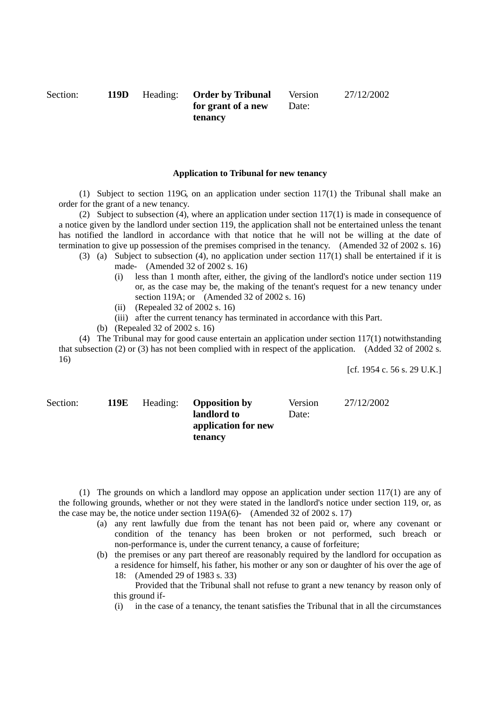Section: **119D** Heading: **Order by Tribunal for grant of a new tenancy**  Version Date: 27/12/2002

#### **Application to Tribunal for new tenancy**

(1) Subject to section 119G, on an application under section 117(1) the Tribunal shall make an order for the grant of a new tenancy.

(2) Subject to subsection (4), where an application under section  $117(1)$  is made in consequence of a notice given by the landlord under section 119, the application shall not be entertained unless the tenant has notified the landlord in accordance with that notice that he will not be willing at the date of termination to give up possession of the premises comprised in the tenancy. (Amended 32 of 2002 s. 16)

- (3) (a) Subject to subsection (4), no application under section 117(1) shall be entertained if it is made- (Amended 32 of 2002 s. 16)
	- (i) less than 1 month after, either, the giving of the landlord's notice under section 119 or, as the case may be, the making of the tenant's request for a new tenancy under section 119A; or (Amended 32 of 2002 s. 16)
	- (ii) (Repealed 32 of 2002 s. 16)
	- (iii) after the current tenancy has terminated in accordance with this Part.
	- (b) (Repealed 32 of 2002 s. 16)

(4) The Tribunal may for good cause entertain an application under section 117(1) notwithstanding that subsection (2) or (3) has not been complied with in respect of the application. (Added 32 of 2002 s. 16)

[cf. 1954 c. 56 s. 29 U.K.]

| Section: | 119E | Heading: | <b>Opposition by</b> | Version | 27/12/2002 |
|----------|------|----------|----------------------|---------|------------|
|          |      |          | landlord to          | Date:   |            |
|          |      |          | application for new  |         |            |
|          |      |          | tenancy              |         |            |

(1) The grounds on which a landlord may oppose an application under section 117(1) are any of the following grounds, whether or not they were stated in the landlord's notice under section 119, or, as the case may be, the notice under section 119A(6)- (Amended 32 of 2002 s. 17)

- (a) any rent lawfully due from the tenant has not been paid or, where any covenant or condition of the tenancy has been broken or not performed, such breach or non-performance is, under the current tenancy, a cause of forfeiture;
- (b) the premises or any part thereof are reasonably required by the landlord for occupation as a residence for himself, his father, his mother or any son or daughter of his over the age of 18: (Amended 29 of 1983 s. 33)
	- Provided that the Tribunal shall not refuse to grant a new tenancy by reason only of this ground if-
	- (i) in the case of a tenancy, the tenant satisfies the Tribunal that in all the circumstances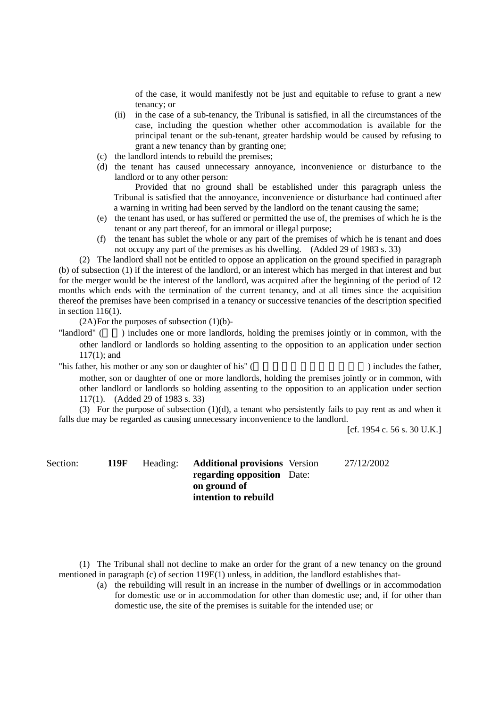of the case, it would manifestly not be just and equitable to refuse to grant a new tenancy; or

- (ii) in the case of a sub-tenancy, the Tribunal is satisfied, in all the circumstances of the case, including the question whether other accommodation is available for the principal tenant or the sub-tenant, greater hardship would be caused by refusing to grant a new tenancy than by granting one;
- (c) the landlord intends to rebuild the premises;
- (d) the tenant has caused unnecessary annoyance, inconvenience or disturbance to the landlord or to any other person:

Provided that no ground shall be established under this paragraph unless the Tribunal is satisfied that the annoyance, inconvenience or disturbance had continued after a warning in writing had been served by the landlord on the tenant causing the same;

- (e) the tenant has used, or has suffered or permitted the use of, the premises of which he is the tenant or any part thereof, for an immoral or illegal purpose;
- (f) the tenant has sublet the whole or any part of the premises of which he is tenant and does not occupy any part of the premises as his dwelling. (Added 29 of 1983 s. 33)

(2) The landlord shall not be entitled to oppose an application on the ground specified in paragraph (b) of subsection (1) if the interest of the landlord, or an interest which has merged in that interest and but for the merger would be the interest of the landlord, was acquired after the beginning of the period of 12 months which ends with the termination of the current tenancy, and at all times since the acquisition thereof the premises have been comprised in a tenancy or successive tenancies of the description specified in section 116(1).

 $(2A)$  For the purposes of subsection  $(1)(b)$ -

"landlord" () includes one or more landlords, holding the premises jointly or in common, with the other landlord or landlords so holding assenting to the opposition to an application under section 117(1); and

"his father, his mother or any son or daughter of his" (  $\qquad \qquad$ ) includes the father,

mother, son or daughter of one or more landlords, holding the premises jointly or in common, with other landlord or landlords so holding assenting to the opposition to an application under section 117(1). (Added 29 of 1983 s. 33)

(3) For the purpose of subsection (1)(d), a tenant who persistently fails to pay rent as and when it falls due may be regarded as causing unnecessary inconvenience to the landlord.

[cf. 1954 c. 56 s. 30 U.K.]

Section: **119F** Heading: **Additional provisions**  Version **regarding opposition**  Date: **on ground of intention to rebuild** 

27/12/2002

(1) The Tribunal shall not decline to make an order for the grant of a new tenancy on the ground mentioned in paragraph (c) of section 119E(1) unless, in addition, the landlord establishes that-

(a) the rebuilding will result in an increase in the number of dwellings or in accommodation for domestic use or in accommodation for other than domestic use; and, if for other than domestic use, the site of the premises is suitable for the intended use; or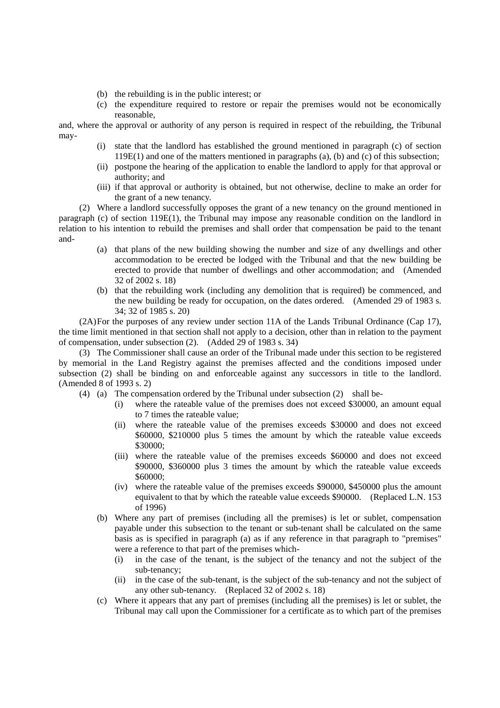- (b) the rebuilding is in the public interest; or
- (c) the expenditure required to restore or repair the premises would not be economically reasonable,

and, where the approval or authority of any person is required in respect of the rebuilding, the Tribunal may-

- (i) state that the landlord has established the ground mentioned in paragraph (c) of section 119E(1) and one of the matters mentioned in paragraphs (a), (b) and (c) of this subsection;
- (ii) postpone the hearing of the application to enable the landlord to apply for that approval or authority; and
- (iii) if that approval or authority is obtained, but not otherwise, decline to make an order for the grant of a new tenancy.

(2) Where a landlord successfully opposes the grant of a new tenancy on the ground mentioned in paragraph (c) of section 119E(1), the Tribunal may impose any reasonable condition on the landlord in relation to his intention to rebuild the premises and shall order that compensation be paid to the tenant and-

- (a) that plans of the new building showing the number and size of any dwellings and other accommodation to be erected be lodged with the Tribunal and that the new building be erected to provide that number of dwellings and other accommodation; and (Amended 32 of 2002 s. 18)
- (b) that the rebuilding work (including any demolition that is required) be commenced, and the new building be ready for occupation, on the dates ordered. (Amended 29 of 1983 s. 34; 32 of 1985 s. 20)

(2A) For the purposes of any review under section 11A of the Lands Tribunal Ordinance (Cap 17), the time limit mentioned in that section shall not apply to a decision, other than in relation to the payment of compensation, under subsection (2). (Added 29 of 1983 s. 34)

(3) The Commissioner shall cause an order of the Tribunal made under this section to be registered by memorial in the Land Registry against the premises affected and the conditions imposed under subsection (2) shall be binding on and enforceable against any successors in title to the landlord. (Amended 8 of 1993 s. 2)

- (4) (a) The compensation ordered by the Tribunal under subsection (2) shall be-
	- (i) where the rateable value of the premises does not exceed \$30000, an amount equal to 7 times the rateable value;
	- (ii) where the rateable value of the premises exceeds \$30000 and does not exceed \$60000, \$210000 plus 5 times the amount by which the rateable value exceeds \$30000;
	- (iii) where the rateable value of the premises exceeds \$60000 and does not exceed \$90000, \$360000 plus 3 times the amount by which the rateable value exceeds \$60000;
	- (iv) where the rateable value of the premises exceeds \$90000, \$450000 plus the amount equivalent to that by which the rateable value exceeds \$90000. (Replaced L.N. 153 of 1996)
	- (b) Where any part of premises (including all the premises) is let or sublet, compensation payable under this subsection to the tenant or sub-tenant shall be calculated on the same basis as is specified in paragraph (a) as if any reference in that paragraph to "premises" were a reference to that part of the premises which-
		- (i) in the case of the tenant, is the subject of the tenancy and not the subject of the sub-tenancy;
		- (ii) in the case of the sub-tenant, is the subject of the sub-tenancy and not the subject of any other sub-tenancy. (Replaced 32 of 2002 s. 18)
	- (c) Where it appears that any part of premises (including all the premises) is let or sublet, the Tribunal may call upon the Commissioner for a certificate as to which part of the premises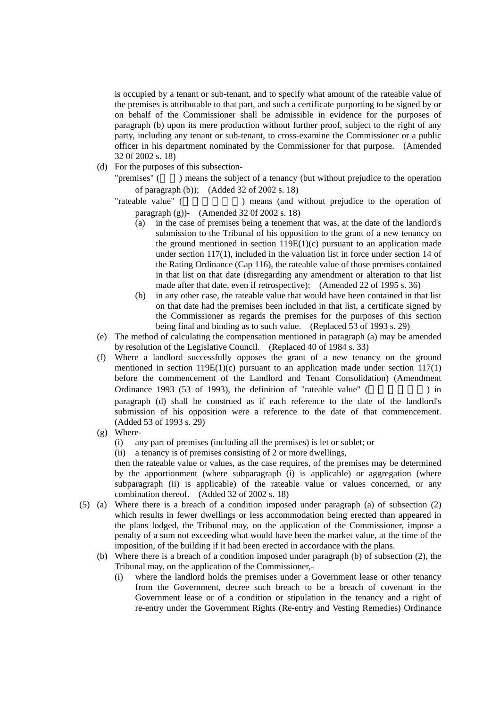is occupied by a tenant or sub-tenant, and to specify what amount of the rateable value of the premises is attributable to that part, and such a certificate purporting to be signed by or on behalf of the Commissioner shall be admissible in evidence for the purposes of paragraph (b) upon its mere production without further proof, subject to the right of any party, including any tenant or sub-tenant, to cross-examine the Commissioner or a public officer in his department nominated by the Commissioner for that purpose. (Amended 32 0f 2002 s. 18)

(d) For the purposes of this subsection-

"premises" () means the subject of a tenancy (but without prejudice to the operation of paragraph (b)); (Added 32 of 2002 s. 18)

"rateable value" ( ) means (and without prejudice to the operation of paragraph (g))- (Amended 32 0f 2002 s. 18)

- (a) in the case of premises being a tenement that was, at the date of the landlord's submission to the Tribunal of his opposition to the grant of a new tenancy on the ground mentioned in section  $119E(1)(c)$  pursuant to an application made under section 117(1), included in the valuation list in force under section 14 of the Rating Ordinance (Cap 116), the rateable value of those premises contained in that list on that date (disregarding any amendment or alteration to that list made after that date, even if retrospective); (Amended 22 of 1995 s. 36)
- (b) in any other case, the rateable value that would have been contained in that list on that date had the premises been included in that list, a certificate signed by the Commissioner as regards the premises for the purposes of this section being final and binding as to such value. (Replaced 53 of 1993 s. 29)
- (e) The method of calculating the compensation mentioned in paragraph (a) may be amended by resolution of the Legislative Council. (Replaced 40 of 1984 s. 33)
- (f) Where a landlord successfully opposes the grant of a new tenancy on the ground mentioned in section  $119E(1)(c)$  pursuant to an application made under section  $117(1)$ before the commencement of the Landlord and Tenant Consolidation) (Amendment Ordinance 1993 (53 of 1993), the definition of "rateable value" ( $\frac{1}{2}$ paragraph (d) shall be construed as if each reference to the date of the landlord's submission of his opposition were a reference to the date of that commencement. (Added 53 of 1993 s. 29)
- (g) Where-
	- (i) any part of premises (including all the premises) is let or sublet; or
	- (ii) a tenancy is of premises consisting of 2 or more dwellings,

then the rateable value or values, as the case requires, of the premises may be determined by the apportionment (where subparagraph (i) is applicable) or aggregation (where subparagraph (ii) is applicable) of the rateable value or values concerned, or any combination thereof. (Added 32 of 2002 s. 18)

- (5) (a) Where there is a breach of a condition imposed under paragraph (a) of subsection (2) which results in fewer dwellings or less accommodation being erected than appeared in the plans lodged, the Tribunal may, on the application of the Commissioner, impose a penalty of a sum not exceeding what would have been the market value, at the time of the imposition, of the building if it had been erected in accordance with the plans.
	- (b) Where there is a breach of a condition imposed under paragraph (b) of subsection (2), the Tribunal may, on the application of the Commissioner,-
		- (i) where the landlord holds the premises under a Government lease or other tenancy from the Government, decree such breach to be a breach of covenant in the Government lease or of a condition or stipulation in the tenancy and a right of re-entry under the Government Rights (Re-entry and Vesting Remedies) Ordinance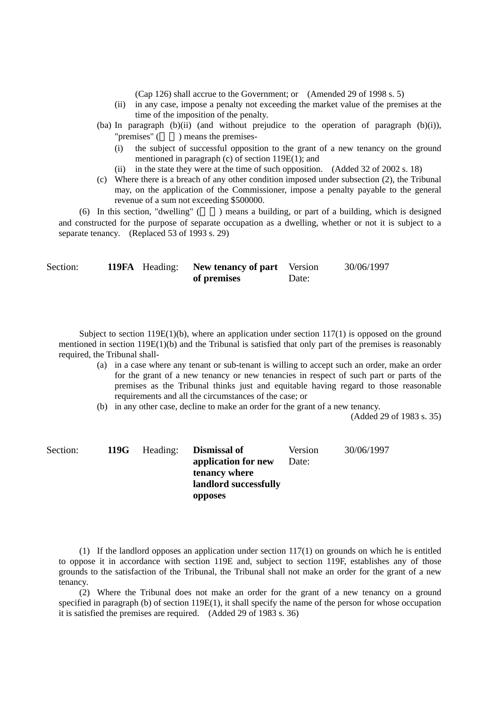(Cap 126) shall accrue to the Government; or (Amended 29 of 1998 s. 5)

- (ii) in any case, impose a penalty not exceeding the market value of the premises at the time of the imposition of the penalty.
- (ba) In paragraph (b)(ii) (and without prejudice to the operation of paragraph (b)(i)), "premises" (b) means the premises-) means the premises-
	- (i) the subject of successful opposition to the grant of a new tenancy on the ground mentioned in paragraph (c) of section 119E(1); and
	- (ii) in the state they were at the time of such opposition. (Added 32 of 2002 s. 18)
- (c) Where there is a breach of any other condition imposed under subsection (2), the Tribunal may, on the application of the Commissioner, impose a penalty payable to the general revenue of a sum not exceeding \$500000.

(6) In this section, "dwelling"  $($ ) means a building, or part of a building, which is designed and constructed for the purpose of separate occupation as a dwelling, whether or not it is subject to a separate tenancy. (Replaced 53 of 1993 s. 29)

| Section: |  | <b>119FA</b> Heading: New tenancy of part Version |       | 30/06/1997 |
|----------|--|---------------------------------------------------|-------|------------|
|          |  | of premises                                       | Date: |            |

Subject to section  $119E(1)(b)$ , where an application under section  $117(1)$  is opposed on the ground mentioned in section 119E(1)(b) and the Tribunal is satisfied that only part of the premises is reasonably required, the Tribunal shall-

- (a) in a case where any tenant or sub-tenant is willing to accept such an order, make an order for the grant of a new tenancy or new tenancies in respect of such part or parts of the premises as the Tribunal thinks just and equitable having regard to those reasonable requirements and all the circumstances of the case; or
- (b) in any other case, decline to make an order for the grant of a new tenancy.

(Added 29 of 1983 s. 35)

| Section: |  | 119G Heading: Dismissal of<br>application for new<br>tenancy where<br>landlord successfully | Version<br>Date: | 30/06/1997 |
|----------|--|---------------------------------------------------------------------------------------------|------------------|------------|
|          |  | opposes                                                                                     |                  |            |

(1) If the landlord opposes an application under section 117(1) on grounds on which he is entitled to oppose it in accordance with section 119E and, subject to section 119F, establishes any of those grounds to the satisfaction of the Tribunal, the Tribunal shall not make an order for the grant of a new tenancy.

(2) Where the Tribunal does not make an order for the grant of a new tenancy on a ground specified in paragraph (b) of section 119E(1), it shall specify the name of the person for whose occupation it is satisfied the premises are required. (Added 29 of 1983 s. 36)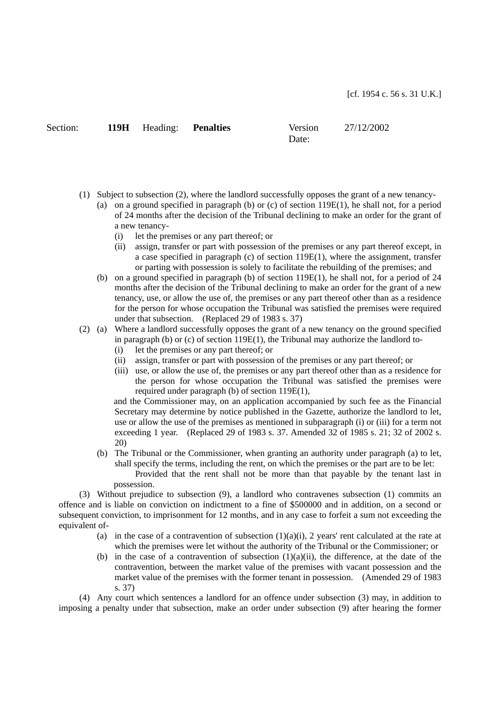| Section: |  |
|----------|--|
|          |  |

Section: **119H** Heading: **Penalties** Version

Date:

27/12/2002

- (1) Subject to subsection (2), where the landlord successfully opposes the grant of a new tenancy-
	- (a) on a ground specified in paragraph (b) or (c) of section  $119E(1)$ , he shall not, for a period of 24 months after the decision of the Tribunal declining to make an order for the grant of a new tenancy-
		- (i) let the premises or any part thereof; or
		- (ii) assign, transfer or part with possession of the premises or any part thereof except, in a case specified in paragraph (c) of section  $119E(1)$ , where the assignment, transfer or parting with possession is solely to facilitate the rebuilding of the premises; and
	- (b) on a ground specified in paragraph (b) of section 119E(1), he shall not, for a period of 24 months after the decision of the Tribunal declining to make an order for the grant of a new tenancy, use, or allow the use of, the premises or any part thereof other than as a residence for the person for whose occupation the Tribunal was satisfied the premises were required under that subsection. (Replaced 29 of 1983 s. 37)
- (2) (a) Where a landlord successfully opposes the grant of a new tenancy on the ground specified in paragraph (b) or  $(c)$  of section 119E(1), the Tribunal may authorize the landlord to-
	- (i) let the premises or any part thereof; or
	- (ii) assign, transfer or part with possession of the premises or any part thereof; or
	- (iii) use, or allow the use of, the premises or any part thereof other than as a residence for the person for whose occupation the Tribunal was satisfied the premises were required under paragraph (b) of section 119E(1),

and the Commissioner may, on an application accompanied by such fee as the Financial Secretary may determine by notice published in the Gazette, authorize the landlord to let, use or allow the use of the premises as mentioned in subparagraph (i) or (iii) for a term not exceeding 1 year. (Replaced 29 of 1983 s. 37. Amended 32 of 1985 s. 21; 32 of 2002 s. 20)

- (b) The Tribunal or the Commissioner, when granting an authority under paragraph (a) to let, shall specify the terms, including the rent, on which the premises or the part are to be let:
	- Provided that the rent shall not be more than that payable by the tenant last in possession.

(3) Without prejudice to subsection (9), a landlord who contravenes subsection (1) commits an offence and is liable on conviction on indictment to a fine of \$500000 and in addition, on a second or subsequent conviction, to imprisonment for 12 months, and in any case to forfeit a sum not exceeding the equivalent of-

- (a) in the case of a contravention of subsection  $(1)(a)(i)$ , 2 years' rent calculated at the rate at which the premises were let without the authority of the Tribunal or the Commissioner; or
- (b) in the case of a contravention of subsection  $(1)(a)(ii)$ , the difference, at the date of the contravention, between the market value of the premises with vacant possession and the market value of the premises with the former tenant in possession. (Amended 29 of 1983 s. 37)

(4) Any court which sentences a landlord for an offence under subsection (3) may, in addition to imposing a penalty under that subsection, make an order under subsection (9) after hearing the former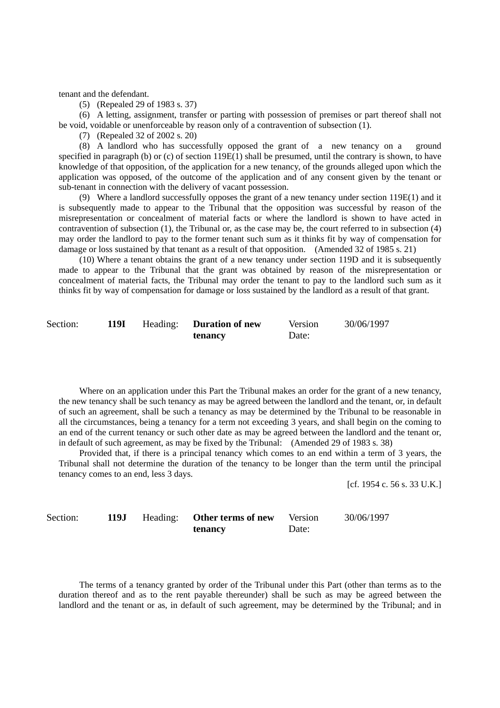tenant and the defendant.

(5) (Repealed 29 of 1983 s. 37)

(6) A letting, assignment, transfer or parting with possession of premises or part thereof shall not be void, voidable or unenforceable by reason only of a contravention of subsection (1).

(7) (Repealed 32 of 2002 s. 20)

(8) A landlord who has successfully opposed the grant of a new tenancy on a ground specified in paragraph (b) or (c) of section 119E(1) shall be presumed, until the contrary is shown, to have knowledge of that opposition, of the application for a new tenancy, of the grounds alleged upon which the application was opposed, of the outcome of the application and of any consent given by the tenant or sub-tenant in connection with the delivery of vacant possession.

(9) Where a landlord successfully opposes the grant of a new tenancy under section 119E(1) and it is subsequently made to appear to the Tribunal that the opposition was successful by reason of the misrepresentation or concealment of material facts or where the landlord is shown to have acted in contravention of subsection (1), the Tribunal or, as the case may be, the court referred to in subsection (4) may order the landlord to pay to the former tenant such sum as it thinks fit by way of compensation for damage or loss sustained by that tenant as a result of that opposition. (Amended 32 of 1985 s. 21)

(10) Where a tenant obtains the grant of a new tenancy under section 119D and it is subsequently made to appear to the Tribunal that the grant was obtained by reason of the misrepresentation or concealment of material facts, the Tribunal may order the tenant to pay to the landlord such sum as it thinks fit by way of compensation for damage or loss sustained by the landlord as a result of that grant.

| Section: | 119I | Heading: <b>Duration of new</b> | <b>Version</b> | 30/06/1997 |
|----------|------|---------------------------------|----------------|------------|
|          |      | tenancy                         | Date:          |            |

Where on an application under this Part the Tribunal makes an order for the grant of a new tenancy, the new tenancy shall be such tenancy as may be agreed between the landlord and the tenant, or, in default of such an agreement, shall be such a tenancy as may be determined by the Tribunal to be reasonable in all the circumstances, being a tenancy for a term not exceeding 3 years, and shall begin on the coming to an end of the current tenancy or such other date as may be agreed between the landlord and the tenant or, in default of such agreement, as may be fixed by the Tribunal: (Amended 29 of 1983 s. 38)

Provided that, if there is a principal tenancy which comes to an end within a term of 3 years, the Tribunal shall not determine the duration of the tenancy to be longer than the term until the principal tenancy comes to an end, less 3 days.

[cf. 1954 c. 56 s. 33 U.K.]

| Section: | 119J | Heading: Other terms of new | Version | 30/06/1997 |
|----------|------|-----------------------------|---------|------------|
|          |      | tenancy                     | Date:   |            |

The terms of a tenancy granted by order of the Tribunal under this Part (other than terms as to the duration thereof and as to the rent payable thereunder) shall be such as may be agreed between the landlord and the tenant or as, in default of such agreement, may be determined by the Tribunal; and in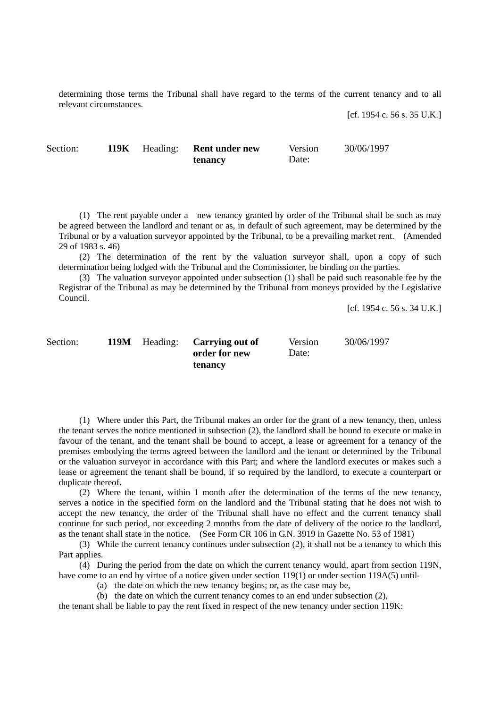determining those terms the Tribunal shall have regard to the terms of the current tenancy and to all relevant circumstances.

[cf. 1954 c. 56 s. 35 U.K.]

Section: **119K** Heading: **Rent under new tenancy**  Version Date: 30/06/1997

(1) The rent payable under a new tenancy granted by order of the Tribunal shall be such as may be agreed between the landlord and tenant or as, in default of such agreement, may be determined by the Tribunal or by a valuation surveyor appointed by the Tribunal, to be a prevailing market rent. (Amended 29 of 1983 s. 46)

(2) The determination of the rent by the valuation surveyor shall, upon a copy of such determination being lodged with the Tribunal and the Commissioner, be binding on the parties.

(3) The valuation surveyor appointed under subsection (1) shall be paid such reasonable fee by the Registrar of the Tribunal as may be determined by the Tribunal from moneys provided by the Legislative Council.

> **order for new tenancy**

[cf. 1954 c. 56 s. 34 U.K.]

Section: **119M** Heading: **Carrying out of** 

Version Date: 30/06/1997

(1) Where under this Part, the Tribunal makes an order for the grant of a new tenancy, then, unless the tenant serves the notice mentioned in subsection (2), the landlord shall be bound to execute or make in favour of the tenant, and the tenant shall be bound to accept, a lease or agreement for a tenancy of the premises embodying the terms agreed between the landlord and the tenant or determined by the Tribunal or the valuation surveyor in accordance with this Part; and where the landlord executes or makes such a lease or agreement the tenant shall be bound, if so required by the landlord, to execute a counterpart or duplicate thereof.

(2) Where the tenant, within 1 month after the determination of the terms of the new tenancy, serves a notice in the specified form on the landlord and the Tribunal stating that he does not wish to accept the new tenancy, the order of the Tribunal shall have no effect and the current tenancy shall continue for such period, not exceeding 2 months from the date of delivery of the notice to the landlord, as the tenant shall state in the notice. (See Form CR 106 in G.N. 3919 in Gazette No. 53 of 1981)

(3) While the current tenancy continues under subsection (2), it shall not be a tenancy to which this Part applies.

(4) During the period from the date on which the current tenancy would, apart from section 119N, have come to an end by virtue of a notice given under section 119(1) or under section 119A(5) until-

(a) the date on which the new tenancy begins; or, as the case may be,

(b) the date on which the current tenancy comes to an end under subsection (2),

the tenant shall be liable to pay the rent fixed in respect of the new tenancy under section 119K: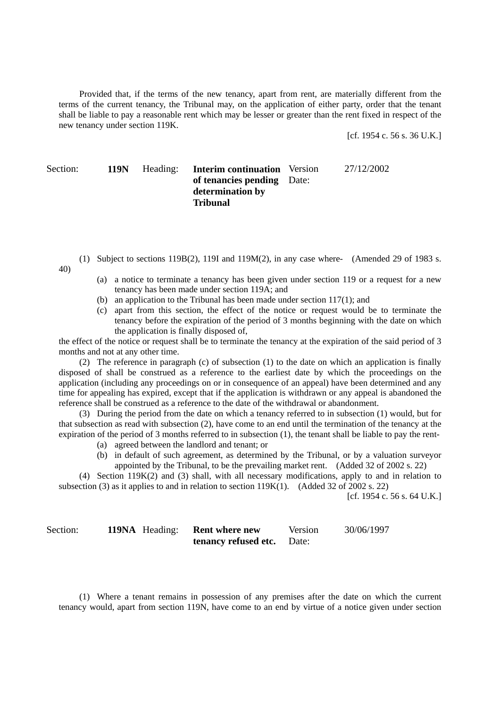Provided that, if the terms of the new tenancy, apart from rent, are materially different from the terms of the current tenancy, the Tribunal may, on the application of either party, order that the tenant shall be liable to pay a reasonable rent which may be lesser or greater than the rent fixed in respect of the new tenancy under section 119K.

[cf. 1954 c. 56 s. 36 U.K.]

#### Section: **119N** Heading: **Interim continuation**  Version **of tenancies pending**  Date: **determination by Tribunal**  27/12/2002

- (1) Subject to sections 119B(2), 119I and 119M(2), in any case where- (Amended 29 of 1983 s. 40)
	- (a) a notice to terminate a tenancy has been given under section 119 or a request for a new tenancy has been made under section 119A; and
	- (b) an application to the Tribunal has been made under section 117(1); and
	- (c) apart from this section, the effect of the notice or request would be to terminate the tenancy before the expiration of the period of 3 months beginning with the date on which the application is finally disposed of,

the effect of the notice or request shall be to terminate the tenancy at the expiration of the said period of 3 months and not at any other time.

(2) The reference in paragraph (c) of subsection (1) to the date on which an application is finally disposed of shall be construed as a reference to the earliest date by which the proceedings on the application (including any proceedings on or in consequence of an appeal) have been determined and any time for appealing has expired, except that if the application is withdrawn or any appeal is abandoned the reference shall be construed as a reference to the date of the withdrawal or abandonment.

(3) During the period from the date on which a tenancy referred to in subsection (1) would, but for that subsection as read with subsection (2), have come to an end until the termination of the tenancy at the expiration of the period of 3 months referred to in subsection (1), the tenant shall be liable to pay the rent-

- (a) agreed between the landlord and tenant; or
- (b) in default of such agreement, as determined by the Tribunal, or by a valuation surveyor appointed by the Tribunal, to be the prevailing market rent. (Added 32 of 2002 s. 22)

(4) Section 119K(2) and (3) shall, with all necessary modifications, apply to and in relation to subsection (3) as it applies to and in relation to section  $119K(1)$ . (Added 32 of 2002 s. 22)

[cf. 1954 c. 56 s. 64 U.K.]

| Section: |  | <b>119NA</b> Heading: <b>Rent where new</b> | Version | 30/06/1997 |
|----------|--|---------------------------------------------|---------|------------|
|          |  | <b>tenancy refused etc.</b> Date:           |         |            |

(1) Where a tenant remains in possession of any premises after the date on which the current tenancy would, apart from section 119N, have come to an end by virtue of a notice given under section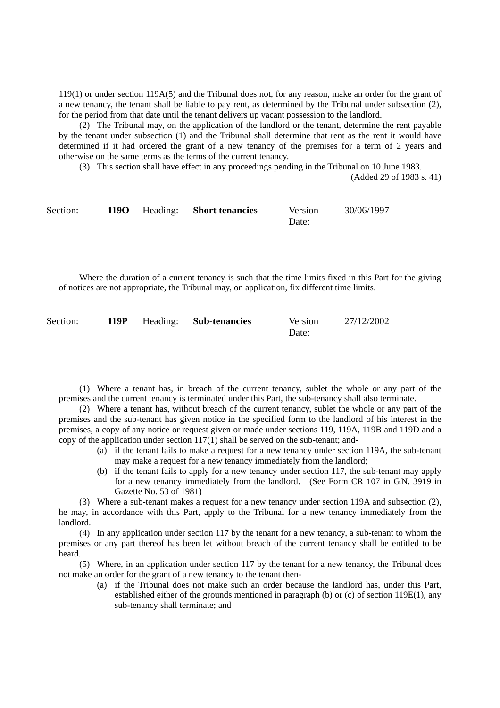119(1) or under section 119A(5) and the Tribunal does not, for any reason, make an order for the grant of a new tenancy, the tenant shall be liable to pay rent, as determined by the Tribunal under subsection (2), for the period from that date until the tenant delivers up vacant possession to the landlord.

(2) The Tribunal may, on the application of the landlord or the tenant, determine the rent payable by the tenant under subsection (1) and the Tribunal shall determine that rent as the rent it would have determined if it had ordered the grant of a new tenancy of the premises for a term of 2 years and otherwise on the same terms as the terms of the current tenancy.

(3) This section shall have effect in any proceedings pending in the Tribunal on 10 June 1983.

(Added 29 of 1983 s. 41)

| Section: |  | 1190 Heading: Short tenancies | Version | 30/06/1997 |
|----------|--|-------------------------------|---------|------------|
|          |  |                               | Date:   |            |

Where the duration of a current tenancy is such that the time limits fixed in this Part for the giving of notices are not appropriate, the Tribunal may, on application, fix different time limits.

| Section: |  | 119P Heading: Sub-tenancies | Version | 27/12/2002 |
|----------|--|-----------------------------|---------|------------|
|          |  |                             | Date:   |            |

(1) Where a tenant has, in breach of the current tenancy, sublet the whole or any part of the premises and the current tenancy is terminated under this Part, the sub-tenancy shall also terminate.

(2) Where a tenant has, without breach of the current tenancy, sublet the whole or any part of the premises and the sub-tenant has given notice in the specified form to the landlord of his interest in the premises, a copy of any notice or request given or made under sections 119, 119A, 119B and 119D and a copy of the application under section  $117(1)$  shall be served on the sub-tenant; and-

- (a) if the tenant fails to make a request for a new tenancy under section 119A, the sub-tenant may make a request for a new tenancy immediately from the landlord:
- (b) if the tenant fails to apply for a new tenancy under section 117, the sub-tenant may apply for a new tenancy immediately from the landlord. (See Form CR 107 in G.N. 3919 in Gazette No. 53 of 1981)

(3) Where a sub-tenant makes a request for a new tenancy under section 119A and subsection (2), he may, in accordance with this Part, apply to the Tribunal for a new tenancy immediately from the landlord.

(4) In any application under section 117 by the tenant for a new tenancy, a sub-tenant to whom the premises or any part thereof has been let without breach of the current tenancy shall be entitled to be heard.

(5) Where, in an application under section 117 by the tenant for a new tenancy, the Tribunal does not make an order for the grant of a new tenancy to the tenant then-

(a) if the Tribunal does not make such an order because the landlord has, under this Part, established either of the grounds mentioned in paragraph (b) or (c) of section 119E(1), any sub-tenancy shall terminate; and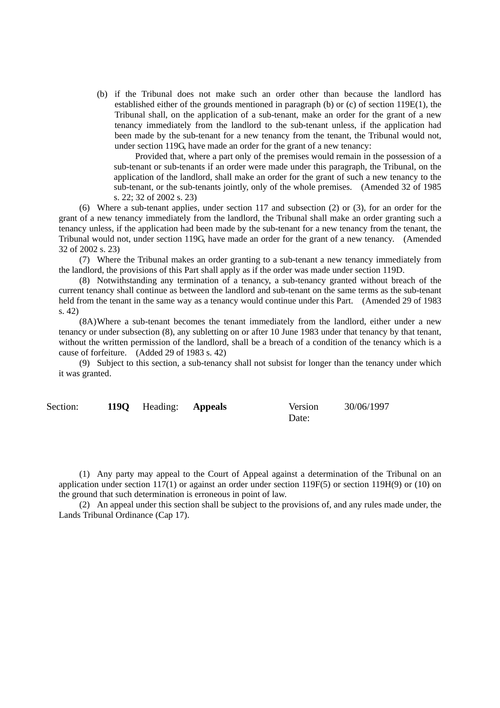(b) if the Tribunal does not make such an order other than because the landlord has established either of the grounds mentioned in paragraph (b) or (c) of section 119E(1), the Tribunal shall, on the application of a sub-tenant, make an order for the grant of a new tenancy immediately from the landlord to the sub-tenant unless, if the application had been made by the sub-tenant for a new tenancy from the tenant, the Tribunal would not, under section 119G, have made an order for the grant of a new tenancy:

Provided that, where a part only of the premises would remain in the possession of a sub-tenant or sub-tenants if an order were made under this paragraph, the Tribunal, on the application of the landlord, shall make an order for the grant of such a new tenancy to the sub-tenant, or the sub-tenants jointly, only of the whole premises. (Amended 32 of 1985 s. 22; 32 of 2002 s. 23)

(6) Where a sub-tenant applies, under section 117 and subsection (2) or (3), for an order for the grant of a new tenancy immediately from the landlord, the Tribunal shall make an order granting such a tenancy unless, if the application had been made by the sub-tenant for a new tenancy from the tenant, the Tribunal would not, under section 119G, have made an order for the grant of a new tenancy. (Amended 32 of 2002 s. 23)

(7) Where the Tribunal makes an order granting to a sub-tenant a new tenancy immediately from the landlord, the provisions of this Part shall apply as if the order was made under section 119D.

(8) Notwithstanding any termination of a tenancy, a sub-tenancy granted without breach of the current tenancy shall continue as between the landlord and sub-tenant on the same terms as the sub-tenant held from the tenant in the same way as a tenancy would continue under this Part. (Amended 29 of 1983 s. 42)

(8A) Where a sub-tenant becomes the tenant immediately from the landlord, either under a new tenancy or under subsection (8), any subletting on or after 10 June 1983 under that tenancy by that tenant, without the written permission of the landlord, shall be a breach of a condition of the tenancy which is a cause of forfeiture. (Added 29 of 1983 s. 42)

(9) Subject to this section, a sub-tenancy shall not subsist for longer than the tenancy under which it was granted.

| Section: | 119Q Heading: Appeals | Version | 30/06/1997 |
|----------|-----------------------|---------|------------|
|          |                       | Date:   |            |

(1) Any party may appeal to the Court of Appeal against a determination of the Tribunal on an application under section 117(1) or against an order under section 119F(5) or section 119H(9) or (10) on the ground that such determination is erroneous in point of law.

(2) An appeal under this section shall be subject to the provisions of, and any rules made under, the Lands Tribunal Ordinance (Cap 17).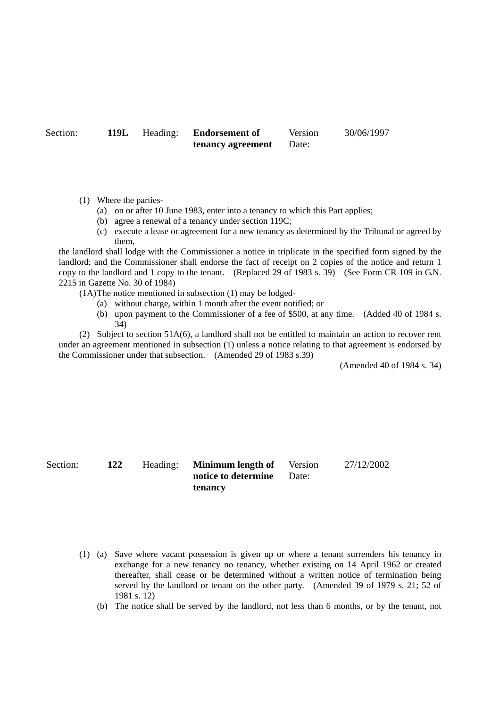Section: **119L** Heading: **Endorsement of tenancy agreement** 

Version Date:

30/06/1997

- (1) Where the parties-
	- (a) on or after 10 June 1983, enter into a tenancy to which this Part applies;
	- (b) agree a renewal of a tenancy under section 119C;
	- (c) execute a lease or agreement for a new tenancy as determined by the Tribunal or agreed by them,

the landlord shall lodge with the Commissioner a notice in triplicate in the specified form signed by the landlord; and the Commissioner shall endorse the fact of receipt on 2 copies of the notice and return 1 copy to the landlord and 1 copy to the tenant. (Replaced 29 of 1983 s. 39) (See Form CR 109 in G.N. 2215 in Gazette No. 30 of 1984)

- (1A) The notice mentioned in subsection (1) may be lodged-
	- (a) without charge, within 1 month after the event notified; or
	- (b) upon payment to the Commissioner of a fee of \$500, at any time. (Added 40 of 1984 s. 34)

(2) Subject to section 51A(6), a landlord shall not be entitled to maintain an action to recover rent under an agreement mentioned in subsection (1) unless a notice relating to that agreement is endorsed by the Commissioner under that subsection. (Amended 29 of 1983 s.39)

(Amended 40 of 1984 s. 34)

Section: **122** Heading: **Minimum length of notice to determine tenancy**  Version Date: 27/12/2002

- (1) (a) Save where vacant possession is given up or where a tenant surrenders his tenancy in exchange for a new tenancy no tenancy, whether existing on 14 April 1962 or created thereafter, shall cease or be determined without a written notice of termination being served by the landlord or tenant on the other party. (Amended 39 of 1979 s. 21; 52 of 1981 s. 12)
	- (b) The notice shall be served by the landlord, not less than 6 months, or by the tenant, not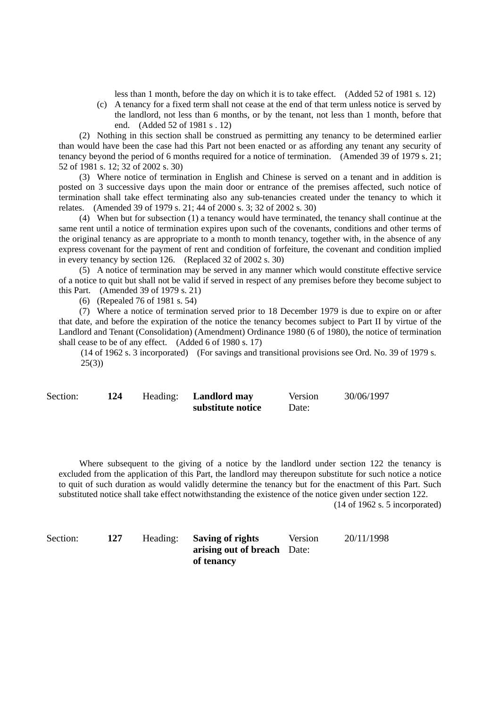less than 1 month, before the day on which it is to take effect. (Added 52 of 1981 s. 12)

(c) A tenancy for a fixed term shall not cease at the end of that term unless notice is served by the landlord, not less than 6 months, or by the tenant, not less than 1 month, before that end. (Added 52 of 1981 s . 12)

(2) Nothing in this section shall be construed as permitting any tenancy to be determined earlier than would have been the case had this Part not been enacted or as affording any tenant any security of tenancy beyond the period of 6 months required for a notice of termination. (Amended 39 of 1979 s. 21; 52 of 1981 s. 12; 32 of 2002 s. 30)

(3) Where notice of termination in English and Chinese is served on a tenant and in addition is posted on 3 successive days upon the main door or entrance of the premises affected, such notice of termination shall take effect terminating also any sub-tenancies created under the tenancy to which it relates. (Amended 39 of 1979 s. 21; 44 of 2000 s. 3; 32 of 2002 s. 30)

(4) When but for subsection (1) a tenancy would have terminated, the tenancy shall continue at the same rent until a notice of termination expires upon such of the covenants, conditions and other terms of the original tenancy as are appropriate to a month to month tenancy, together with, in the absence of any express covenant for the payment of rent and condition of forfeiture, the covenant and condition implied in every tenancy by section 126. (Replaced 32 of 2002 s. 30)

(5) A notice of termination may be served in any manner which would constitute effective service of a notice to quit but shall not be valid if served in respect of any premises before they become subject to this Part. (Amended 39 of 1979 s. 21)

(6) (Repealed 76 of 1981 s. 54)

(7) Where a notice of termination served prior to 18 December 1979 is due to expire on or after that date, and before the expiration of the notice the tenancy becomes subject to Part II by virtue of the Landlord and Tenant (Consolidation) (Amendment) Ordinance 1980 (6 of 1980), the notice of termination shall cease to be of any effect. (Added 6 of 1980 s. 17)

(14 of 1962 s. 3 incorporated) (For savings and transitional provisions see Ord. No. 39 of 1979 s.  $25(3)$ 

| Section: | 124 | Heading: Landlord may | Version | 30/06/1997 |
|----------|-----|-----------------------|---------|------------|
|          |     | substitute notice     | Date:   |            |

Where subsequent to the giving of a notice by the landlord under section 122 the tenancy is excluded from the application of this Part, the landlord may thereupon substitute for such notice a notice to quit of such duration as would validly determine the tenancy but for the enactment of this Part. Such substituted notice shall take effect notwithstanding the existence of the notice given under section 122.

(14 of 1962 s. 5 incorporated)

| Section: | 127 | Heading: Saving of rights   | Version | 20/11/1998 |
|----------|-----|-----------------------------|---------|------------|
|          |     | arising out of breach Date: |         |            |
|          |     | of tenancy                  |         |            |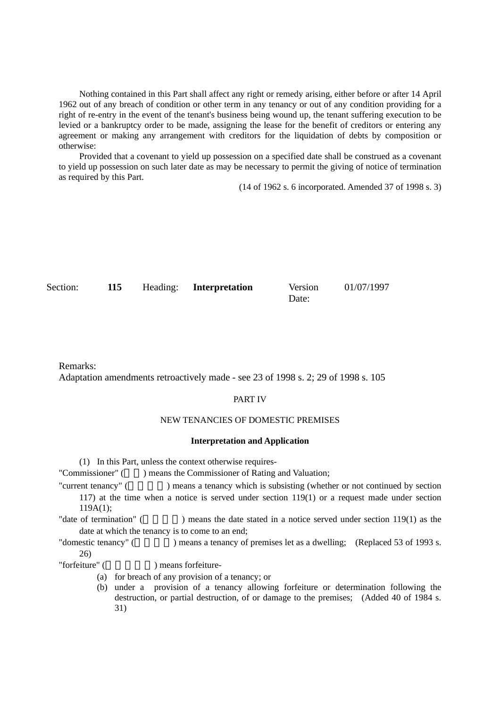Nothing contained in this Part shall affect any right or remedy arising, either before or after 14 April 1962 out of any breach of condition or other term in any tenancy or out of any condition providing for a right of re-entry in the event of the tenant's business being wound up, the tenant suffering execution to be levied or a bankruptcy order to be made, assigning the lease for the benefit of creditors or entering any agreement or making any arrangement with creditors for the liquidation of debts by composition or otherwise:

Provided that a covenant to yield up possession on a specified date shall be construed as a covenant to yield up possession on such later date as may be necessary to permit the giving of notice of termination as required by this Part.

(14 of 1962 s. 6 incorporated. Amended 37 of 1998 s. 3)

| Section: | 115 | Heading: Interpretation | Version | 01/07/1997 |
|----------|-----|-------------------------|---------|------------|
|          |     |                         | Date:   |            |

Remarks: Adaptation amendments retroactively made - see 23 of 1998 s. 2; 29 of 1998 s. 105

## PART IV

## NEW TENANCIES OF DOMESTIC PREMISES

### **Interpretation and Application**

(1) In this Part, unless the context otherwise requires-

"Commissioner" () means the Commissioner of Rating and Valuation;

"current tenancy" () means a tenancy which is subsisting (whether or not continued by section 117) at the time when a notice is served under section 119(1) or a request made under section 119A(1);

"date of termination" () means the date stated in a notice served under section 119(1) as the date at which the tenancy is to come to an end;

"domestic tenancy" (
) means a tenancy of premises let as a dwelling; (Replaced 53 of 1993 s. 26)

"forfeiture" (  $\qquad \qquad$ ) means forfeiture-

- (a) for breach of any provision of a tenancy; or
- (b) under a provision of a tenancy allowing forfeiture or determination following the destruction, or partial destruction, of or damage to the premises; (Added 40 of 1984 s. 31)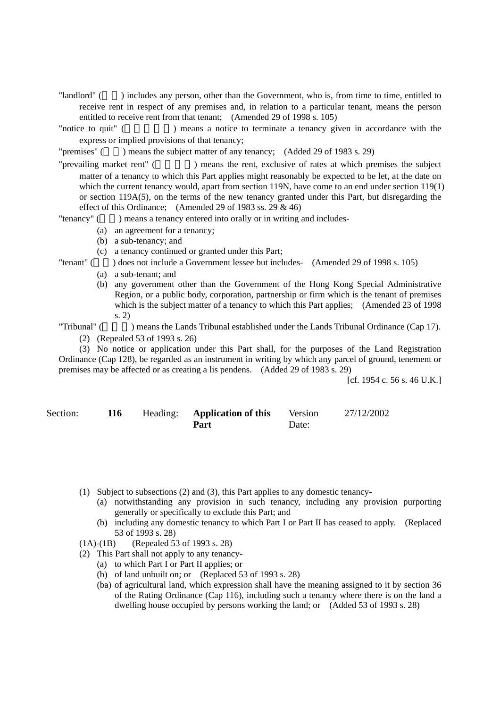- "landlord" (業主) includes any person, other than the Government, who is, from time to time, entitled to receive rent in respect of any premises and, in relation to a particular tenant, means the person entitled to receive rent from that tenant; (Amended 29 of 1998 s. 105)
- "notice to quit" () means a notice to terminate a tenancy given in accordance with the express or implied provisions of that tenancy;
- "premises" ( $\qquad$ ) means the subject matter of any tenancy; (Added 29 of 1983 s. 29)
- "prevailing market rent" (
Figure 1) means the rent, exclusive of rates at which premises the subject matter of a tenancy to which this Part applies might reasonably be expected to be let, at the date on which the current tenancy would, apart from section 119N, have come to an end under section 119(1) or section 119A(5), on the terms of the new tenancy granted under this Part, but disregarding the effect of this Ordinance; (Amended 29 of 1983 ss. 29  $\&$  46)
- "tenancy" () means a tenancy entered into orally or in writing and includes-
	- (a) an agreement for a tenancy;
	- (b) a sub-tenancy; and
	- (c) a tenancy continued or granted under this Part;
- "tenant" (a) does not include a Government lessee but includes- (Amended 29 of 1998 s. 105)
	- (a) a sub-tenant; and
		- (b) any government other than the Government of the Hong Kong Special Administrative Region, or a public body, corporation, partnership or firm which is the tenant of premises which is the subject matter of a tenancy to which this Part applies; (Amended 23 of 1998) s. 2)

"Tribunal" (  $\blacksquare$  ) means the Lands Tribunal established under the Lands Tribunal Ordinance (Cap 17).

(2) (Repealed 53 of 1993 s. 26)

(3) No notice or application under this Part shall, for the purposes of the Land Registration Ordinance (Cap 128), be regarded as an instrument in writing by which any parcel of ground, tenement or premises may be affected or as creating a lis pendens. (Added 29 of 1983 s. 29)

[cf. 1954 c. 56 s. 46 U.K.]

| Section: | 116 | Heading: <b>Application of this</b> | Version | 27/12/2002 |
|----------|-----|-------------------------------------|---------|------------|
|          |     | Part                                | Date:   |            |

- (1) Subject to subsections (2) and (3), this Part applies to any domestic tenancy-
	- (a) notwithstanding any provision in such tenancy, including any provision purporting generally or specifically to exclude this Part; and
	- (b) including any domestic tenancy to which Part I or Part II has ceased to apply. (Replaced 53 of 1993 s. 28)
- (1A)-(1B) (Repealed 53 of 1993 s. 28)
- (2) This Part shall not apply to any tenancy-
	- (a) to which Part I or Part II applies; or
	- (b) of land unbuilt on; or (Replaced 53 of 1993 s. 28)
	- (ba) of agricultural land, which expression shall have the meaning assigned to it by section 36 of the Rating Ordinance (Cap 116), including such a tenancy where there is on the land a dwelling house occupied by persons working the land; or (Added 53 of 1993 s. 28)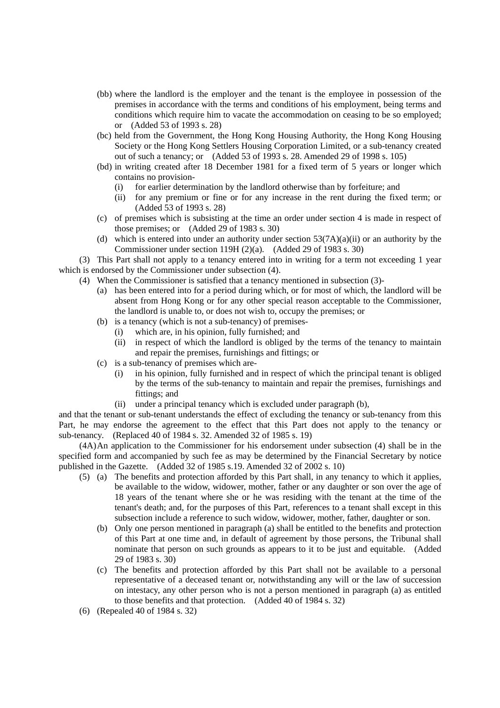- (bb) where the landlord is the employer and the tenant is the employee in possession of the premises in accordance with the terms and conditions of his employment, being terms and conditions which require him to vacate the accommodation on ceasing to be so employed; or (Added 53 of 1993 s. 28)
- (bc) held from the Government, the Hong Kong Housing Authority, the Hong Kong Housing Society or the Hong Kong Settlers Housing Corporation Limited, or a sub-tenancy created out of such a tenancy; or (Added 53 of 1993 s. 28. Amended 29 of 1998 s. 105)
- (bd) in writing created after 18 December 1981 for a fixed term of 5 years or longer which contains no provision-
	- (i) for earlier determination by the landlord otherwise than by forfeiture; and
	- (ii) for any premium or fine or for any increase in the rent during the fixed term; or (Added 53 of 1993 s. 28)
- (c) of premises which is subsisting at the time an order under section 4 is made in respect of those premises; or (Added 29 of 1983 s. 30)
- (d) which is entered into under an authority under section  $53(7A)(a)(ii)$  or an authority by the Commissioner under section 119H (2)(a). (Added 29 of 1983 s. 30)

(3) This Part shall not apply to a tenancy entered into in writing for a term not exceeding 1 year which is endorsed by the Commissioner under subsection (4).

- (4) When the Commissioner is satisfied that a tenancy mentioned in subsection (3)-
	- (a) has been entered into for a period during which, or for most of which, the landlord will be absent from Hong Kong or for any other special reason acceptable to the Commissioner, the landlord is unable to, or does not wish to, occupy the premises; or
	- (b) is a tenancy (which is not a sub-tenancy) of premises-
		- (i) which are, in his opinion, fully furnished; and
		- (ii) in respect of which the landlord is obliged by the terms of the tenancy to maintain and repair the premises, furnishings and fittings; or
	- (c) is a sub-tenancy of premises which are-
		- (i) in his opinion, fully furnished and in respect of which the principal tenant is obliged by the terms of the sub-tenancy to maintain and repair the premises, furnishings and fittings; and
		- (ii) under a principal tenancy which is excluded under paragraph (b),

and that the tenant or sub-tenant understands the effect of excluding the tenancy or sub-tenancy from this Part, he may endorse the agreement to the effect that this Part does not apply to the tenancy or sub-tenancy. (Replaced 40 of 1984 s. 32. Amended 32 of 1985 s. 19)

(4A) An application to the Commissioner for his endorsement under subsection (4) shall be in the specified form and accompanied by such fee as may be determined by the Financial Secretary by notice published in the Gazette. (Added 32 of 1985 s.19. Amended 32 of 2002 s. 10)

- (5) (a) The benefits and protection afforded by this Part shall, in any tenancy to which it applies, be available to the widow, widower, mother, father or any daughter or son over the age of 18 years of the tenant where she or he was residing with the tenant at the time of the tenant's death; and, for the purposes of this Part, references to a tenant shall except in this subsection include a reference to such widow, widower, mother, father, daughter or son.
	- (b) Only one person mentioned in paragraph (a) shall be entitled to the benefits and protection of this Part at one time and, in default of agreement by those persons, the Tribunal shall nominate that person on such grounds as appears to it to be just and equitable. (Added 29 of 1983 s. 30)
	- (c) The benefits and protection afforded by this Part shall not be available to a personal representative of a deceased tenant or, notwithstanding any will or the law of succession on intestacy, any other person who is not a person mentioned in paragraph (a) as entitled to those benefits and that protection. (Added 40 of 1984 s. 32)
- (6) (Repealed 40 of 1984 s. 32)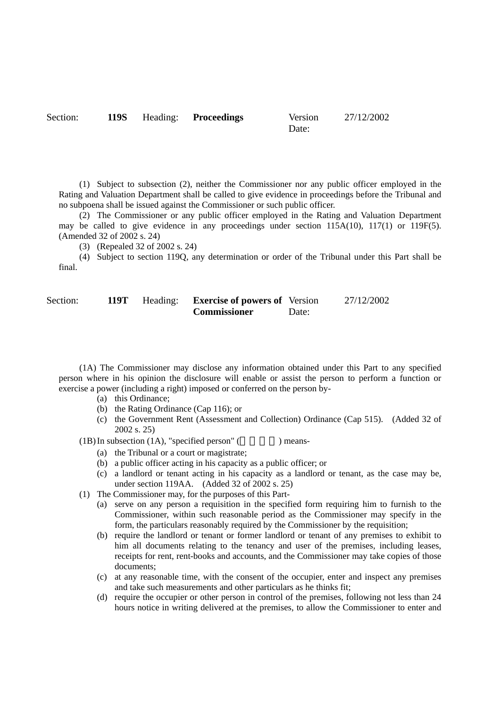Section: **119S** Heading: **Proceedings** Version

```
Date:
```
27/12/2002

(1) Subject to subsection (2), neither the Commissioner nor any public officer employed in the Rating and Valuation Department shall be called to give evidence in proceedings before the Tribunal and no subpoena shall be issued against the Commissioner or such public officer.

(2) The Commissioner or any public officer employed in the Rating and Valuation Department may be called to give evidence in any proceedings under section  $115A(10)$ ,  $117(1)$  or  $119F(5)$ . (Amended 32 of 2002 s. 24)

(3) (Repealed 32 of 2002 s. 24)

(4) Subject to section 119Q, any determination or order of the Tribunal under this Part shall be final.

| Section: |  |
|----------|--|
|          |  |

| Section: | 119Т | Heading: <b>Exercise of powers of</b> Version |       | 27/12/2002 |
|----------|------|-----------------------------------------------|-------|------------|
|          |      | <b>Commissioner</b>                           | Date: |            |

(1A) The Commissioner may disclose any information obtained under this Part to any specified person where in his opinion the disclosure will enable or assist the person to perform a function or exercise a power (including a right) imposed or conferred on the person by-

- (a) this Ordinance;
- (b) the Rating Ordinance (Cap 116); or
- (c) the Government Rent (Assessment and Collection) Ordinance (Cap 515). (Added 32 of 2002 s. 25)

 $(1B)$  In subsection  $(1A)$ , "specified person" () means-

- (a) the Tribunal or a court or magistrate;
- (b) a public officer acting in his capacity as a public officer; or
- (c) a landlord or tenant acting in his capacity as a landlord or tenant, as the case may be, under section 119AA. (Added 32 of 2002 s. 25)
- (1) The Commissioner may, for the purposes of this Part-
	- (a) serve on any person a requisition in the specified form requiring him to furnish to the Commissioner, within such reasonable period as the Commissioner may specify in the form, the particulars reasonably required by the Commissioner by the requisition;
	- (b) require the landlord or tenant or former landlord or tenant of any premises to exhibit to him all documents relating to the tenancy and user of the premises, including leases, receipts for rent, rent-books and accounts, and the Commissioner may take copies of those documents;
	- (c) at any reasonable time, with the consent of the occupier, enter and inspect any premises and take such measurements and other particulars as he thinks fit;
	- (d) require the occupier or other person in control of the premises, following not less than 24 hours notice in writing delivered at the premises, to allow the Commissioner to enter and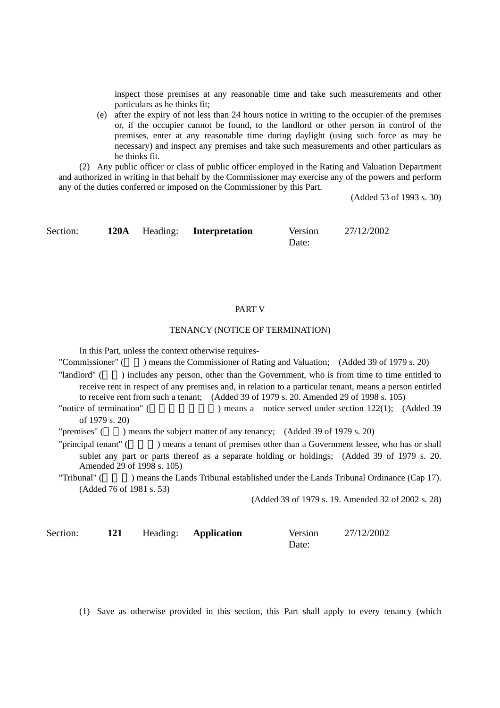inspect those premises at any reasonable time and take such measurements and other particulars as he thinks fit;

(e) after the expiry of not less than 24 hours notice in writing to the occupier of the premises or, if the occupier cannot be found, to the landlord or other person in control of the premises, enter at any reasonable time during daylight (using such force as may be necessary) and inspect any premises and take such measurements and other particulars as he thinks fit.

(2) Any public officer or class of public officer employed in the Rating and Valuation Department and authorized in writing in that behalf by the Commissioner may exercise any of the powers and perform any of the duties conferred or imposed on the Commissioner by this Part.

(Added 53 of 1993 s. 30)

Section: **120A** Heading: **Interpretation** Version Date: 27/12/2002

## PART V

## TENANCY (NOTICE OF TERMINATION)

In this Part, unless the context otherwise requires-

"Commissioner" () means the Commissioner of Rating and Valuation; (Added 39 of 1979 s. 20)

"landlord" () includes any person, other than the Government, who is from time to time entitled to receive rent in respect of any premises and, in relation to a particular tenant, means a person entitled to receive rent from such a tenant; (Added 39 of 1979 s. 20. Amended 29 of 1998 s. 105)

"notice of termination" (
Weap a notice served under section 122(1); (Added 39 of 1979 s. 20)

"premises" () means the subject matter of any tenancy; (Added 39 of 1979 s. 20)

"principal tenant" () means a tenant of premises other than a Government lessee, who has or shall sublet any part or parts thereof as a separate holding or holdings; (Added 39 of 1979 s. 20. Amended 29 of 1998 s. 105)

"Tribunal" (Tribunal" (Bassense the Lands Tribunal established under the Lands Tribunal Ordinance (Cap 17). (Added 76 of 1981 s. 53)

(Added 39 of 1979 s. 19. Amended 32 of 2002 s. 28)

| Section: | 121 | Heading: <b>Application</b> | Version | 27/12/2002 |
|----------|-----|-----------------------------|---------|------------|
|          |     |                             | Date:   |            |

(1) Save as otherwise provided in this section, this Part shall apply to every tenancy (which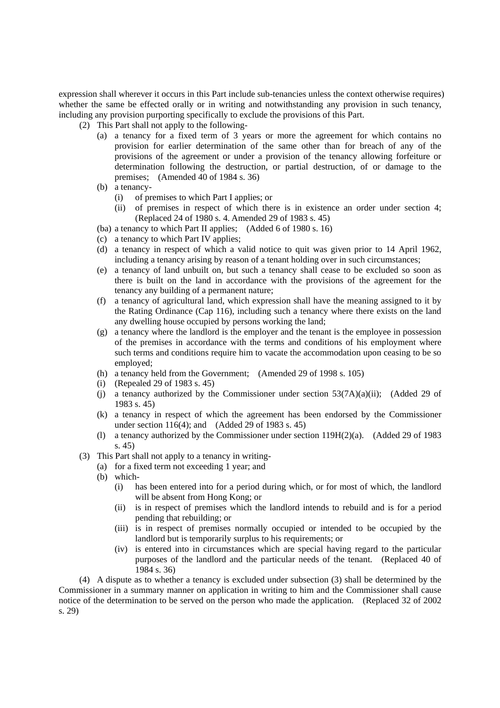expression shall wherever it occurs in this Part include sub-tenancies unless the context otherwise requires) whether the same be effected orally or in writing and notwithstanding any provision in such tenancy, including any provision purporting specifically to exclude the provisions of this Part.

(2) This Part shall not apply to the following-

- (a) a tenancy for a fixed term of 3 years or more the agreement for which contains no provision for earlier determination of the same other than for breach of any of the provisions of the agreement or under a provision of the tenancy allowing forfeiture or determination following the destruction, or partial destruction, of or damage to the premises; (Amended 40 of 1984 s. 36)
- (b) a tenancy-
	- (i) of premises to which Part I applies; or
	- (ii) of premises in respect of which there is in existence an order under section 4; (Replaced 24 of 1980 s. 4. Amended 29 of 1983 s. 45)
- (ba) a tenancy to which Part II applies; (Added 6 of 1980 s. 16)
- (c) a tenancy to which Part IV applies;
- (d) a tenancy in respect of which a valid notice to quit was given prior to 14 April 1962, including a tenancy arising by reason of a tenant holding over in such circumstances;
- (e) a tenancy of land unbuilt on, but such a tenancy shall cease to be excluded so soon as there is built on the land in accordance with the provisions of the agreement for the tenancy any building of a permanent nature;
- (f) a tenancy of agricultural land, which expression shall have the meaning assigned to it by the Rating Ordinance (Cap 116), including such a tenancy where there exists on the land any dwelling house occupied by persons working the land;
- (g) a tenancy where the landlord is the employer and the tenant is the employee in possession of the premises in accordance with the terms and conditions of his employment where such terms and conditions require him to vacate the accommodation upon ceasing to be so employed;
- (h) a tenancy held from the Government; (Amended 29 of 1998 s. 105)
- (i) (Repealed 29 of 1983 s. 45)
- (i) a tenancy authorized by the Commissioner under section  $53(7A)(a)(ii)$ ; (Added 29 of 1983 s. 45)
- (k) a tenancy in respect of which the agreement has been endorsed by the Commissioner under section 116(4); and (Added 29 of 1983 s. 45)
- (l) a tenancy authorized by the Commissioner under section 119H(2)(a). (Added 29 of 1983 s. 45)
- (3) This Part shall not apply to a tenancy in writing-
	- (a) for a fixed term not exceeding 1 year; and
	- (b) which-
		- (i) has been entered into for a period during which, or for most of which, the landlord will be absent from Hong Kong; or
		- (ii) is in respect of premises which the landlord intends to rebuild and is for a period pending that rebuilding; or
		- (iii) is in respect of premises normally occupied or intended to be occupied by the landlord but is temporarily surplus to his requirements; or
		- (iv) is entered into in circumstances which are special having regard to the particular purposes of the landlord and the particular needs of the tenant. (Replaced 40 of 1984 s. 36)

(4) A dispute as to whether a tenancy is excluded under subsection (3) shall be determined by the Commissioner in a summary manner on application in writing to him and the Commissioner shall cause notice of the determination to be served on the person who made the application. (Replaced 32 of 2002 s. 29)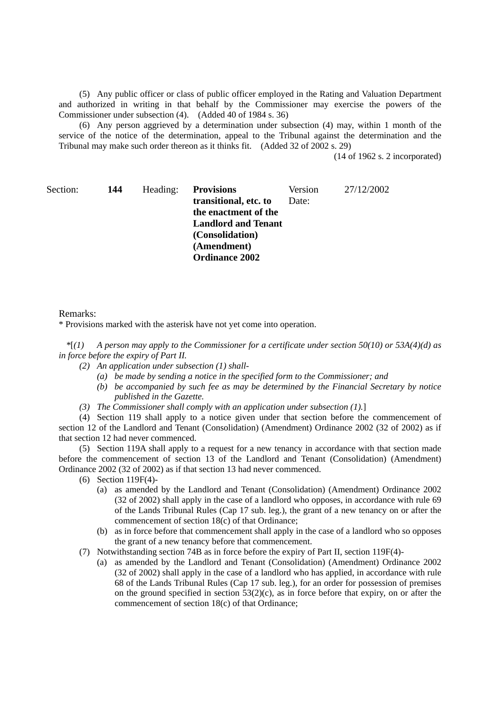(5) Any public officer or class of public officer employed in the Rating and Valuation Department and authorized in writing in that behalf by the Commissioner may exercise the powers of the Commissioner under subsection (4). (Added 40 of 1984 s. 36)

(6) Any person aggrieved by a determination under subsection (4) may, within 1 month of the service of the notice of the determination, appeal to the Tribunal against the determination and the Tribunal may make such order thereon as it thinks fit. (Added 32 of 2002 s. 29)

(14 of 1962 s. 2 incorporated)

Section: **144** Heading: **Provisions** 

**transitional, etc. to the enactment of the Landlord and Tenant (Consolidation) (Amendment) Ordinance 2002**  Version Date:

27/12/2002

### Remarks:

\* Provisions marked with the asterisk have not yet come into operation.

*\**[*(1) A person may apply to the Commissioner for a certificate under section 50(10) or 53A(4)(d) as in force before the expiry of Part II.* 

- *(2) An application under subsection (1) shall-* 
	- *(a) be made by sending a notice in the specified form to the Commissioner; and*
	- *(b) be accompanied by such fee as may be determined by the Financial Secretary by notice published in the Gazette.*
- *(3) The Commissioner shall comply with an application under subsection (1).*]

(4) Section 119 shall apply to a notice given under that section before the commencement of section 12 of the Landlord and Tenant (Consolidation) (Amendment) Ordinance 2002 (32 of 2002) as if that section 12 had never commenced.

(5) Section 119A shall apply to a request for a new tenancy in accordance with that section made before the commencement of section 13 of the Landlord and Tenant (Consolidation) (Amendment) Ordinance 2002 (32 of 2002) as if that section 13 had never commenced.

(6) Section 119F(4)-

- (a) as amended by the Landlord and Tenant (Consolidation) (Amendment) Ordinance 2002 (32 of 2002) shall apply in the case of a landlord who opposes, in accordance with rule 69 of the Lands Tribunal Rules (Cap 17 sub. leg.), the grant of a new tenancy on or after the commencement of section 18(c) of that Ordinance;
- (b) as in force before that commencement shall apply in the case of a landlord who so opposes the grant of a new tenancy before that commencement.
- (7) Notwithstanding section 74B as in force before the expiry of Part II, section 119F(4)-
	- (a) as amended by the Landlord and Tenant (Consolidation) (Amendment) Ordinance 2002 (32 of 2002) shall apply in the case of a landlord who has applied, in accordance with rule 68 of the Lands Tribunal Rules (Cap 17 sub. leg.), for an order for possession of premises on the ground specified in section  $53(2)(c)$ , as in force before that expiry, on or after the commencement of section 18(c) of that Ordinance;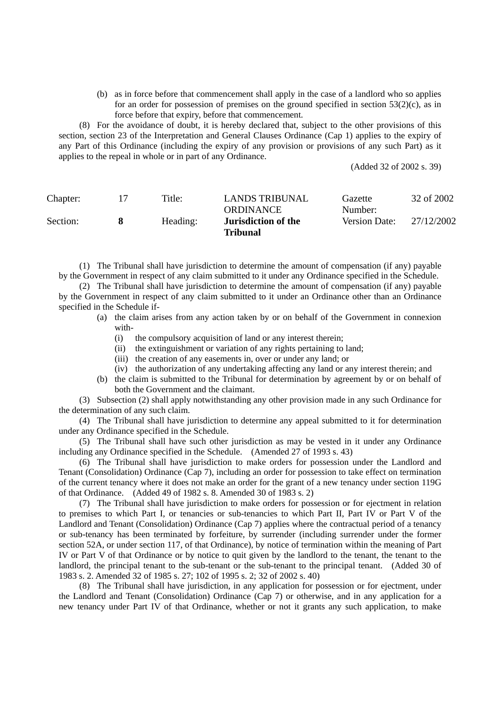(b) as in force before that commencement shall apply in the case of a landlord who so applies for an order for possession of premises on the ground specified in section 53(2)(c), as in force before that expiry, before that commencement.

(8) For the avoidance of doubt, it is hereby declared that, subject to the other provisions of this section, section 23 of the Interpretation and General Clauses Ordinance (Cap 1) applies to the expiry of any Part of this Ordinance (including the expiry of any provision or provisions of any such Part) as it applies to the repeal in whole or in part of any Ordinance.

(Added 32 of 2002 s. 39)

| Chapter: | Title:   | <b>LANDS TRIBUNAL</b><br>ORDINANCE            | Gazette<br>Number:   | 32 of 2002 |
|----------|----------|-----------------------------------------------|----------------------|------------|
| Section: | Heading: | <b>Jurisdiction of the</b><br><b>Tribunal</b> | <b>Version Date:</b> | 27/12/2002 |

(1) The Tribunal shall have jurisdiction to determine the amount of compensation (if any) payable by the Government in respect of any claim submitted to it under any Ordinance specified in the Schedule.

(2) The Tribunal shall have jurisdiction to determine the amount of compensation (if any) payable by the Government in respect of any claim submitted to it under an Ordinance other than an Ordinance specified in the Schedule if-

- (a) the claim arises from any action taken by or on behalf of the Government in connexion with-
	- (i) the compulsory acquisition of land or any interest therein;
	- (ii) the extinguishment or variation of any rights pertaining to land;
	- (iii) the creation of any easements in, over or under any land; or
	- (iv) the authorization of any undertaking affecting any land or any interest therein; and
- (b) the claim is submitted to the Tribunal for determination by agreement by or on behalf of both the Government and the claimant.

(3) Subsection (2) shall apply notwithstanding any other provision made in any such Ordinance for the determination of any such claim.

(4) The Tribunal shall have jurisdiction to determine any appeal submitted to it for determination under any Ordinance specified in the Schedule.

(5) The Tribunal shall have such other jurisdiction as may be vested in it under any Ordinance including any Ordinance specified in the Schedule. (Amended 27 of 1993 s. 43)

(6) The Tribunal shall have jurisdiction to make orders for possession under the Landlord and Tenant (Consolidation) Ordinance (Cap 7), including an order for possession to take effect on termination of the current tenancy where it does not make an order for the grant of a new tenancy under section 119G of that Ordinance. (Added 49 of 1982 s. 8. Amended 30 of 1983 s. 2)

(7) The Tribunal shall have jurisdiction to make orders for possession or for ejectment in relation to premises to which Part I, or tenancies or sub-tenancies to which Part II, Part IV or Part V of the Landlord and Tenant (Consolidation) Ordinance (Cap 7) applies where the contractual period of a tenancy or sub-tenancy has been terminated by forfeiture, by surrender (including surrender under the former section 52A, or under section 117, of that Ordinance), by notice of termination within the meaning of Part IV or Part V of that Ordinance or by notice to quit given by the landlord to the tenant, the tenant to the landlord, the principal tenant to the sub-tenant or the sub-tenant to the principal tenant. (Added 30 of 1983 s. 2. Amended 32 of 1985 s. 27; 102 of 1995 s. 2; 32 of 2002 s. 40)

(8) The Tribunal shall have jurisdiction, in any application for possession or for ejectment, under the Landlord and Tenant (Consolidation) Ordinance (Cap 7) or otherwise, and in any application for a new tenancy under Part IV of that Ordinance, whether or not it grants any such application, to make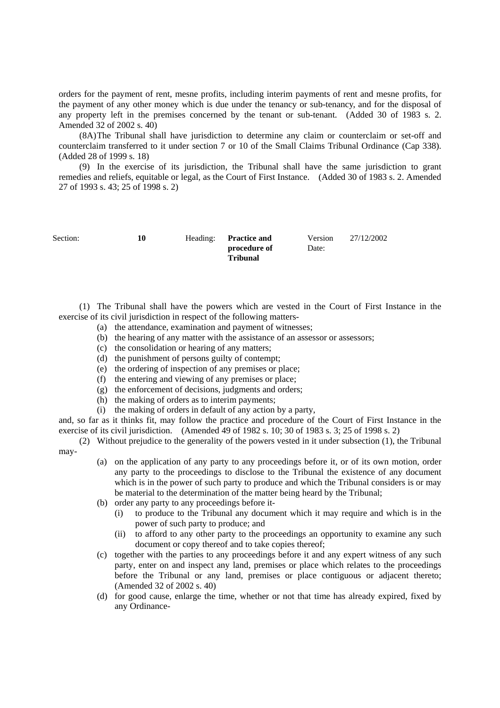orders for the payment of rent, mesne profits, including interim payments of rent and mesne profits, for the payment of any other money which is due under the tenancy or sub-tenancy, and for the disposal of any property left in the premises concerned by the tenant or sub-tenant. (Added 30 of 1983 s. 2. Amended 32 of 2002 s. 40)

(8A) The Tribunal shall have jurisdiction to determine any claim or counterclaim or set-off and counterclaim transferred to it under section 7 or 10 of the Small Claims Tribunal Ordinance (Cap 338). (Added 28 of 1999 s. 18)

(9) In the exercise of its jurisdiction, the Tribunal shall have the same jurisdiction to grant remedies and reliefs, equitable or legal, as the Court of First Instance. (Added 30 of 1983 s. 2. Amended 27 of 1993 s. 43; 25 of 1998 s. 2)

| Section: | 10 | Heading: Practice and | Version | 27/12/2002 |
|----------|----|-----------------------|---------|------------|
|          |    | procedure of          | Date:   |            |
|          |    | Tribunal              |         |            |

(1) The Tribunal shall have the powers which are vested in the Court of First Instance in the exercise of its civil jurisdiction in respect of the following matters-

- (a) the attendance, examination and payment of witnesses;
- (b) the hearing of any matter with the assistance of an assessor or assessors;
- (c) the consolidation or hearing of any matters;
- (d) the punishment of persons guilty of contempt;
- (e) the ordering of inspection of any premises or place;
- (f) the entering and viewing of any premises or place;
- (g) the enforcement of decisions, judgments and orders;
- (h) the making of orders as to interim payments;
- (i) the making of orders in default of any action by a party,

and, so far as it thinks fit, may follow the practice and procedure of the Court of First Instance in the exercise of its civil jurisdiction. (Amended 49 of 1982 s. 10; 30 of 1983 s. 3; 25 of 1998 s. 2)

(2) Without prejudice to the generality of the powers vested in it under subsection (1), the Tribunal may-

- (a) on the application of any party to any proceedings before it, or of its own motion, order any party to the proceedings to disclose to the Tribunal the existence of any document which is in the power of such party to produce and which the Tribunal considers is or may be material to the determination of the matter being heard by the Tribunal;
- (b) order any party to any proceedings before it-
	- (i) to produce to the Tribunal any document which it may require and which is in the power of such party to produce; and
	- (ii) to afford to any other party to the proceedings an opportunity to examine any such document or copy thereof and to take copies thereof;
- (c) together with the parties to any proceedings before it and any expert witness of any such party, enter on and inspect any land, premises or place which relates to the proceedings before the Tribunal or any land, premises or place contiguous or adjacent thereto; (Amended 32 of 2002 s. 40)
- (d) for good cause, enlarge the time, whether or not that time has already expired, fixed by any Ordinance-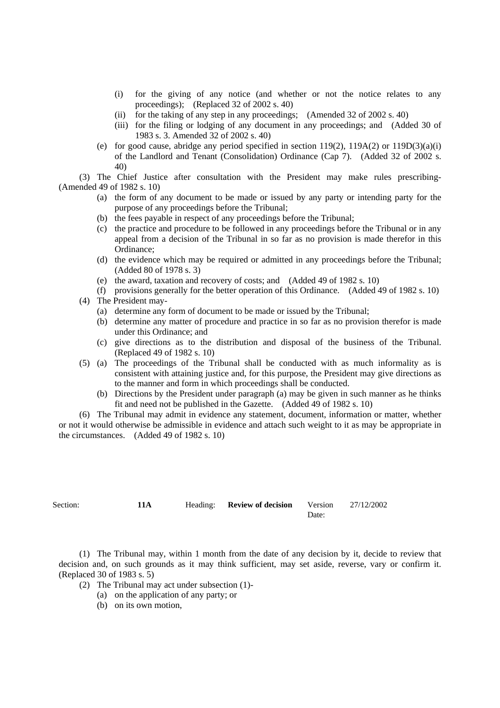- (i) for the giving of any notice (and whether or not the notice relates to any proceedings); (Replaced 32 of 2002 s. 40)
- (ii) for the taking of any step in any proceedings; (Amended 32 of 2002 s. 40)
- (iii) for the filing or lodging of any document in any proceedings; and (Added 30 of 1983 s. 3. Amended 32 of 2002 s. 40)
- (e) for good cause, abridge any period specified in section 119(2), 119A(2) or 119D(3)(a)(i) of the Landlord and Tenant (Consolidation) Ordinance (Cap 7). (Added 32 of 2002 s. 40)

(3) The Chief Justice after consultation with the President may make rules prescribing- (Amended 49 of 1982 s. 10)

- (a) the form of any document to be made or issued by any party or intending party for the purpose of any proceedings before the Tribunal;
- (b) the fees payable in respect of any proceedings before the Tribunal;
- (c) the practice and procedure to be followed in any proceedings before the Tribunal or in any appeal from a decision of the Tribunal in so far as no provision is made therefor in this Ordinance;
- (d) the evidence which may be required or admitted in any proceedings before the Tribunal; (Added 80 of 1978 s. 3)
- (e) the award, taxation and recovery of costs; and (Added 49 of 1982 s. 10)
- (f) provisions generally for the better operation of this Ordinance. (Added 49 of 1982 s. 10)
- (4) The President may-
	- (a) determine any form of document to be made or issued by the Tribunal;
	- (b) determine any matter of procedure and practice in so far as no provision therefor is made under this Ordinance; and
	- (c) give directions as to the distribution and disposal of the business of the Tribunal. (Replaced 49 of 1982 s. 10)
- (5) (a) The proceedings of the Tribunal shall be conducted with as much informality as is consistent with attaining justice and, for this purpose, the President may give directions as to the manner and form in which proceedings shall be conducted.
	- (b) Directions by the President under paragraph (a) may be given in such manner as he thinks fit and need not be published in the Gazette. (Added 49 of 1982 s. 10)

(6) The Tribunal may admit in evidence any statement, document, information or matter, whether or not it would otherwise be admissible in evidence and attach such weight to it as may be appropriate in the circumstances. (Added 49 of 1982 s. 10)

| Section: | 11A | Heading: <b>Review of decision</b> Version 27/12/2002 |       |  |
|----------|-----|-------------------------------------------------------|-------|--|
|          |     |                                                       | Date: |  |

(1) The Tribunal may, within 1 month from the date of any decision by it, decide to review that decision and, on such grounds as it may think sufficient, may set aside, reverse, vary or confirm it. (Replaced 30 of 1983 s. 5)

(2) The Tribunal may act under subsection (1)-

- (a) on the application of any party; or
- (b) on its own motion,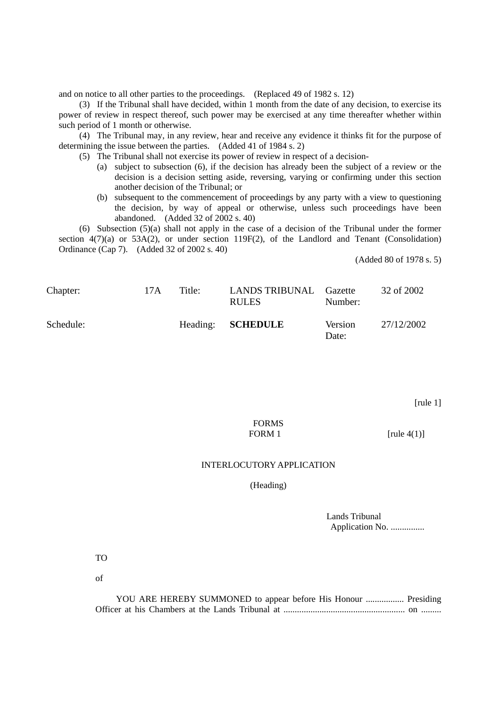and on notice to all other parties to the proceedings. (Replaced 49 of 1982 s. 12)

(3) If the Tribunal shall have decided, within 1 month from the date of any decision, to exercise its power of review in respect thereof, such power may be exercised at any time thereafter whether within such period of 1 month or otherwise.

(4) The Tribunal may, in any review, hear and receive any evidence it thinks fit for the purpose of determining the issue between the parties. (Added 41 of 1984 s. 2)

(5) The Tribunal shall not exercise its power of review in respect of a decision-

- (a) subject to subsection (6), if the decision has already been the subject of a review or the decision is a decision setting aside, reversing, varying or confirming under this section another decision of the Tribunal; or
- (b) subsequent to the commencement of proceedings by any party with a view to questioning the decision, by way of appeal or otherwise, unless such proceedings have been abandoned. (Added 32 of 2002 s. 40)

(6) Subsection (5)(a) shall not apply in the case of a decision of the Tribunal under the former section  $4(7)(a)$  or  $53A(2)$ , or under section 119F(2), of the Landlord and Tenant (Consolidation) Ordinance (Cap 7). (Added 32 of 2002 s. 40)

(Added 80 of 1978 s. 5)

| Chapter:  | 17A | Title: | LANDS TRIBUNAL Gazette<br><b>RULES</b> | Number:          | 32 of 2002 |
|-----------|-----|--------|----------------------------------------|------------------|------------|
| Schedule: |     |        | Heading: <b>SCHEDULE</b>               | Version<br>Date: | 27/12/2002 |

[rule 1]

# FORMS FORM 1  $[\text{rule } 4(1)]$

## INTERLOCUTORY APPLICATION

(Heading)

Lands Tribunal Application No. ................

TO

of

| YOU ARE HEREBY SUMMONED to appear before His Honour  Presiding |  |
|----------------------------------------------------------------|--|
|                                                                |  |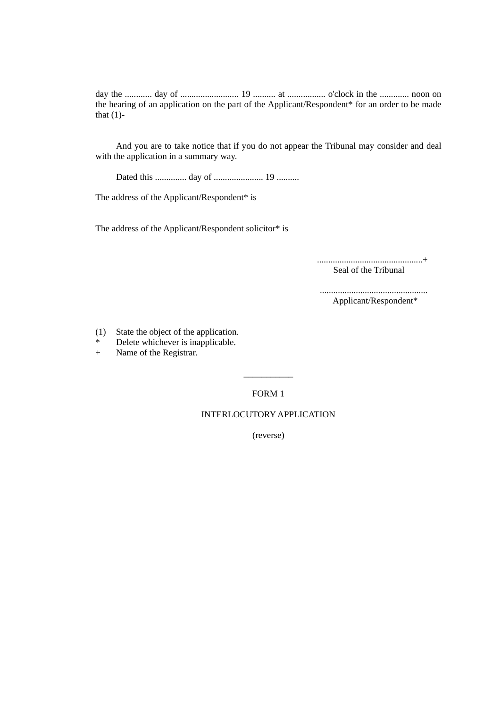day the ............ day of .......................... 19 .......... at ................. o'clock in the ............. noon on the hearing of an application on the part of the Applicant/Respondent\* for an order to be made that  $(1)$ -

And you are to take notice that if you do not appear the Tribunal may consider and deal with the application in a summary way.

Dated this .............. day of ...................... 19 ..........

The address of the Applicant/Respondent\* is

The address of the Applicant/Respondent solicitor\* is

...............................................+ Seal of the Tribunal

................................................ Applicant/Respondent\*

- (1) State the object of the application.
- \* Delete whichever is inapplicable.
- + Name of the Registrar.

FORM 1

\_\_\_\_\_\_\_\_\_\_\_

# INTERLOCUTORY APPLICATION

(reverse)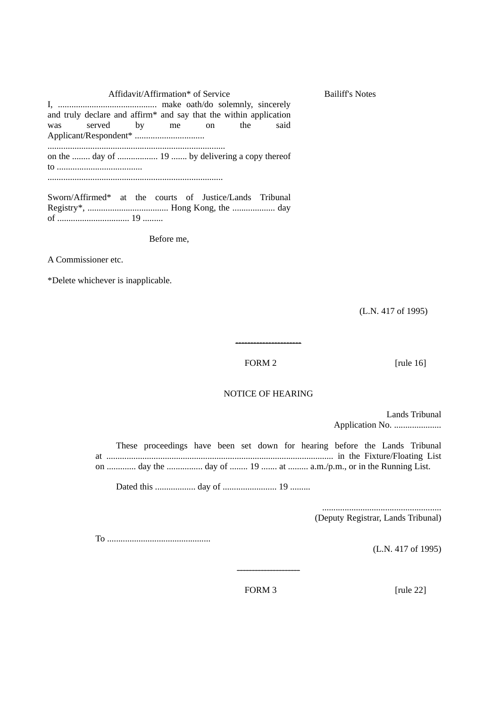Affidavit/Affirmation\* of Service Bailiff's Notes I, ............................................ make oath/do solemnly, sincerely and truly declare and affirm\* and say that the within application was served by me on the said Applicant/Respondent\* ............................... ............................................................................... on the ........ day of .................. 19 ....... by delivering a copy thereof to ...................................... ..............................................................................

Sworn/Affirmed\* at the courts of Justice/Lands Tribunal Registry\*, .................................... Hong Kong, the ................... day of ................................ 19 .........

Before me,

A Commissioner etc.

\*Delete whichever is inapplicable.

(L.N. 417 of 1995)

## FORM 2 [rule 16]

## NOTICE OF HEARING

----------------------

Lands Tribunal Application No. .....................

These proceedings have been set down for hearing before the Lands Tribunal at ..................................................................................................... in the Fixture/Floating List on .............. day the ................... day of ........ 19 ........ at .......... a.m./p.m., or in the Running List.

Dated this .................. day of ........................ 19 .........

..................................................... (Deputy Registrar, Lands Tribunal)

To ..............................................

(L.N. 417 of 1995)

FORM 3 [rule 22]

---------------------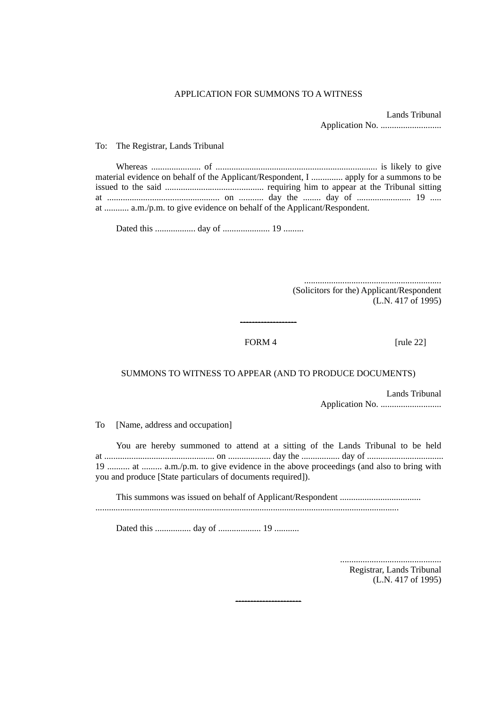#### APPLICATION FOR SUMMONS TO A WITNESS

Lands Tribunal Application No. ...........................

To: The Registrar, Lands Tribunal

| material evidence on behalf of the Applicant/Respondent, I  apply for a summons to be |  |  |
|---------------------------------------------------------------------------------------|--|--|
|                                                                                       |  |  |
|                                                                                       |  |  |
| at  a.m./p.m. to give evidence on behalf of the Applicant/Respondent.                 |  |  |

Dated this .................. day of ..................... 19 .........

............................................................. (Solicitors for the) Applicant/Respondent (L.N. 417 of 1995)

## FORM 4 [rule 22]

## SUMMONS TO WITNESS TO APPEAR (AND TO PRODUCE DOCUMENTS)

-------------------

Lands Tribunal Application No. ...........................

To [Name, address and occupation]

You are hereby summoned to attend at a sitting of the Lands Tribunal to be held at ................................................. on ................... day the ................. day of .................................. 19 .......... at ......... a.m./p.m. to give evidence in the above proceedings (and also to bring with you and produce [State particulars of documents required]).

This summons was issued on behalf of Applicant/Respondent .................................... .......................................................................................................................................

----------------------

Dated this ................ day of ................... 19 ...........

............................................. Registrar, Lands Tribunal (L.N. 417 of 1995)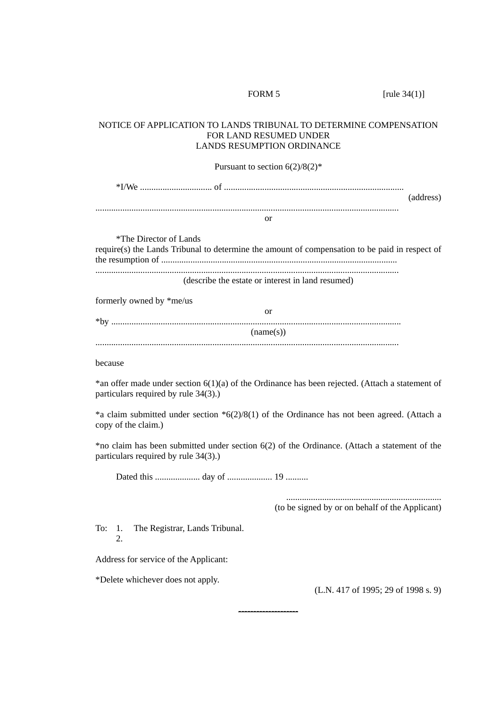## NOTICE OF APPLICATION TO LANDS TRIBUNAL TO DETERMINE COMPENSATION FOR LAND RESUMED UNDER LANDS RESUMPTION ORDINANCE

Pursuant to section  $6(2)/8(2)^*$ 

\*I/We ................................ of ................................................................................ (address)

.......................................................................................................................................

or

\*The Director of Lands

require(s) the Lands Tribunal to determine the amount of compensation to be paid in respect of the resumption of ......................................................................................................... .......................................................................................................................................

(describe the estate or interest in land resumed)

formerly owned by \*me/us

| *bv |           |
|-----|-----------|
|     | (name(s)) |
|     |           |

because

\*an offer made under section 6(1)(a) of the Ordinance has been rejected. (Attach a statement of particulars required by rule 34(3).)

\*a claim submitted under section \*6(2)/8(1) of the Ordinance has not been agreed. (Attach a copy of the claim.)

\*no claim has been submitted under section 6(2) of the Ordinance. (Attach a statement of the particulars required by rule 34(3).)

--------------------

Dated this .................... day of .................... 19 ..........

.....................................................................

(to be signed by or on behalf of the Applicant)

To: 1. The Registrar, Lands Tribunal.  $\mathcal{D}$ 

Address for service of the Applicant:

\*Delete whichever does not apply.

(L.N. 417 of 1995; 29 of 1998 s. 9)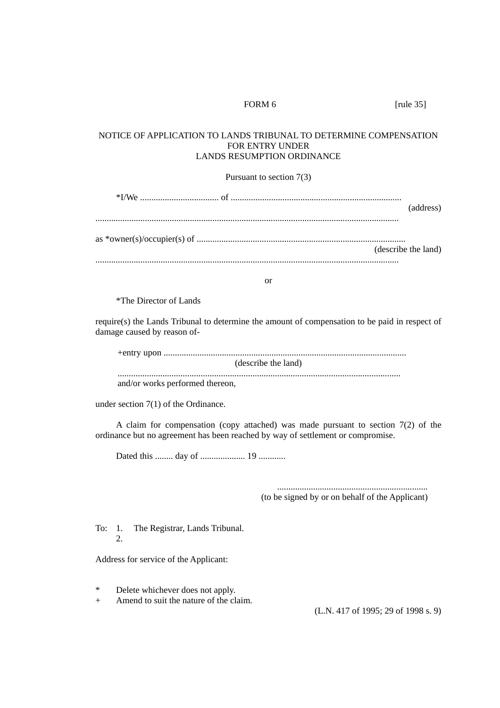| FORM <sub>6</sub>                                                                                                                                                      | [rule $35$ ]                                    |  |
|------------------------------------------------------------------------------------------------------------------------------------------------------------------------|-------------------------------------------------|--|
| NOTICE OF APPLICATION TO LANDS TRIBUNAL TO DETERMINE COMPENSATION<br>FOR ENTRY UNDER<br><b>LANDS RESUMPTION ORDINANCE</b>                                              |                                                 |  |
| Pursuant to section $7(3)$                                                                                                                                             |                                                 |  |
|                                                                                                                                                                        | (address)                                       |  |
|                                                                                                                                                                        |                                                 |  |
|                                                                                                                                                                        | (describe the land)                             |  |
|                                                                                                                                                                        |                                                 |  |
| or                                                                                                                                                                     |                                                 |  |
| <i>*The Director of Lands</i>                                                                                                                                          |                                                 |  |
| require(s) the Lands Tribunal to determine the amount of compensation to be paid in respect of<br>damage caused by reason of-                                          |                                                 |  |
| (describe the land)                                                                                                                                                    |                                                 |  |
| and/or works performed thereon,                                                                                                                                        |                                                 |  |
| under section $7(1)$ of the Ordinance.                                                                                                                                 |                                                 |  |
| A claim for compensation (copy attached) was made pursuant to section $7(2)$ of the<br>ordinance but no agreement has been reached by way of settlement or compromise. |                                                 |  |
|                                                                                                                                                                        |                                                 |  |
|                                                                                                                                                                        | (to be signed by or on behalf of the Applicant) |  |
| To:<br>The Registrar, Lands Tribunal.<br>1.<br>2.                                                                                                                      |                                                 |  |
| Address for service of the Applicant:                                                                                                                                  |                                                 |  |
| ∗<br>Delete whichever does not apply.<br>Amend to suit the nature of the claim.<br>$\hspace{0.1mm} +\hspace{0.1mm}$                                                    | (L.N. 417 of 1995; 29 of 1998 s. 9)             |  |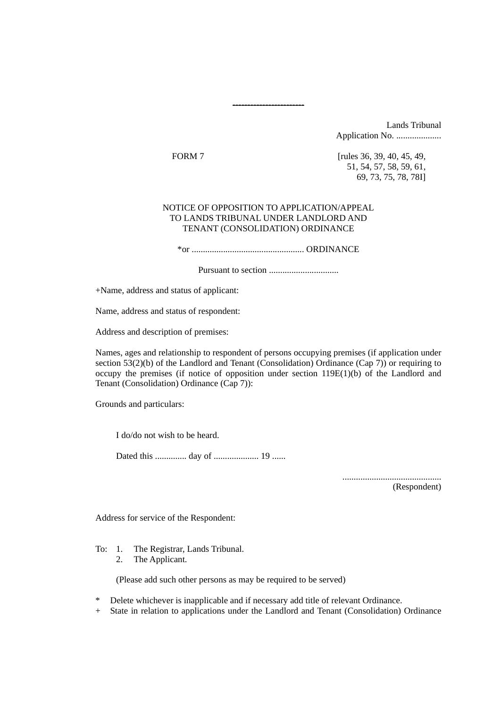Lands Tribunal Application No. .....................

FORM 7 [rules 36, 39, 40, 45, 49, 51, 54, 57, 58, 59, 61, 69, 73, 75, 78, 78I]

## NOTICE OF OPPOSITION TO APPLICATION/APPEAL TO LANDS TRIBUNAL UNDER LANDLORD AND TENANT (CONSOLIDATION) ORDINANCE

------------------------

\*or .................................................. ORDINANCE

Pursuant to section ...............................

+Name, address and status of applicant:

Name, address and status of respondent:

Address and description of premises:

Names, ages and relationship to respondent of persons occupying premises (if application under section  $53(2)(b)$  of the Landlord and Tenant (Consolidation) Ordinance (Cap 7)) or requiring to occupy the premises (if notice of opposition under section 119E(1)(b) of the Landlord and Tenant (Consolidation) Ordinance (Cap 7)):

Grounds and particulars:

I do/do not wish to be heard.

Dated this .............. day of .................... 19 ......

............................................

(Respondent)

Address for service of the Respondent:

To: 1. The Registrar, Lands Tribunal.

2. The Applicant.

(Please add such other persons as may be required to be served)

\* Delete whichever is inapplicable and if necessary add title of relevant Ordinance.

+ State in relation to applications under the Landlord and Tenant (Consolidation) Ordinance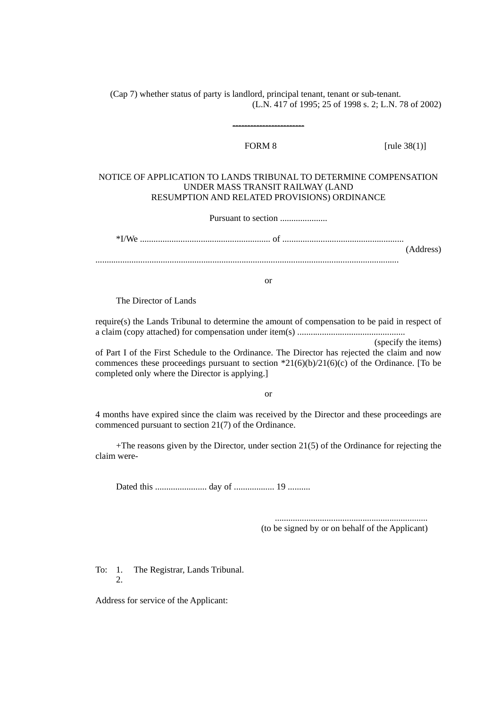(Cap 7) whether status of party is landlord, principal tenant, tenant or sub-tenant. (L.N. 417 of 1995; 25 of 1998 s. 2; L.N. 78 of 2002)

------------------------

FORM 8 [rule 38(1)]

## NOTICE OF APPLICATION TO LANDS TRIBUNAL TO DETERMINE COMPENSATION UNDER MASS TRANSIT RAILWAY (LAND RESUMPTION AND RELATED PROVISIONS) ORDINANCE

Pursuant to section .....................

\*I/We .......................................................... of ...................................................... (Address)

.......................................................................................................................................

or

The Director of Lands

require(s) the Lands Tribunal to determine the amount of compensation to be paid in respect of a claim (copy attached) for compensation under item(s) ................................................

(specify the items)

of Part I of the First Schedule to the Ordinance. The Director has rejected the claim and now commences these proceedings pursuant to section  $21(6)(b)/21(6)(c)$  of the Ordinance. [To be completed only where the Director is applying.]

or

4 months have expired since the claim was received by the Director and these proceedings are commenced pursuant to section 21(7) of the Ordinance.

 $+$ The reasons given by the Director, under section 21(5) of the Ordinance for rejecting the claim were-

Dated this ....................... day of .................. 19 ..........

.................................................................... (to be signed by or on behalf of the Applicant)

To: 1. The Registrar, Lands Tribunal. 2.

Address for service of the Applicant: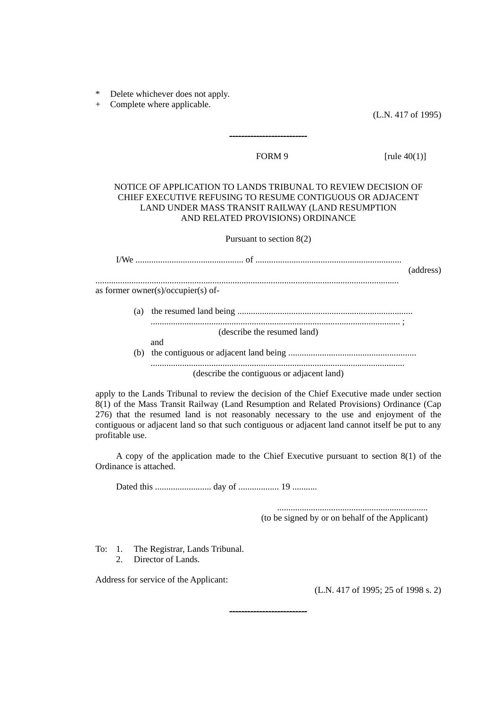Delete whichever does not apply.

+ Complete where applicable.

(L.N. 417 of 1995)

--------------------------

FORM 9 [rule 40(1)]

## NOTICE OF APPLICATION TO LANDS TRIBUNAL TO REVIEW DECISION OF CHIEF EXECUTIVE REFUSING TO RESUME CONTIGUOUS OR ADJACENT LAND UNDER MASS TRANSIT RAILWAY (LAND RESUMPTION AND RELATED PROVISIONS) ORDINANCE

Pursuant to section 8(2)

I/We ................................................ of ................................................................. (address) ....................................................................................................................................... as former owner(s)/occupier(s) of-

> (a) the resumed land being .............................................................................. ............................................................................................................... ; (describe the resumed land) and (b) the contiguous or adjacent land being ......................................................... .................................................................................................................

> > (describe the contiguous or adjacent land)

apply to the Lands Tribunal to review the decision of the Chief Executive made under section 8(1) of the Mass Transit Railway (Land Resumption and Related Provisions) Ordinance (Cap 276) that the resumed land is not reasonably necessary to the use and enjoyment of the contiguous or adjacent land so that such contiguous or adjacent land cannot itself be put to any profitable use.

A copy of the application made to the Chief Executive pursuant to section 8(1) of the Ordinance is attached.

--------------------------

Dated this ......................... day of .................. 19 ...........

...................................................................

(to be signed by or on behalf of the Applicant)

To: 1. The Registrar, Lands Tribunal.

2. Director of Lands.

Address for service of the Applicant:

(L.N. 417 of 1995; 25 of 1998 s. 2)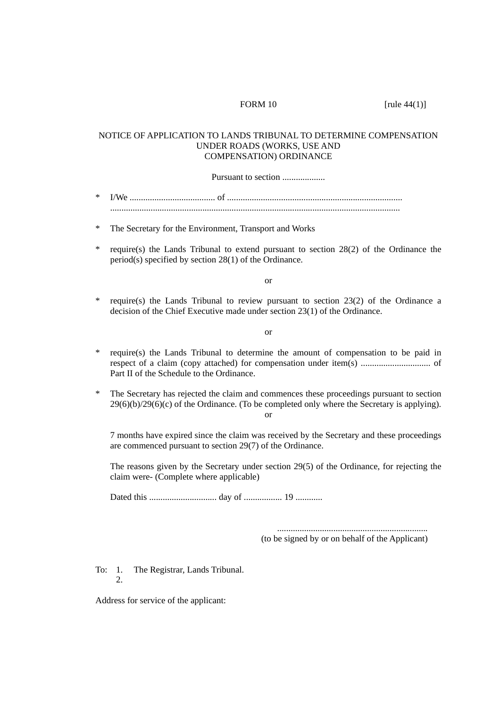FORM 10 [rule 44(1)]

## NOTICE OF APPLICATION TO LANDS TRIBUNAL TO DETERMINE COMPENSATION UNDER ROADS (WORKS, USE AND COMPENSATION) ORDINANCE

Pursuant to section ....................

| $^{\star}$ |  |
|------------|--|
|            |  |

\* The Secretary for the Environment, Transport and Works

\* require(s) the Lands Tribunal to extend pursuant to section 28(2) of the Ordinance the period(s) specified by section 28(1) of the Ordinance.

or

require(s) the Lands Tribunal to review pursuant to section  $23(2)$  of the Ordinance a decision of the Chief Executive made under section 23(1) of the Ordinance.

or

- require(s) the Lands Tribunal to determine the amount of compensation to be paid in respect of a claim (copy attached) for compensation under item(s) ............................... of Part II of the Schedule to the Ordinance.
- \* The Secretary has rejected the claim and commences these proceedings pursuant to section  $29(6)(b)/29(6)(c)$  of the Ordinance. (To be completed only where the Secretary is applying). or

7 months have expired since the claim was received by the Secretary and these proceedings are commenced pursuant to section 29(7) of the Ordinance.

The reasons given by the Secretary under section 29(5) of the Ordinance, for rejecting the claim were- (Complete where applicable)

Dated this .............................. day of ................. 19 ............

................................................................... (to be signed by or on behalf of the Applicant)

To: 1. The Registrar, Lands Tribunal. 2.

Address for service of the applicant: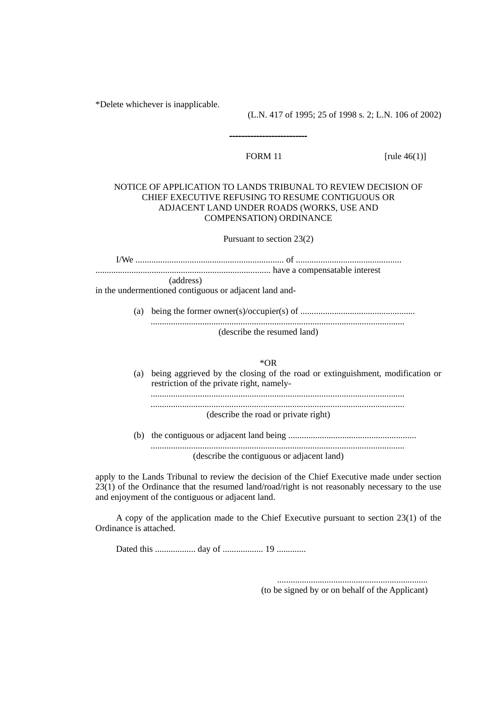\*Delete whichever is inapplicable.

(L.N. 417 of 1995; 25 of 1998 s. 2; L.N. 106 of 2002)

--------------------------

FORM 11 [rule 46(1)]

## NOTICE OF APPLICATION TO LANDS TRIBUNAL TO REVIEW DECISION OF CHIEF EXECUTIVE REFUSING TO RESUME CONTIGUOUS OR ADJACENT LAND UNDER ROADS (WORKS, USE AND COMPENSATION) ORDINANCE

Pursuant to section 23(2)

I/We .................................................................. of ............................................... .............................................................................. have a compensatable interest (address)

in the undermentioned contiguous or adjacent land and-

(a) being the former owner(s)/occupier(s) of ................................................... ................................................................................................................. (describe the resumed land)

\*OR

- (a) being aggrieved by the closing of the road or extinguishment, modification or restriction of the private right, namely- ................................................................................................................. ................................................................................................................. (describe the road or private right)
- (b) the contiguous or adjacent land being ......................................................... ................................................................................................................. (describe the contiguous or adjacent land)

apply to the Lands Tribunal to review the decision of the Chief Executive made under section 23(1) of the Ordinance that the resumed land/road/right is not reasonably necessary to the use and enjoyment of the contiguous or adjacent land.

A copy of the application made to the Chief Executive pursuant to section 23(1) of the Ordinance is attached.

Dated this .................. day of .................. 19 .............

................................................................... (to be signed by or on behalf of the Applicant)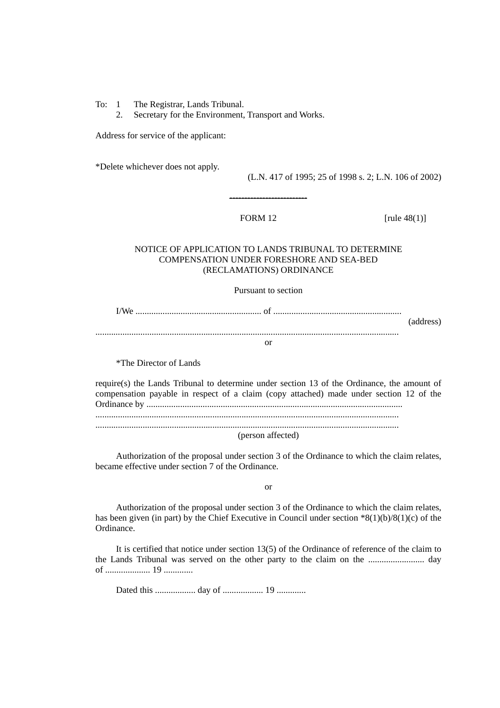- To: 1 The Registrar, Lands Tribunal.
	- 2. Secretary for the Environment, Transport and Works.

Address for service of the applicant:

\*Delete whichever does not apply.

(L.N. 417 of 1995; 25 of 1998 s. 2; L.N. 106 of 2002)

--------------------------

FORM  $12$  [rule  $48(1)$ ]

## NOTICE OF APPLICATION TO LANDS TRIBUNAL TO DETERMINE COMPENSATION UNDER FORESHORE AND SEA-BED (RECLAMATIONS) ORDINANCE

Pursuant to section

I/We ........................................................ of ......................................................... (address) .......................................................................................................................................

or

\*The Director of Lands

require(s) the Lands Tribunal to determine under section 13 of the Ordinance, the amount of compensation payable in respect of a claim (copy attached) made under section 12 of the Ordinance by .................................................................................................................. ....................................................................................................................................... ....................................................................................................................................... (person affected)

Authorization of the proposal under section 3 of the Ordinance to which the claim relates, became effective under section 7 of the Ordinance.

or

Authorization of the proposal under section 3 of the Ordinance to which the claim relates, has been given (in part) by the Chief Executive in Council under section  $*8(1)(b)/8(1)(c)$  of the Ordinance.

It is certified that notice under section 13(5) of the Ordinance of reference of the claim to the Lands Tribunal was served on the other party to the claim on the ......................... day of .................... 19 .............

Dated this .................. day of .................. 19 .............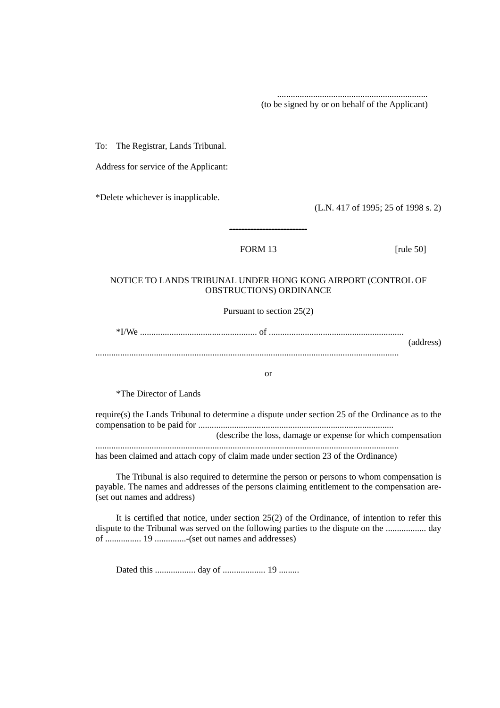(to be signed by or on behalf of the Applicant)

...................................................................

To: The Registrar, Lands Tribunal.

Address for service of the Applicant:

\*Delete whichever is inapplicable.

(L.N. 417 of 1995; 25 of 1998 s. 2)

# FORM 13 [rule 50]

# NOTICE TO LANDS TRIBUNAL UNDER HONG KONG AIRPORT (CONTROL OF OBSTRUCTIONS) ORDINANCE

--------------------------

Pursuant to section 25(2)

\*I/We .................................................... of ............................................................ (address)

.......................................................................................................................................

or

\*The Director of Lands

require(s) the Lands Tribunal to determine a dispute under section 25 of the Ordinance as to the compensation to be paid for .......................................................................................

(describe the loss, damage or expense for which compensation .......................................................................................................................................

has been claimed and attach copy of claim made under section 23 of the Ordinance)

The Tribunal is also required to determine the person or persons to whom compensation is payable. The names and addresses of the persons claiming entitlement to the compensation are- (set out names and address)

It is certified that notice, under section 25(2) of the Ordinance, of intention to refer this dispute to the Tribunal was served on the following parties to the dispute on the .................. day of ................ 19 ..............-(set out names and addresses)

Dated this .................. day of ................... 19 .........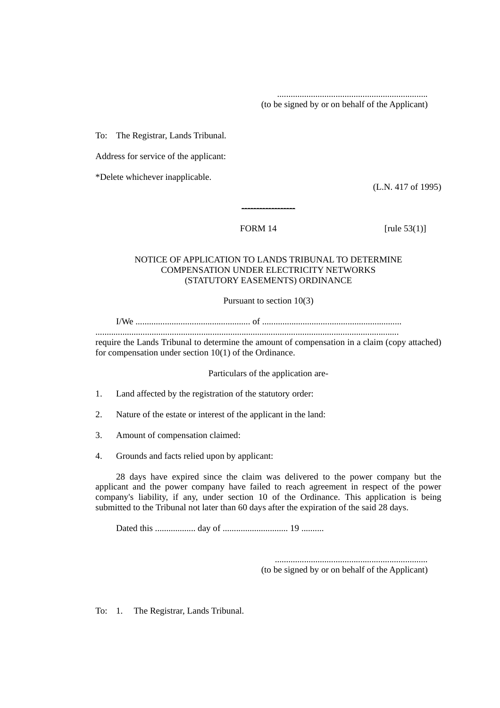(to be signed by or on behalf of the Applicant)

...................................................................

To: The Registrar, Lands Tribunal.

Address for service of the applicant:

\*Delete whichever inapplicable.

(L.N. 417 of 1995)

FORM 14 [rule 53(1)]

## NOTICE OF APPLICATION TO LANDS TRIBUNAL TO DETERMINE COMPENSATION UNDER ELECTRICITY NETWORKS (STATUTORY EASEMENTS) ORDINANCE

------------------

Pursuant to section 10(3)

I/We ................................................... of ..............................................................

.......................................................................................................................................

require the Lands Tribunal to determine the amount of compensation in a claim (copy attached) for compensation under section 10(1) of the Ordinance.

Particulars of the application are-

- 1. Land affected by the registration of the statutory order:
- 2. Nature of the estate or interest of the applicant in the land:
- 3. Amount of compensation claimed:
- 4. Grounds and facts relied upon by applicant:

28 days have expired since the claim was delivered to the power company but the applicant and the power company have failed to reach agreement in respect of the power company's liability, if any, under section 10 of the Ordinance. This application is being submitted to the Tribunal not later than 60 days after the expiration of the said 28 days.

Dated this .................. day of ............................. 19 ..........

(to be signed by or on behalf of the Applicant)

....................................................................

To: 1. The Registrar, Lands Tribunal.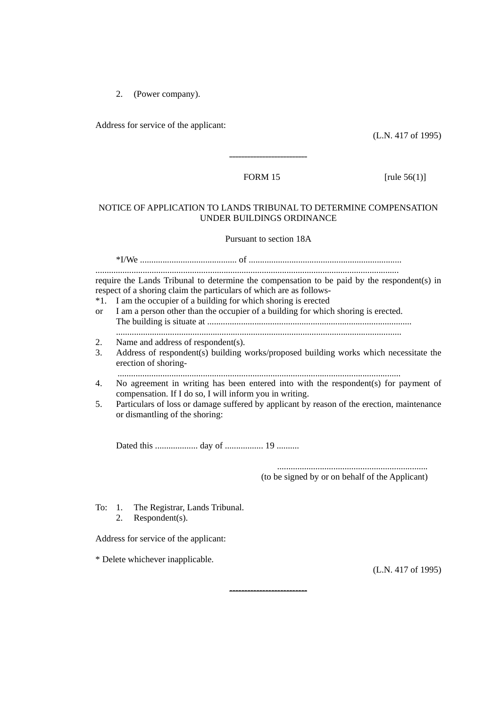2. (Power company).

Address for service of the applicant:

(L.N. 417 of 1995)

--------------------------

FORM 15  $[\text{rule } 56(1)]$ 

#### NOTICE OF APPLICATION TO LANDS TRIBUNAL TO DETERMINE COMPENSATION UNDER BUILDINGS ORDINANCE

Pursuant to section 18A

\*I/We ........................................... of .................................................................... ....................................................................................................................................... require the Lands Tribunal to determine the compensation to be paid by the respondent(s) in respect of a shoring claim the particulars of which are as follows- \*1. I am the occupier of a building for which shoring is erected

- or I am a person other than the occupier of a building for which shoring is erected. The building is situate at ........................................................................................... ...............................................................................................................................
- 2. Name and address of respondent(s).
- 3. Address of respondent(s) building works/proposed building works which necessitate the erection of shoring-

..............................................................................................................................

- 4. No agreement in writing has been entered into with the respondent(s) for payment of compensation. If I do so, I will inform you in writing.
- 5. Particulars of loss or damage suffered by applicant by reason of the erection, maintenance or dismantling of the shoring:

--------------------------

Dated this ................... day of ................. 19 ..........

...................................................................

(to be signed by or on behalf of the Applicant)

To: 1. The Registrar, Lands Tribunal. 2. Respondent(s).

Address for service of the applicant:

\* Delete whichever inapplicable.

(L.N. 417 of 1995)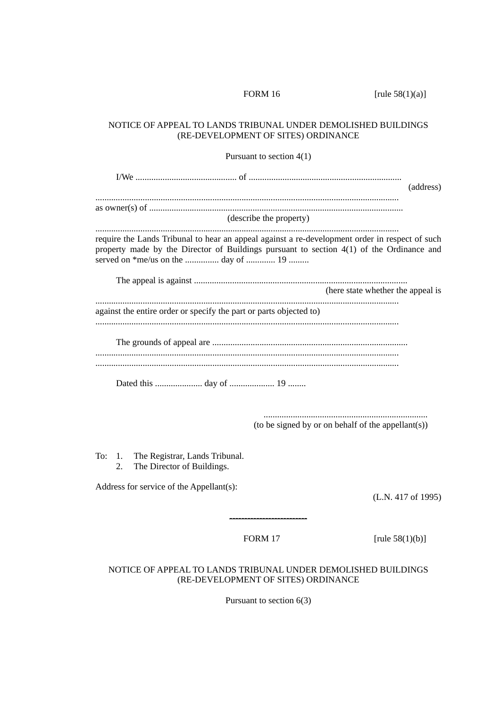FORM 16 [rule 58(1)(a)]

## NOTICE OF APPEAL TO LANDS TRIBUNAL UNDER DEMOLISHED BUILDINGS (RE-DEVELOPMENT OF SITES) ORDINANCE

Pursuant to section 4(1)

I/We ............................................. of .................................................................... (address) ....................................................................................................................................... as owner(s) of ................................................................................................................. (describe the property) ....................................................................................................................................... require the Lands Tribunal to hear an appeal against a re-development order in respect of such property made by the Director of Buildings pursuant to section 4(1) of the Ordinance and served on \*me/us on the ............... day of ............. 19 ......... The appeal is against ............................................................................................... (here state whether the appeal is ....................................................................................................................................... against the entire order or specify the part or parts objected to) ....................................................................................................................................... The grounds of appeal are ....................................................................................... ....................................................................................................................................... ....................................................................................................................................... Dated this ..................... day of .................... 19 ........ ......................................................................... (to be signed by or on behalf of the appellant(s))

To: 1. The Registrar, Lands Tribunal. 2. The Director of Buildings.

Address for service of the Appellant(s):

(L.N. 417 of 1995)

--------------------------

FORM 17  $\text{rule } 58(1)(b)$ 

# NOTICE OF APPEAL TO LANDS TRIBUNAL UNDER DEMOLISHED BUILDINGS (RE-DEVELOPMENT OF SITES) ORDINANCE

Pursuant to section 6(3)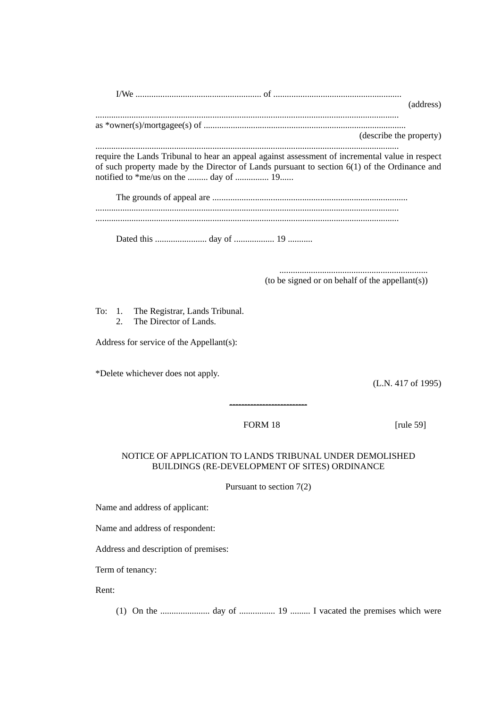| W۴ |  |
|----|--|
|    |  |

.......................................................................................................................................

as  $*<sub>over</sub>(s)$ (describe the property)

.......................................................................................................................................

require the Lands Tribunal to hear an appeal against assessment of incremental value in respect of such property made by the Director of Lands pursuant to section 6(1) of the Ordinance and notified to \*me/us on the ......... day of ............... 19......

The grounds of appeal are ....................................................................................... ....................................................................................................................................... .......................................................................................................................................

Dated this ....................... day of .................. 19 ...........

.................................................................. (to be signed or on behalf of the appellant(s))

To: 1. The Registrar, Lands Tribunal. 2. The Director of Lands.

Address for service of the Appellant(s):

\*Delete whichever does not apply.

(L.N. 417 of 1995)

# FORM 18 [rule 59]

--------------------------

# NOTICE OF APPLICATION TO LANDS TRIBUNAL UNDER DEMOLISHED BUILDINGS (RE-DEVELOPMENT OF SITES) ORDINANCE

Pursuant to section 7(2)

Name and address of applicant:

Name and address of respondent:

Address and description of premises:

Term of tenancy:

Rent:

(1) On the ...................... day of ................ 19 ......... I vacated the premises which were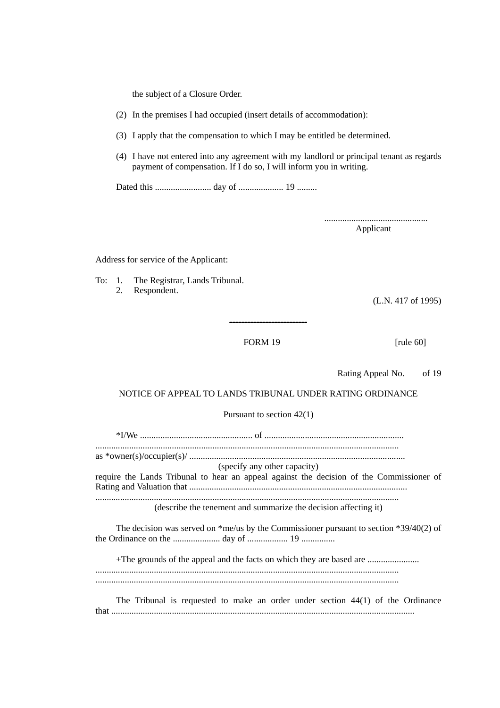the subject of a Closure Order.

(2) In the premises I had occupied (insert details of accommodation):

- (3) I apply that the compensation to which I may be entitled be determined.
- (4) I have not entered into any agreement with my landlord or principal tenant as regards payment of compensation. If I do so, I will inform you in writing.

Dated this ......................... day of .................... 19 .........

.............................................. Applicant

Address for service of the Applicant:

To: 1. The Registrar, Lands Tribunal. 2. Respondent.

(L.N. 417 of 1995)

FORM 19 [rule 60]

--------------------------

Rating Appeal No. of 19

#### NOTICE OF APPEAL TO LANDS TRIBUNAL UNDER RATING ORDINANCE

Pursuant to section 42(1)

\*I/We .................................................. of .............................................................. ....................................................................................................................................... as \*owner(s)/occupier(s)/ ................................................................................................ (specify any other capacity) require the Lands Tribunal to hear an appeal against the decision of the Commissioner of Rating and Valuation that ................................................................................................. ....................................................................................................................................... (describe the tenement and summarize the decision affecting it) The decision was served on \*me/us by the Commissioner pursuant to section \*39/40(2) of

the Ordinance on the ..................... day of .................. 19 ...............

+The grounds of the appeal and the facts on which they are based are ....................... .......................................................................................................................................

.......................................................................................................................................

The Tribunal is requested to make an order under section 44(1) of the Ordinance that .......................................................................................................................................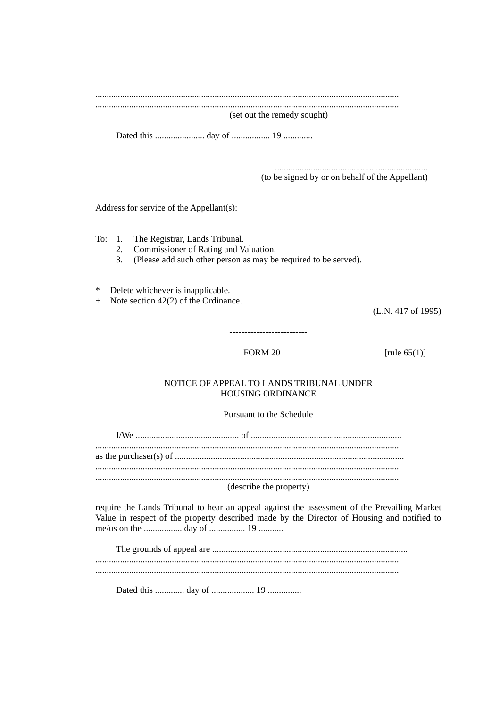(set out the remedy sought)

(to be signed by or on behalf of the Appellant)

Address for service of the Appellant(s):

The Registrar, Lands Tribunal. To:  $1$ .

- $2.$ Commissioner of Rating and Valuation.
- $3<sub>1</sub>$ (Please add such other person as may be required to be served).

Delete whichever is inapplicable.  $\ast$ 

 $+$  Note section 42(2) of the Ordinance.

(L.N. 417 of 1995)

### **FORM 20**

[rule  $65(1)$ ]

# NOTICE OF APPEAL TO LANDS TRIBUNAL UNDER HOUSING ORDINANCE

# Pursuant to the Schedule

| (describe the property) |  |
|-------------------------|--|

require the Lands Tribunal to hear an appeal against the assessment of the Prevailing Market Value in respect of the property described made by the Director of Housing and notified to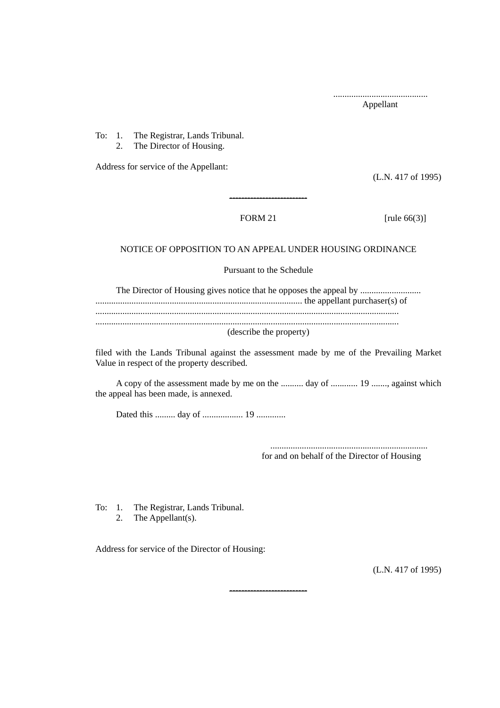..........................................

Appellant

To: 1. The Registrar, Lands Tribunal. 2. The Director of Housing.

Address for service of the Appellant:

(L.N. 417 of 1995)

FORM 21 [rule  $66(3)$ ]

# NOTICE OF OPPOSITION TO AN APPEAL UNDER HOUSING ORDINANCE

--------------------------

Pursuant to the Schedule

The Director of Housing gives notice that he opposes the appeal by ........................... ............................................................................................ the appellant purchaser(s) of ....................................................................................................................................... ....................................................................................................................................... (describe the property)

filed with the Lands Tribunal against the assessment made by me of the Prevailing Market Value in respect of the property described.

A copy of the assessment made by me on the .......... day of ............ 19 ......., against which the appeal has been made, is annexed.

--------------------------

Dated this ......... day of .................. 19 .............

...................................................................... for and on behalf of the Director of Housing

To: 1. The Registrar, Lands Tribunal.

2. The Appellant(s).

Address for service of the Director of Housing:

(L.N. 417 of 1995)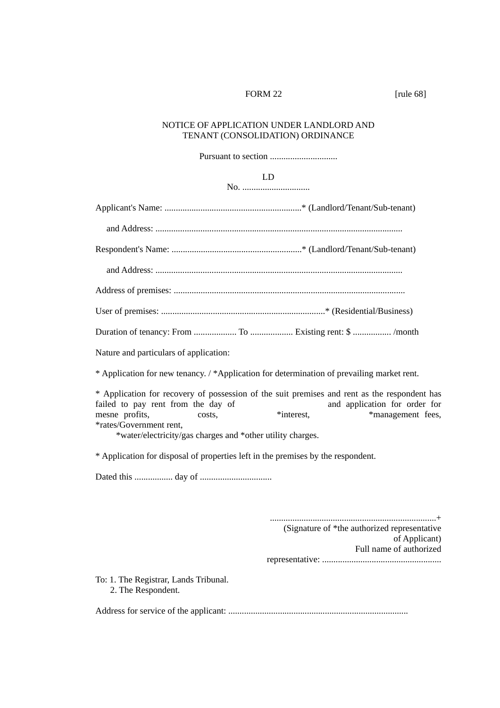#### FORM 22 [rule 68]

# NOTICE OF APPLICATION UNDER LANDLORD AND TENANT (CONSOLIDATION) ORDINANCE

Pursuant to section ..............................

LD

No. ..............................

Applicant's Name: .............................................................\* (Landlord/Tenant/Sub-tenant) and Address: .............................................................................................................. Respondent's Name: ..........................................................\* (Landlord/Tenant/Sub-tenant) and Address: .............................................................................................................. Address of premises: ....................................................................................................... User of premises: .........................................................................\* (Residential/Business) Duration of tenancy: From ................... To ................... Existing rent: \$ ................. /month Nature and particulars of application: \* Application for new tenancy. / \*Application for determination of prevailing market rent. \* Application for recovery of possession of the suit premises and rent as the respondent has failed to pay rent from the day of mesne profits, costs,  $\ddot{\text{m}}$  and  $\ddot{\text{m}}$  and  $\ddot{\text{m}}$  and  $\ddot{\text{m}}$  and  $\ddot{\text{m}}$  and  $\ddot{\text{m}}$  and  $\ddot{\text{m}}$  and  $\ddot{\text{m}}$  and  $\ddot{\text{m}}$  and  $\ddot{\text{m}}$  and  $\ddot{\text{m}}$  and  $\ddot{\text{m}}$  and  $\ddot{\text{m}}$  and  $\ddot{\$ \*rates/Government rent, \*water/electricity/gas charges and \*other utility charges. \* Application for disposal of properties left in the premises by the respondent. Dated this ................. day of ................................ ..........................................................................+ (Signature of \*the authorized representative of Applicant) Full name of authorized representative: ..................................................... To: 1. The Registrar, Lands Tribunal. 2. The Respondent. Address for service of the applicant: ................................................................................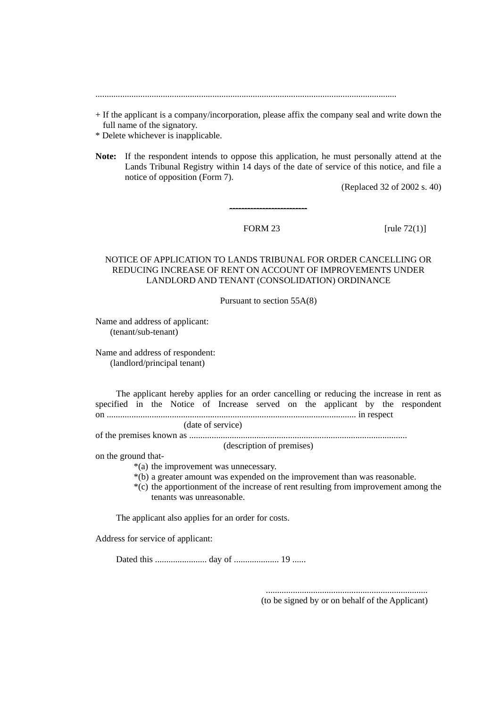......................................................................................................................................

- + If the applicant is a company/incorporation, please affix the company seal and write down the full name of the signatory.
- \* Delete whichever is inapplicable.
- **Note:** If the respondent intends to oppose this application, he must personally attend at the Lands Tribunal Registry within 14 days of the date of service of this notice, and file a notice of opposition (Form 7).

--------------------------

(Replaced 32 of 2002 s. 40)

FORM 23  $\lceil \text{rule } 72(1) \rceil$ 

### NOTICE OF APPLICATION TO LANDS TRIBUNAL FOR ORDER CANCELLING OR REDUCING INCREASE OF RENT ON ACCOUNT OF IMPROVEMENTS UNDER LANDLORD AND TENANT (CONSOLIDATION) ORDINANCE

Pursuant to section 55A(8)

Name and address of applicant: (tenant/sub-tenant)

Name and address of respondent: (landlord/principal tenant)

The applicant hereby applies for an order cancelling or reducing the increase in rent as specified in the Notice of Increase served on the applicant by the respondent on ............................................................................................................... in respect

(date of service)

of the premises known as .................................................................................................

(description of premises)

on the ground that-

\*(a) the improvement was unnecessary.

- \*(b) a greater amount was expended on the improvement than was reasonable.
- \*(c) the apportionment of the increase of rent resulting from improvement among the tenants was unreasonable.

The applicant also applies for an order for costs.

Address for service of applicant:

Dated this ....................... day of .................... 19 ......

........................................................................ (to be signed by or on behalf of the Applicant)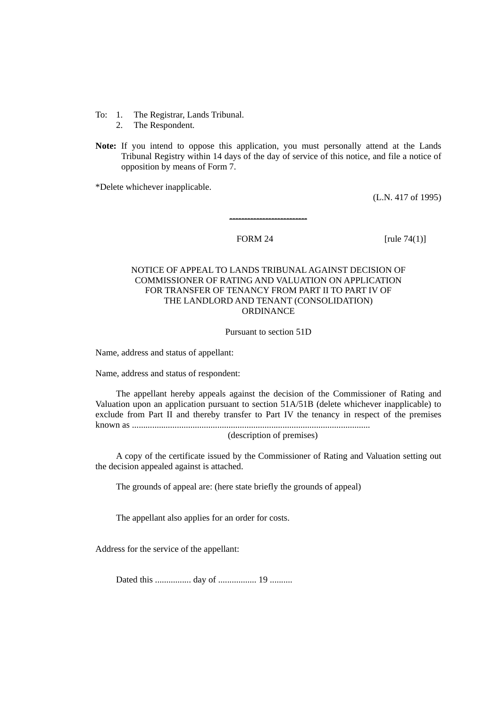- To: 1. The Registrar, Lands Tribunal.
	- 2. The Respondent.
- **Note:** If you intend to oppose this application, you must personally attend at the Lands Tribunal Registry within 14 days of the day of service of this notice, and file a notice of opposition by means of Form 7.

--------------------------

\*Delete whichever inapplicable.

(L.N. 417 of 1995)

FORM 24 [rule 74(1)]

# NOTICE OF APPEAL TO LANDS TRIBUNAL AGAINST DECISION OF COMMISSIONER OF RATING AND VALUATION ON APPLICATION FOR TRANSFER OF TENANCY FROM PART II TO PART IV OF THE LANDLORD AND TENANT (CONSOLIDATION) ORDINANCE

Pursuant to section 51D

Name, address and status of appellant:

Name, address and status of respondent:

The appellant hereby appeals against the decision of the Commissioner of Rating and Valuation upon an application pursuant to section 51A/51B (delete whichever inapplicable) to exclude from Part II and thereby transfer to Part IV the tenancy in respect of the premises known as ..........................................................................................................

(description of premises)

A copy of the certificate issued by the Commissioner of Rating and Valuation setting out the decision appealed against is attached.

The grounds of appeal are: (here state briefly the grounds of appeal)

The appellant also applies for an order for costs.

Address for the service of the appellant:

Dated this ................ day of ................. 19 ..........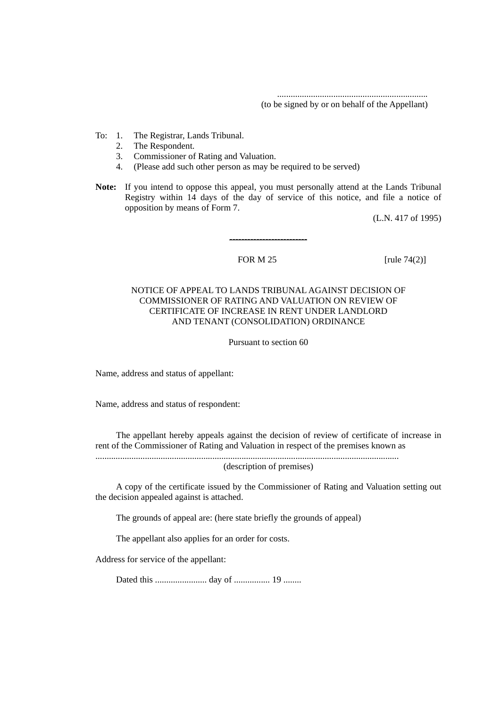................................................................... (to be signed by or on behalf of the Appellant)

- To: 1. The Registrar, Lands Tribunal.
	- 2. The Respondent.
	- 3. Commissioner of Rating and Valuation.
	- 4. (Please add such other person as may be required to be served)
- **Note:** If you intend to oppose this appeal, you must personally attend at the Lands Tribunal Registry within 14 days of the day of service of this notice, and file a notice of opposition by means of Form 7.

--------------------------

(L.N. 417 of 1995)

#### FOR  $M$  25 [rule 74(2)]

### NOTICE OF APPEAL TO LANDS TRIBUNAL AGAINST DECISION OF COMMISSIONER OF RATING AND VALUATION ON REVIEW OF CERTIFICATE OF INCREASE IN RENT UNDER LANDLORD AND TENANT (CONSOLIDATION) ORDINANCE

Pursuant to section 60

Name, address and status of appellant:

Name, address and status of respondent:

The appellant hereby appeals against the decision of review of certificate of increase in rent of the Commissioner of Rating and Valuation in respect of the premises known as

....................................................................................................................................... (description of premises)

A copy of the certificate issued by the Commissioner of Rating and Valuation setting out the decision appealed against is attached.

The grounds of appeal are: (here state briefly the grounds of appeal)

The appellant also applies for an order for costs.

Address for service of the appellant:

Dated this ....................... day of ................ 19 ........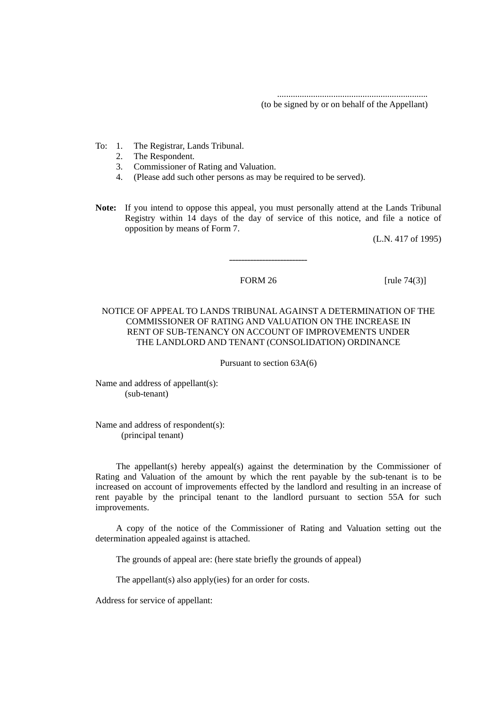................................................................... (to be signed by or on behalf of the Appellant)

- To: 1. The Registrar, Lands Tribunal.
	- 2. The Respondent.
	- 3. Commissioner of Rating and Valuation.
	- 4. (Please add such other persons as may be required to be served).
- **Note:** If you intend to oppose this appeal, you must personally attend at the Lands Tribunal Registry within 14 days of the day of service of this notice, and file a notice of opposition by means of Form 7.

--------------------------

(L.N. 417 of 1995)

FORM 26 [rule 74(3)]

# NOTICE OF APPEAL TO LANDS TRIBUNAL AGAINST A DETERMINATION OF THE COMMISSIONER OF RATING AND VALUATION ON THE INCREASE IN RENT OF SUB-TENANCY ON ACCOUNT OF IMPROVEMENTS UNDER THE LANDLORD AND TENANT (CONSOLIDATION) ORDINANCE

Pursuant to section 63A(6)

Name and address of appellant(s): (sub-tenant)

Name and address of respondent(s): (principal tenant)

The appellant(s) hereby appeal(s) against the determination by the Commissioner of Rating and Valuation of the amount by which the rent payable by the sub-tenant is to be increased on account of improvements effected by the landlord and resulting in an increase of rent payable by the principal tenant to the landlord pursuant to section 55A for such improvements.

A copy of the notice of the Commissioner of Rating and Valuation setting out the determination appealed against is attached.

The grounds of appeal are: (here state briefly the grounds of appeal)

The appellant(s) also apply(ies) for an order for costs.

Address for service of appellant: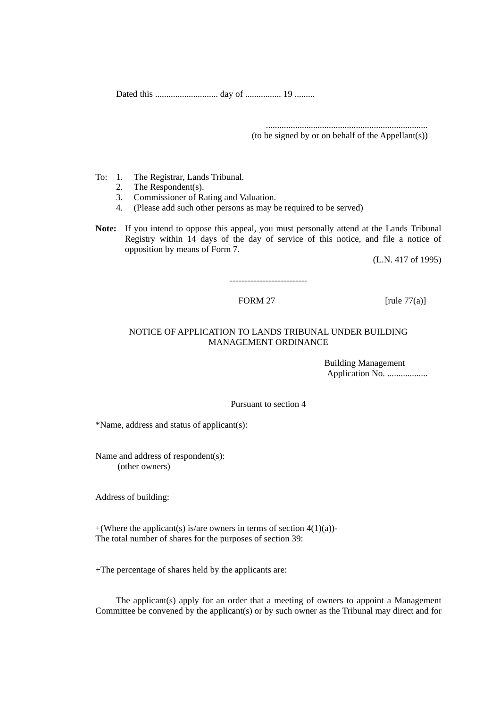Dated this ............................ day of ................ 19 .........

........................................................................

(to be signed by or on behalf of the Appellant(s))

- To: 1. The Registrar, Lands Tribunal.
	- 2. The Respondent(s).
	- 3. Commissioner of Rating and Valuation.
	- 4. (Please add such other persons as may be required to be served)
- **Note:** If you intend to oppose this appeal, you must personally attend at the Lands Tribunal Registry within 14 days of the day of service of this notice, and file a notice of opposition by means of Form 7.

--------------------------

(L.N. 417 of 1995)

FORM 27  $\lceil \text{rule } 77 \rceil$ 

# NOTICE OF APPLICATION TO LANDS TRIBUNAL UNDER BUILDING MANAGEMENT ORDINANCE

Building Management Application No. ...................

Pursuant to section 4

\*Name, address and status of applicant(s):

Name and address of respondent(s): (other owners)

Address of building:

+(Where the applicant(s) is/are owners in terms of section  $4(1)(a)$ )-The total number of shares for the purposes of section 39:

+The percentage of shares held by the applicants are:

The applicant(s) apply for an order that a meeting of owners to appoint a Management Committee be convened by the applicant(s) or by such owner as the Tribunal may direct and for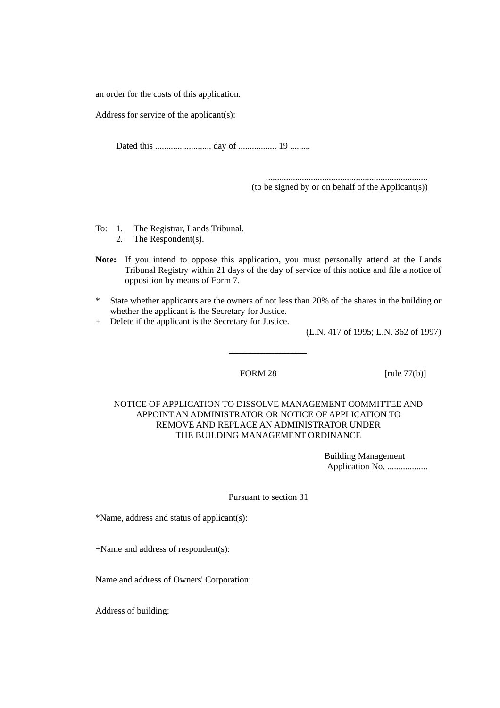an order for the costs of this application.

Address for service of the applicant(s):

Dated this ......................... day of ................. 19 .........

........................................................................ (to be signed by or on behalf of the Applicant(s))

To: 1. The Registrar, Lands Tribunal.

2. The Respondent(s).

- **Note:** If you intend to oppose this application, you must personally attend at the Lands Tribunal Registry within 21 days of the day of service of this notice and file a notice of opposition by means of Form 7.
- \* State whether applicants are the owners of not less than 20% of the shares in the building or whether the applicant is the Secretary for Justice.

--------------------------

+ Delete if the applicant is the Secretary for Justice.

(L.N. 417 of 1995; L.N. 362 of 1997)

FORM 28 [rule 77(b)]

NOTICE OF APPLICATION TO DISSOLVE MANAGEMENT COMMITTEE AND APPOINT AN ADMINISTRATOR OR NOTICE OF APPLICATION TO REMOVE AND REPLACE AN ADMINISTRATOR UNDER THE BUILDING MANAGEMENT ORDINANCE

> Building Management Application No. ..................

Pursuant to section 31

\*Name, address and status of applicant(s):

+Name and address of respondent(s):

Name and address of Owners' Corporation:

Address of building: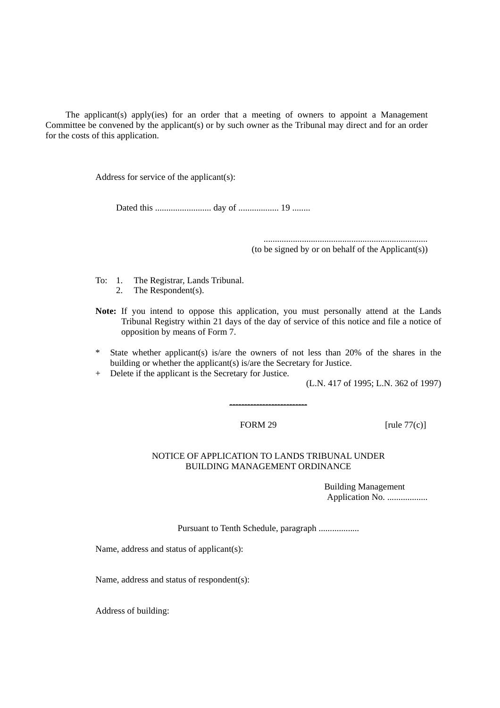The applicant(s) apply(ies) for an order that a meeting of owners to appoint a Management Committee be convened by the applicant(s) or by such owner as the Tribunal may direct and for an order for the costs of this application.

Address for service of the applicant(s):

Dated this ......................... day of .................. 19 ........

......................................................................... (to be signed by or on behalf of the Applicant(s))

- To: 1. The Registrar, Lands Tribunal. 2. The Respondent(s).
- **Note:** If you intend to oppose this application, you must personally attend at the Lands Tribunal Registry within 21 days of the day of service of this notice and file a notice of opposition by means of Form 7.
- \* State whether applicant(s) is/are the owners of not less than 20% of the shares in the building or whether the applicant(s) is/are the Secretary for Justice.

--------------------------

+ Delete if the applicant is the Secretary for Justice.

(L.N. 417 of 1995; L.N. 362 of 1997)

FORM 29  $[\text{rule } 77(\text{c})]$ 

#### NOTICE OF APPLICATION TO LANDS TRIBUNAL UNDER BUILDING MANAGEMENT ORDINANCE

Building Management Application No. ..................

Pursuant to Tenth Schedule, paragraph ..................

Name, address and status of applicant(s):

Name, address and status of respondent(s):

Address of building: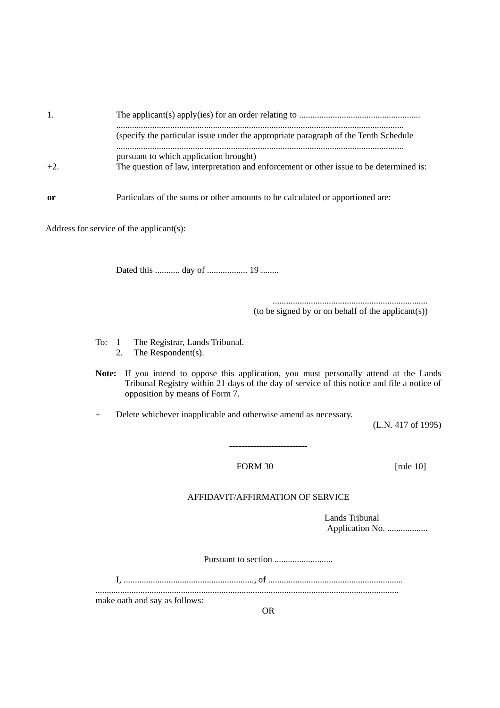| -1. |                                                                                                                                   |
|-----|-----------------------------------------------------------------------------------------------------------------------------------|
|     | (specify the particular issue under the appropriate paragraph of the Tenth Schedule                                               |
|     | pursuant to which application brought)<br>The question of law, interpretation and enforcement or other issue to be determined is: |
| 0r  | Particulars of the sums or other amounts to be calculated or apportioned are:                                                     |

Address for service of the applicant(s):

Dated this ........... day of .................. 19 ........

..................................................................... (to be signed by or on behalf of the applicant(s))

To: 1 The Registrar, Lands Tribunal. 2. The Respondent(s).

**Note:** If you intend to oppose this application, you must personally attend at the Lands Tribunal Registry within 21 days of the day of service of this notice and file a notice of opposition by means of Form 7.

+ Delete whichever inapplicable and otherwise amend as necessary.

(L.N. 417 of 1995)

FORM 30 [rule 10]

#### AFFIDAVIT/AFFIRMATION OF SERVICE

--------------------------

Lands Tribunal Application No. ..................

Pursuant to section ..........................

make oath and say as follows:

OR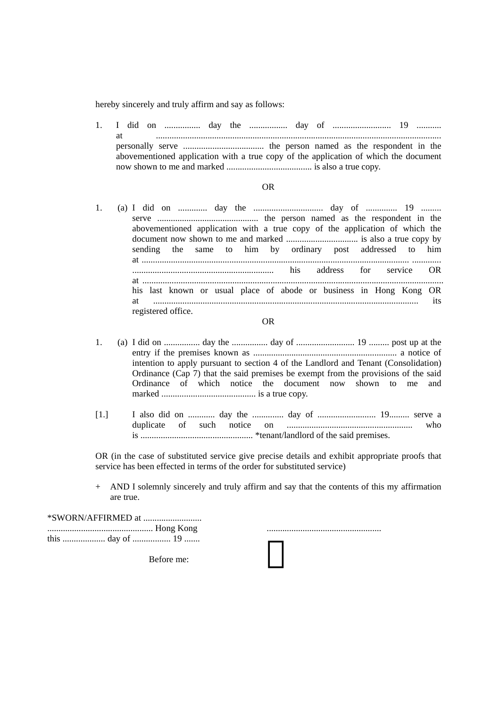hereby sincerely and truly affirm and say as follows:

1. I did on ................ day the ................. day of .......................... 19 ........... at ............................................................................................................................... personally serve .................................... the person named as the respondent in the abovementioned application with a true copy of the application of which the document now shown to me and marked ...................................... is also a true copy.

#### OR

1. (a) I did on ............. day the ............................... day of .............. 19 ......... serve ............................................. the person named as the respondent in the abovementioned application with a true copy of the application of which the document now shown to me and marked ................................ is also a true copy by sending the same to him by ordinary post addressed to him at ....................................................................................................................... ............. ............................................................... his address for service OR at ...................................................................................................................................... his last known or usual place of abode or business in Hong Kong OR at ...................................................................................................................... its registered office.

#### OR

- 1. (a) I did on ................ day the ................ day of .......................... 19 ......... post up at the entry if the premises known as ................................................................ a notice of intention to apply pursuant to section 4 of the Landlord and Tenant (Consolidation) Ordinance (Cap 7) that the said premises be exempt from the provisions of the said Ordinance of which notice the document now shown to me and marked .......................................... is a true copy.
- [1.] I also did on ............ day the .............. day of .......................... 19......... serve a duplicate of such notice on ........................................................ who is .................................................. \*tenant/landlord of the said premises.

OR (in the case of substituted service give precise details and exhibit appropriate proofs that service has been effected in terms of the order for substituted service)

+ AND I solemnly sincerely and truly affirm and say that the contents of this my affirmation are true.

\*SWORN/AFFIRMED at .......................... ............................................... Hong Kong ................................................... this ................... day of ................. 19 .......

Before me: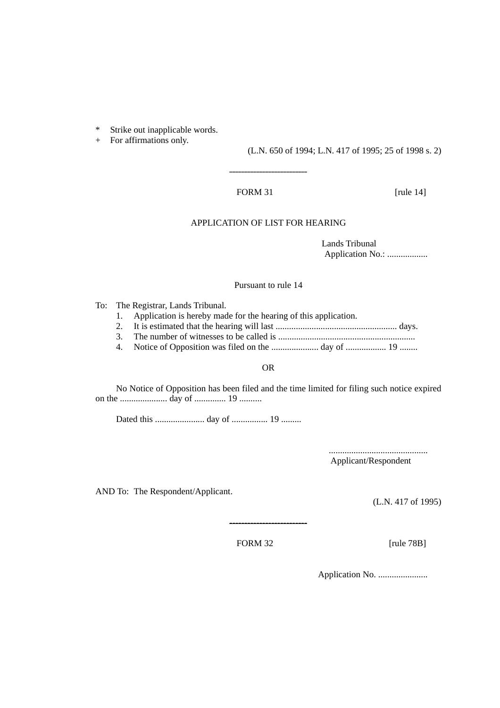\* Strike out inapplicable words.

+ For affirmations only.

(L.N. 650 of 1994; L.N. 417 of 1995; 25 of 1998 s. 2)

#### FORM 31 [rule 14]

# APPLICATION OF LIST FOR HEARING

--------------------------

Lands Tribunal Application No.: ..................

#### Pursuant to rule 14

To: The Registrar, Lands Tribunal.

- 1. Application is hereby made for the hearing of this application.
- 2. It is estimated that the hearing will last ...................................................... days.
- 3. The number of witnesses to be called is .............................................................
- 4. Notice of Opposition was filed on the ..................... day of .................. 19 ........

#### OR

No Notice of Opposition has been filed and the time limited for filing such notice expired on the ..................... day of .............. 19 ..........

Dated this ...................... day of ................ 19 .........

............................................ Applicant/Respondent

AND To: The Respondent/Applicant.

(L.N. 417 of 1995)

FORM 32 [rule 78B]

--------------------------

Application No. ......................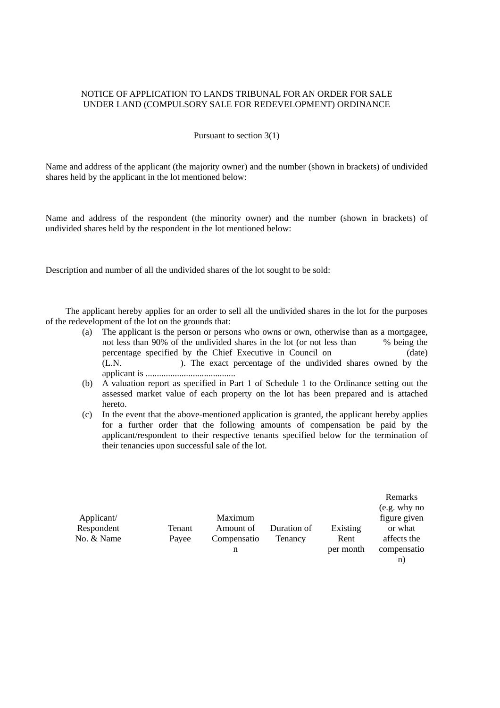### NOTICE OF APPLICATION TO LANDS TRIBUNAL FOR AN ORDER FOR SALE UNDER LAND (COMPULSORY SALE FOR REDEVELOPMENT) ORDINANCE

#### Pursuant to section 3(1)

Name and address of the applicant (the majority owner) and the number (shown in brackets) of undivided shares held by the applicant in the lot mentioned below:

Name and address of the respondent (the minority owner) and the number (shown in brackets) of undivided shares held by the respondent in the lot mentioned below:

Description and number of all the undivided shares of the lot sought to be sold:

The applicant hereby applies for an order to sell all the undivided shares in the lot for the purposes of the redevelopment of the lot on the grounds that:

- (a) The applicant is the person or persons who owns or own, otherwise than as a mortgagee, not less than 90% of the undivided shares in the lot (or not less than % being the percentage specified by the Chief Executive in Council on (date) (L.N. ). The exact percentage of the undivided shares owned by the applicant is ........................................
- (b) A valuation report as specified in Part 1 of Schedule 1 to the Ordinance setting out the assessed market value of each property on the lot has been prepared and is attached hereto.
- (c) In the event that the above-mentioned application is granted, the applicant hereby applies for a further order that the following amounts of compensation be paid by the applicant/respondent to their respective tenants specified below for the termination of their tenancies upon successful sale of the lot.

|            |        |             |             |           | Remarks      |
|------------|--------|-------------|-------------|-----------|--------------|
|            |        |             |             |           | (e.g. why no |
| Applicant/ |        | Maximum     |             |           | figure given |
| Respondent | Tenant | Amount of   | Duration of | Existing  | or what      |
| No. & Name | Payee  | Compensatio | Tenancy     | Rent      | affects the  |
|            |        | n           |             | per month | compensatio  |
|            |        |             |             |           | n.           |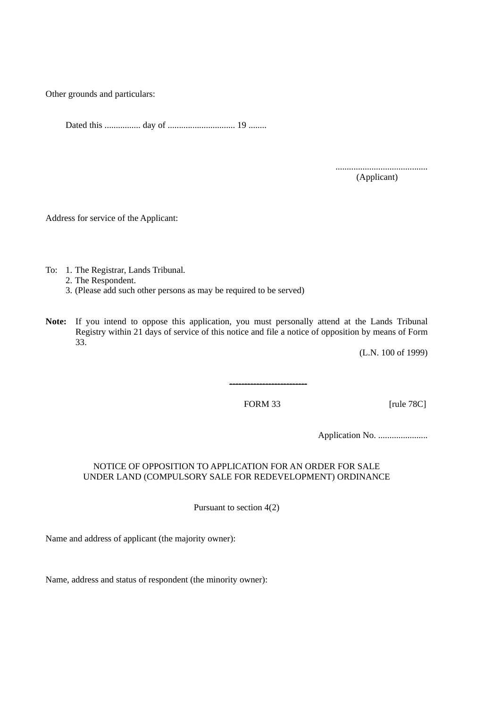Other grounds and particulars:

Dated this ................ day of .............................. 19 ........

......................................... (Applicant)

Address for service of the Applicant:

To: 1. The Registrar, Lands Tribunal.

2. The Respondent.

3. (Please add such other persons as may be required to be served)

**Note:** If you intend to oppose this application, you must personally attend at the Lands Tribunal Registry within 21 days of service of this notice and file a notice of opposition by means of Form 33.

(L.N. 100 of 1999)

FORM 33 [rule 78C]

--------------------------

Application No. ......................

# NOTICE OF OPPOSITION TO APPLICATION FOR AN ORDER FOR SALE UNDER LAND (COMPULSORY SALE FOR REDEVELOPMENT) ORDINANCE

Pursuant to section 4(2)

Name and address of applicant (the majority owner):

Name, address and status of respondent (the minority owner):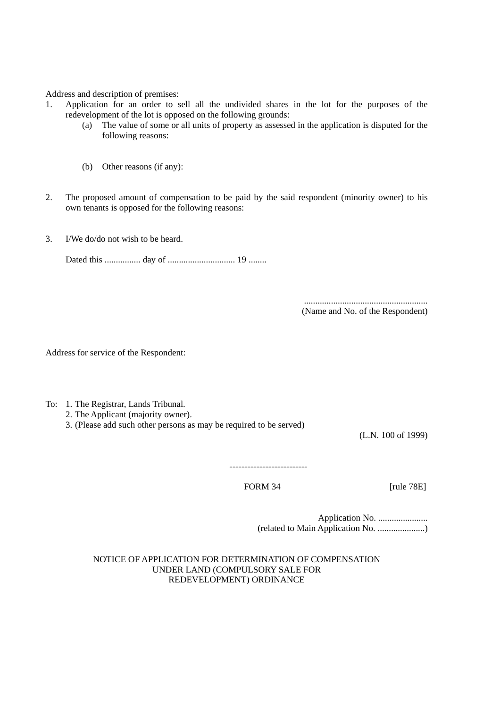Address and description of premises:

- 1. Application for an order to sell all the undivided shares in the lot for the purposes of the redevelopment of the lot is opposed on the following grounds:
	- (a) The value of some or all units of property as assessed in the application is disputed for the following reasons:
	- (b) Other reasons (if any):
- 2. The proposed amount of compensation to be paid by the said respondent (minority owner) to his own tenants is opposed for the following reasons:
- 3. I/We do/do not wish to be heard.

Dated this ................ day of .............................. 19 ........

....................................................... (Name and No. of the Respondent)

Address for service of the Respondent:

- To: 1. The Registrar, Lands Tribunal.
	- 2. The Applicant (majority owner).
	- 3. (Please add such other persons as may be required to be served)

(L.N. 100 of 1999)

FORM 34 [rule 78E]

--------------------------

Application No. ...................... (related to Main Application No. .....................)

NOTICE OF APPLICATION FOR DETERMINATION OF COMPENSATION UNDER LAND (COMPULSORY SALE FOR REDEVELOPMENT) ORDINANCE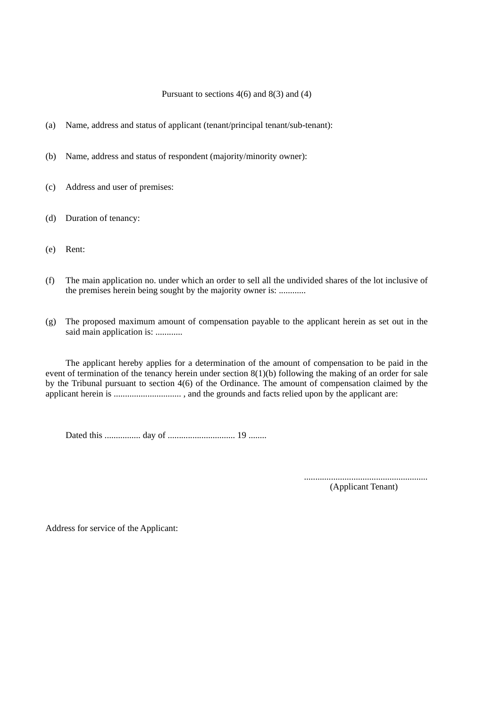#### Pursuant to sections  $4(6)$  and  $8(3)$  and  $(4)$

- (a) Name, address and status of applicant (tenant/principal tenant/sub-tenant):
- (b) Name, address and status of respondent (majority/minority owner):
- (c) Address and user of premises:
- (d) Duration of tenancy:
- (e) Rent:
- (f) The main application no. under which an order to sell all the undivided shares of the lot inclusive of the premises herein being sought by the majority owner is: ............
- (g) The proposed maximum amount of compensation payable to the applicant herein as set out in the said main application is: ............

The applicant hereby applies for a determination of the amount of compensation to be paid in the event of termination of the tenancy herein under section  $8(1)(b)$  following the making of an order for sale by the Tribunal pursuant to section 4(6) of the Ordinance. The amount of compensation claimed by the applicant herein is .............................. , and the grounds and facts relied upon by the applicant are:

Dated this ................ day of .............................. 19 ........

....................................................... (Applicant Tenant)

Address for service of the Applicant: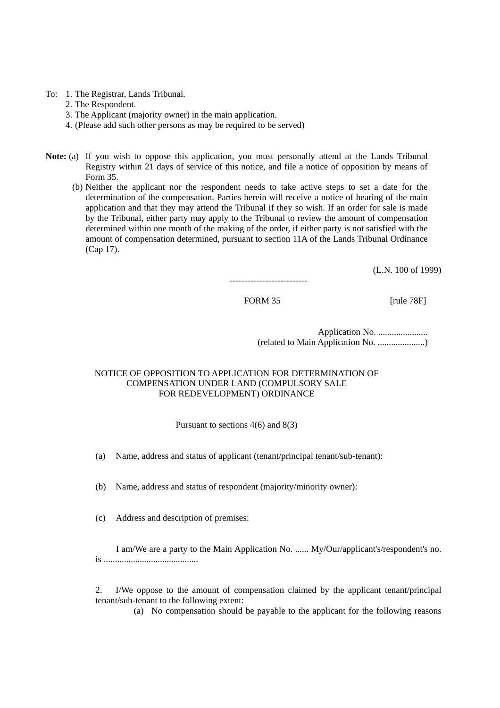To: 1. The Registrar, Lands Tribunal.

- 2. The Respondent.
- 3. The Applicant (majority owner) in the main application.
- 4. (Please add such other persons as may be required to be served)
- **Note:** (a) If you wish to oppose this application, you must personally attend at the Lands Tribunal Registry within 21 days of service of this notice, and file a notice of opposition by means of Form 35.
	- (b) Neither the applicant nor the respondent needs to take active steps to set a date for the determination of the compensation. Parties herein will receive a notice of hearing of the main application and that they may attend the Tribunal if they so wish. If an order for sale is made by the Tribunal, either party may apply to the Tribunal to review the amount of compensation determined within one month of the making of the order, if either party is not satisfied with the amount of compensation determined, pursuant to section 11A of the Lands Tribunal Ordinance (Cap 17).

(L.N. 100 of 1999)

FORM 35 [rule 78F]

--------------------------

Application No. ...................... (related to Main Application No. .....................)

# NOTICE OF OPPOSITION TO APPLICATION FOR DETERMINATION OF COMPENSATION UNDER LAND (COMPULSORY SALE FOR REDEVELOPMENT) ORDINANCE

Pursuant to sections 4(6) and 8(3)

(a) Name, address and status of applicant (tenant/principal tenant/sub-tenant):

(b) Name, address and status of respondent (majority/minority owner):

(c) Address and description of premises:

I am/We are a party to the Main Application No. ...... My/Our/applicant's/respondent's no. is ..........................................

2. I/We oppose to the amount of compensation claimed by the applicant tenant/principal tenant/sub-tenant to the following extent:

(a) No compensation should be payable to the applicant for the following reasons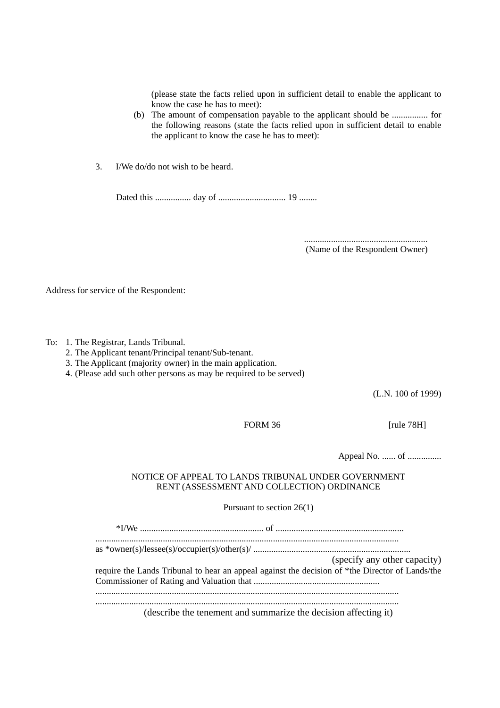(please state the facts relied upon in sufficient detail to enable the applicant to know the case he has to meet):

- (b) The amount of compensation payable to the applicant should be ................ for the following reasons (state the facts relied upon in sufficient detail to enable the applicant to know the case he has to meet):
- 3. I/We do/do not wish to be heard.

Dated this ................ day of .............................. 19 ........

....................................................... (Name of the Respondent Owner)

Address for service of the Respondent:

To: 1. The Registrar, Lands Tribunal.

- 2. The Applicant tenant/Principal tenant/Sub-tenant.
- 3. The Applicant (majority owner) in the main application.
- 4. (Please add such other persons as may be required to be served)

(L.N. 100 of 1999)

FORM 36 [rule 78H]

Appeal No. ...... of ...............

#### NOTICE OF APPEAL TO LANDS TRIBUNAL UNDER GOVERNMENT RENT (ASSESSMENT AND COLLECTION) ORDINANCE

Pursuant to section 26(1)

\*I/We ....................................................... of ......................................................... ....................................................................................................................................... as \*owner(s)/lessee(s)/occupier(s)/other(s)/ ...................................................................... (specify any other capacity) require the Lands Tribunal to hear an appeal against the decision of \*the Director of Lands/the Commissioner of Rating and Valuation that ........................................................ ....................................................................................................................................... .......................................................................................................................................

(describe the tenement and summarize the decision affecting it)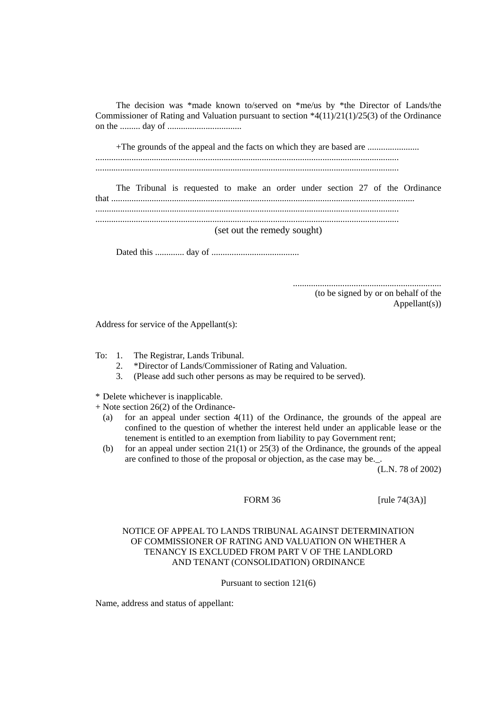| The decision was *made known to/served on *me/us by *the Director of Lands/the                 |
|------------------------------------------------------------------------------------------------|
| Commissioner of Rating and Valuation pursuant to section $*4(11)/21(1)/25(3)$ of the Ordinance |
|                                                                                                |
|                                                                                                |
| The Tribunal is requested to make an order under section 27 of the Ordinance                   |
| (set out the remedy sought)                                                                    |
|                                                                                                |
|                                                                                                |

.................................................................. (to be signed by or on behalf of the Appellant(s))

Address for service of the Appellant(s):

To: 1. The Registrar, Lands Tribunal.

- 2. \*Director of Lands/Commissioner of Rating and Valuation.
- 3. (Please add such other persons as may be required to be served).

\* Delete whichever is inapplicable.

- + Note section 26(2) of the Ordinance-
	- (a) for an appeal under section 4(11) of the Ordinance, the grounds of the appeal are confined to the question of whether the interest held under an applicable lease or the tenement is entitled to an exemption from liability to pay Government rent;
	- (b) for an appeal under section  $21(1)$  or  $25(3)$  of the Ordinance, the grounds of the appeal are confined to those of the proposal or objection, as the case may be.\_.

(L.N. 78 of 2002)

FORM 36 [rule 74(3A)]

# NOTICE OF APPEAL TO LANDS TRIBUNAL AGAINST DETERMINATION OF COMMISSIONER OF RATING AND VALUATION ON WHETHER A TENANCY IS EXCLUDED FROM PART V OF THE LANDLORD AND TENANT (CONSOLIDATION) ORDINANCE

Pursuant to section 121(6)

Name, address and status of appellant: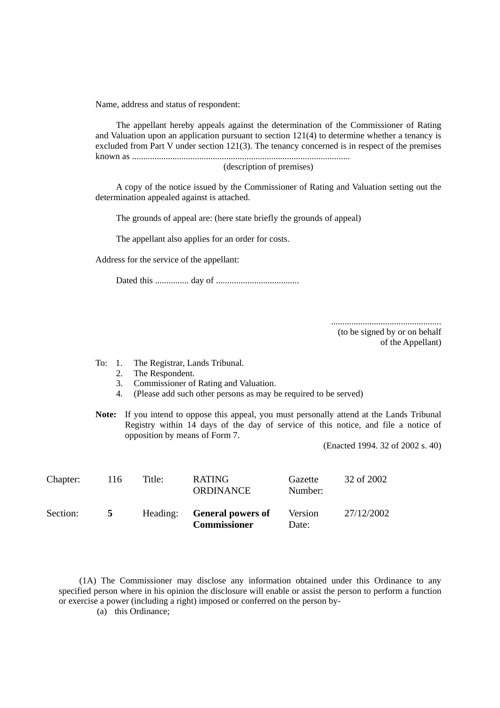Name, address and status of respondent:

The appellant hereby appeals against the determination of the Commissioner of Rating and Valuation upon an application pursuant to section 121(4) to determine whether a tenancy is excluded from Part V under section 121(3). The tenancy concerned is in respect of the premises known as .................................................................................................

(description of premises)

A copy of the notice issued by the Commissioner of Rating and Valuation setting out the determination appealed against is attached.

The grounds of appeal are: (here state briefly the grounds of appeal)

The appellant also applies for an order for costs.

Address for the service of the appellant:

Dated this ............... day of .....................................

.................................................

(to be signed by or on behalf of the Appellant)

To: 1. The Registrar, Lands Tribunal.<br>2. The Respondent.

- The Respondent.
- 3. Commissioner of Rating and Valuation.
- 4. (Please add such other persons as may be required to be served)
- **Note:** If you intend to oppose this appeal, you must personally attend at the Lands Tribunal Registry within 14 days of the day of service of this notice, and file a notice of opposition by means of Form 7.

(Enacted 1994. 32 of 2002 s. 40)

| Chapter: | 116 | Title:   | <b>RATING</b><br><b>ORDINANCE</b>               | Gazette<br>Number: | 32 of 2002 |
|----------|-----|----------|-------------------------------------------------|--------------------|------------|
| Section: | 5.  | Heading: | <b>General powers of</b><br><b>Commissioner</b> | Version<br>Date:   | 27/12/2002 |

(1A) The Commissioner may disclose any information obtained under this Ordinance to any specified person where in his opinion the disclosure will enable or assist the person to perform a function or exercise a power (including a right) imposed or conferred on the person by-

(a) this Ordinance;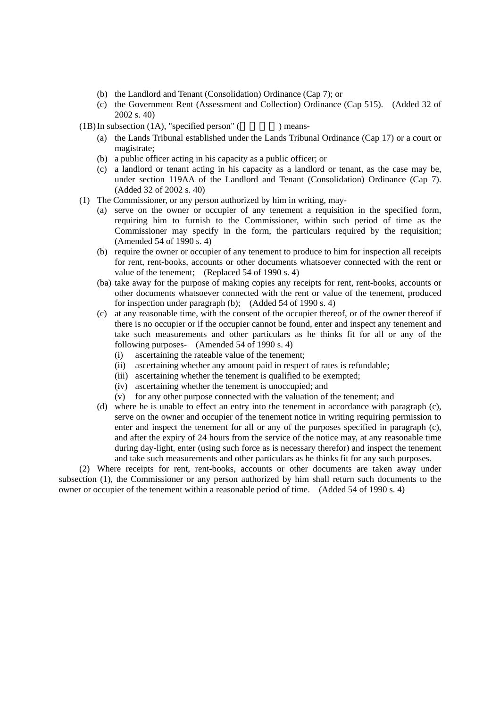- (b) the Landlord and Tenant (Consolidation) Ordinance (Cap 7); or
- (c) the Government Rent (Assessment and Collection) Ordinance (Cap 515). (Added 32 of 2002 s. 40)

 $(1B)$  In subsection  $(1A)$ , "specified person" ( $\qquad \qquad$ ) means-

- (a) the Lands Tribunal established under the Lands Tribunal Ordinance (Cap 17) or a court or magistrate;
- (b) a public officer acting in his capacity as a public officer; or
- (c) a landlord or tenant acting in his capacity as a landlord or tenant, as the case may be, under section 119AA of the Landlord and Tenant (Consolidation) Ordinance (Cap 7). (Added 32 of 2002 s. 40)
- (1) The Commissioner, or any person authorized by him in writing, may-
	- (a) serve on the owner or occupier of any tenement a requisition in the specified form, requiring him to furnish to the Commissioner, within such period of time as the Commissioner may specify in the form, the particulars required by the requisition; (Amended 54 of 1990 s. 4)
	- (b) require the owner or occupier of any tenement to produce to him for inspection all receipts for rent, rent-books, accounts or other documents whatsoever connected with the rent or value of the tenement; (Replaced 54 of 1990 s. 4)
	- (ba) take away for the purpose of making copies any receipts for rent, rent-books, accounts or other documents whatsoever connected with the rent or value of the tenement, produced for inspection under paragraph (b); (Added 54 of 1990 s. 4)
	- (c) at any reasonable time, with the consent of the occupier thereof, or of the owner thereof if there is no occupier or if the occupier cannot be found, enter and inspect any tenement and take such measurements and other particulars as he thinks fit for all or any of the following purposes- (Amended 54 of 1990 s. 4)
		- (i) ascertaining the rateable value of the tenement;
		- (ii) ascertaining whether any amount paid in respect of rates is refundable;
		- (iii) ascertaining whether the tenement is qualified to be exempted;
		- (iv) ascertaining whether the tenement is unoccupied; and
		- (v) for any other purpose connected with the valuation of the tenement; and
	- (d) where he is unable to effect an entry into the tenement in accordance with paragraph (c), serve on the owner and occupier of the tenement notice in writing requiring permission to enter and inspect the tenement for all or any of the purposes specified in paragraph (c), and after the expiry of 24 hours from the service of the notice may, at any reasonable time during day-light, enter (using such force as is necessary therefor) and inspect the tenement and take such measurements and other particulars as he thinks fit for any such purposes.

(2) Where receipts for rent, rent-books, accounts or other documents are taken away under subsection (1), the Commissioner or any person authorized by him shall return such documents to the owner or occupier of the tenement within a reasonable period of time. (Added 54 of 1990 s. 4)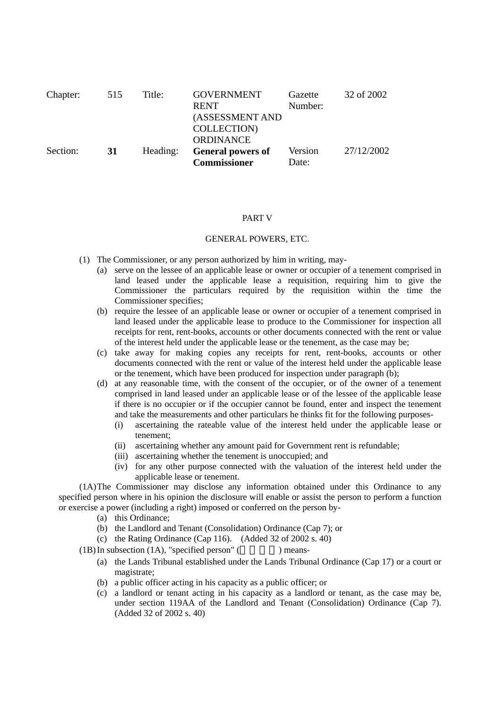| Chapter: | 515 | Title:   | <b>GOVERNMENT</b><br><b>RENT</b><br>(ASSESSMENT AND<br><b>COLLECTION</b><br><b>ORDINANCE</b> | Gazette<br>Number: | 32 of 2002 |
|----------|-----|----------|----------------------------------------------------------------------------------------------|--------------------|------------|
| Section: | 31  | Heading: | <b>General powers of</b><br><b>Commissioner</b>                                              | Version<br>Date:   | 27/12/2002 |

#### PART V

#### GENERAL POWERS, ETC.

- (1) The Commissioner, or any person authorized by him in writing, may-
	- (a) serve on the lessee of an applicable lease or owner or occupier of a tenement comprised in land leased under the applicable lease a requisition, requiring him to give the Commissioner the particulars required by the requisition within the time the Commissioner specifies;
	- (b) require the lessee of an applicable lease or owner or occupier of a tenement comprised in land leased under the applicable lease to produce to the Commissioner for inspection all receipts for rent, rent-books, accounts or other documents connected with the rent or value of the interest held under the applicable lease or the tenement, as the case may be;
	- (c) take away for making copies any receipts for rent, rent-books, accounts or other documents connected with the rent or value of the interest held under the applicable lease or the tenement, which have been produced for inspection under paragraph (b);
	- (d) at any reasonable time, with the consent of the occupier, or of the owner of a tenement comprised in land leased under an applicable lease or of the lessee of the applicable lease if there is no occupier or if the occupier cannot be found, enter and inspect the tenement and take the measurements and other particulars he thinks fit for the following purposes-
		- (i) ascertaining the rateable value of the interest held under the applicable lease or tenement;
		- (ii) ascertaining whether any amount paid for Government rent is refundable;
		- (iii) ascertaining whether the tenement is unoccupied; and
		- (iv) for any other purpose connected with the valuation of the interest held under the applicable lease or tenement.

(1A) The Commissioner may disclose any information obtained under this Ordinance to any specified person where in his opinion the disclosure will enable or assist the person to perform a function or exercise a power (including a right) imposed or conferred on the person by-

- (a) this Ordinance;
- (b) the Landlord and Tenant (Consolidation) Ordinance (Cap 7); or
- (c) the Rating Ordinance (Cap 116). (Added 32 of 2002 s. 40)

 $(1B)$  In subsection  $(1A)$ , "specified person" ( $\qquad \qquad$ ) means-

- (a) the Lands Tribunal established under the Lands Tribunal Ordinance (Cap 17) or a court or magistrate;
- (b) a public officer acting in his capacity as a public officer; or
- (c) a landlord or tenant acting in his capacity as a landlord or tenant, as the case may be, under section 119AA of the Landlord and Tenant (Consolidation) Ordinance (Cap 7). (Added 32 of 2002 s. 40)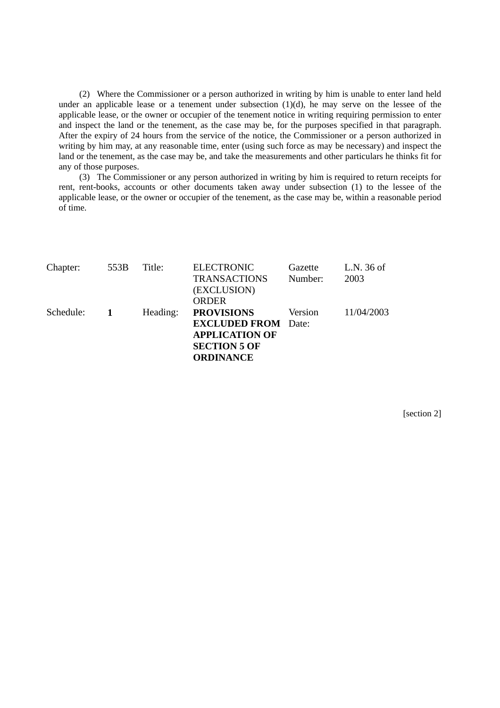(2) Where the Commissioner or a person authorized in writing by him is unable to enter land held under an applicable lease or a tenement under subsection (1)(d), he may serve on the lessee of the applicable lease, or the owner or occupier of the tenement notice in writing requiring permission to enter and inspect the land or the tenement, as the case may be, for the purposes specified in that paragraph. After the expiry of 24 hours from the service of the notice, the Commissioner or a person authorized in writing by him may, at any reasonable time, enter (using such force as may be necessary) and inspect the land or the tenement, as the case may be, and take the measurements and other particulars he thinks fit for any of those purposes.

(3) The Commissioner or any person authorized in writing by him is required to return receipts for rent, rent-books, accounts or other documents taken away under subsection (1) to the lessee of the applicable lease, or the owner or occupier of the tenement, as the case may be, within a reasonable period of time.

| Chapter:  | 553B | Title:   | <b>ELECTRONIC</b><br><b>TRANSACTIONS</b><br>(EXCLUSION)<br><b>ORDER</b>                                             | Gazette<br>Number: | L.N. 36 of<br>2003 |
|-----------|------|----------|---------------------------------------------------------------------------------------------------------------------|--------------------|--------------------|
| Schedule: |      | Heading: | <b>PROVISIONS</b><br><b>EXCLUDED FROM</b> Date:<br><b>APPLICATION OF</b><br><b>SECTION 5 OF</b><br><b>ORDINANCE</b> | Version            | 11/04/2003         |

[section 2]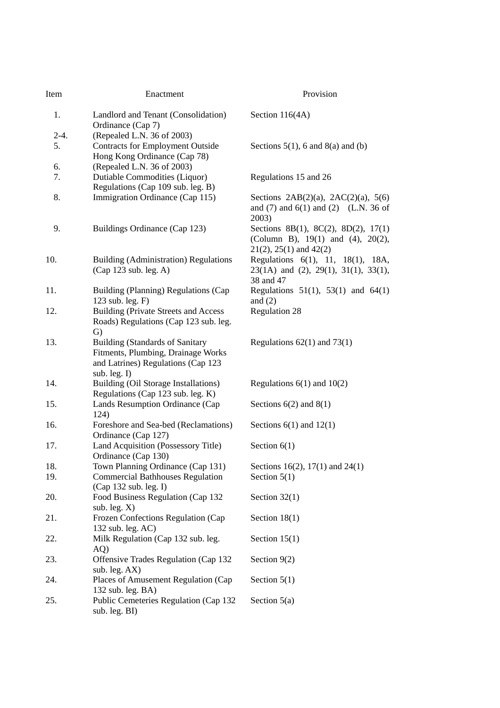| Item   | Enactment                                                                                                                             | Provision                                                                                                 |  |  |
|--------|---------------------------------------------------------------------------------------------------------------------------------------|-----------------------------------------------------------------------------------------------------------|--|--|
| 1.     | Landlord and Tenant (Consolidation)<br>Ordinance (Cap 7)                                                                              | Section 116(4A)                                                                                           |  |  |
| $2-4.$ | (Repealed L.N. 36 of 2003)                                                                                                            |                                                                                                           |  |  |
| 5.     | <b>Contracts for Employment Outside</b><br>Hong Kong Ordinance (Cap 78)                                                               | Sections $5(1)$ , 6 and $8(a)$ and (b)                                                                    |  |  |
| 6.     | (Repealed L.N. 36 of 2003)                                                                                                            |                                                                                                           |  |  |
| 7.     | Dutiable Commodities (Liquor)                                                                                                         | Regulations 15 and 26                                                                                     |  |  |
|        | Regulations (Cap 109 sub. leg. B)                                                                                                     |                                                                                                           |  |  |
| 8.     | Immigration Ordinance (Cap 115)                                                                                                       | Sections $2AB(2)(a)$ , $2AC(2)(a)$ , 5(6)<br>and $(7)$ and $6(1)$ and $(2)$ (L.N. 36 of<br>2003)          |  |  |
| 9.     | Buildings Ordinance (Cap 123)                                                                                                         | Sections 8B(1), 8C(2), 8D(2), 17(1)<br>(Column B), 19(1) and (4), 20(2),<br>$21(2)$ , $25(1)$ and $42(2)$ |  |  |
| 10.    | <b>Building (Administration) Regulations</b>                                                                                          | Regulations 6(1), 11, 18(1), 18A,                                                                         |  |  |
|        | (Cap 123 sub. leg. A)                                                                                                                 | $23(1A)$ and $(2)$ , $29(1)$ , $31(1)$ , $33(1)$ ,<br>38 and 47                                           |  |  |
| 11.    | Building (Planning) Regulations (Cap<br>123 sub. leg. F)                                                                              | Regulations $51(1)$ , $53(1)$ and $64(1)$<br>and $(2)$                                                    |  |  |
| 12.    | <b>Building (Private Streets and Access</b><br>Roads) Regulations (Cap 123 sub. leg.<br>G)                                            | <b>Regulation 28</b>                                                                                      |  |  |
| 13.    | <b>Building (Standards of Sanitary</b><br>Fitments, Plumbing, Drainage Works<br>and Latrines) Regulations (Cap 123<br>sub. leg. $I$ ) | Regulations $62(1)$ and $73(1)$                                                                           |  |  |
| 14.    | Building (Oil Storage Installations)<br>Regulations (Cap 123 sub. leg. K)                                                             | Regulations $6(1)$ and $10(2)$                                                                            |  |  |
| 15.    | Lands Resumption Ordinance (Cap<br>124)                                                                                               | Sections $6(2)$ and $8(1)$                                                                                |  |  |
| 16.    | Foreshore and Sea-bed (Reclamations)<br>Ordinance (Cap 127)                                                                           | Sections $6(1)$ and $12(1)$                                                                               |  |  |
| 17.    | Land Acquisition (Possessory Title)<br>Ordinance (Cap 130)                                                                            | Section $6(1)$                                                                                            |  |  |
| 18.    | Town Planning Ordinance (Cap 131)                                                                                                     | Sections 16(2), 17(1) and 24(1)                                                                           |  |  |
| 19.    | <b>Commercial Bathhouses Regulation</b>                                                                                               | Section $5(1)$                                                                                            |  |  |
| 20.    | (Cap 132 sub. leg. I)<br>Food Business Regulation (Cap 132                                                                            | Section $32(1)$                                                                                           |  |  |
| 21.    | sub. leg. $X$ )<br>Frozen Confections Regulation (Cap<br>132 sub. leg. AC)                                                            | Section 18(1)                                                                                             |  |  |
| 22.    | Milk Regulation (Cap 132 sub. leg.<br>AQ)                                                                                             | Section $15(1)$                                                                                           |  |  |
| 23.    | Offensive Trades Regulation (Cap 132<br>sub. leg. AX)                                                                                 | Section $9(2)$                                                                                            |  |  |
| 24.    | Places of Amusement Regulation (Cap<br>132 sub. leg. BA)                                                                              | Section $5(1)$                                                                                            |  |  |
| 25.    | Public Cemeteries Regulation (Cap 132<br>sub. leg. BI)                                                                                | Section $5(a)$                                                                                            |  |  |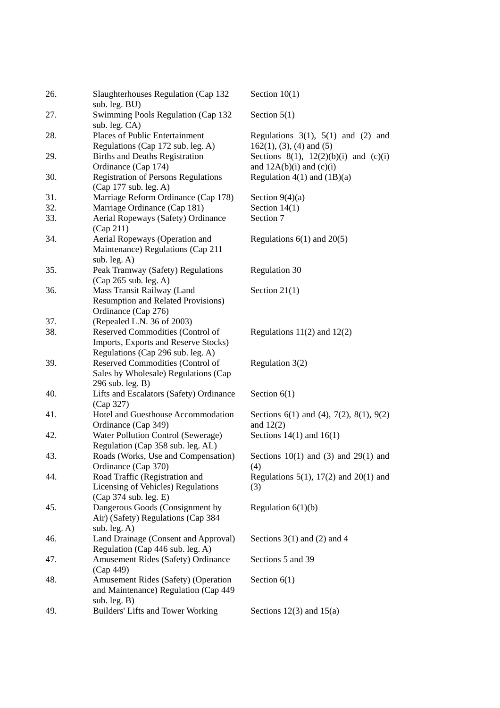| 26. | Slaughterhouses Regulation (Cap 132<br>sub. leg. BU)                                                          | Section $10(1)$                                                           |
|-----|---------------------------------------------------------------------------------------------------------------|---------------------------------------------------------------------------|
| 27. | Swimming Pools Regulation (Cap 132<br>sub. leg. CA)                                                           | Section $5(1)$                                                            |
| 28. | Places of Public Entertainment<br>Regulations (Cap 172 sub. leg. A)                                           | Regulations $3(1)$ , $5(1)$ and $(2)$ and<br>$162(1)$ , (3), (4) and (5)  |
| 29. | <b>Births and Deaths Registration</b><br>Ordinance (Cap 174)                                                  | Sections 8(1), $12(2)(b)(i)$ and $(c)(i)$<br>and $12A(b)(i)$ and $(c)(i)$ |
| 30. | <b>Registration of Persons Regulations</b><br>(Cap 177 sub. leg. A)                                           | Regulation $4(1)$ and $(1B)(a)$                                           |
| 31. | Marriage Reform Ordinance (Cap 178)                                                                           | Section $9(4)(a)$                                                         |
| 32. | Marriage Ordinance (Cap 181)                                                                                  | Section $14(1)$                                                           |
| 33. | Aerial Ropeways (Safety) Ordinance<br>(Cap 211)                                                               | Section 7                                                                 |
| 34. | Aerial Ropeways (Operation and<br>Maintenance) Regulations (Cap 211<br>sub. leg. A)                           | Regulations $6(1)$ and $20(5)$                                            |
| 35. | Peak Tramway (Safety) Regulations<br>(Cap 265 sub. leg. A)                                                    | <b>Regulation 30</b>                                                      |
| 36. | Mass Transit Railway (Land<br><b>Resumption and Related Provisions)</b><br>Ordinance (Cap 276)                | Section $21(1)$                                                           |
| 37. | (Repealed L.N. 36 of 2003)                                                                                    |                                                                           |
| 38. | Reserved Commodities (Control of<br>Imports, Exports and Reserve Stocks)<br>Regulations (Cap 296 sub. leg. A) | Regulations $11(2)$ and $12(2)$                                           |
| 39. | Reserved Commodities (Control of<br>Sales by Wholesale) Regulations (Cap<br>296 sub. leg. B)                  | Regulation 3(2)                                                           |
| 40. | Lifts and Escalators (Safety) Ordinance<br>(Cap 327)                                                          | Section $6(1)$                                                            |
| 41. | Hotel and Guesthouse Accommodation<br>Ordinance (Cap 349)                                                     | Sections $6(1)$ and $(4)$ , $7(2)$ , $8(1)$ , $9(2)$<br>and $12(2)$       |
| 42. | Water Pollution Control (Sewerage)<br>Regulation (Cap 358 sub. leg. AL)                                       | Sections $14(1)$ and $16(1)$                                              |
| 43. | Roads (Works, Use and Compensation)<br>Ordinance (Cap 370)                                                    | Sections $10(1)$ and $(3)$ and $29(1)$ and<br>(4)                         |
| 44. | Road Traffic (Registration and<br>Licensing of Vehicles) Regulations<br>(Cap 374 sub. leg. E)                 | Regulations 5(1), 17(2) and 20(1) and<br>(3)                              |
| 45. | Dangerous Goods (Consignment by<br>Air) (Safety) Regulations (Cap 384<br>sub. $leg. A)$                       | Regulation $6(1)(b)$                                                      |
| 46. | Land Drainage (Consent and Approval)<br>Regulation (Cap 446 sub. leg. A)                                      | Sections $3(1)$ and $(2)$ and 4                                           |
| 47. | Amusement Rides (Safety) Ordinance<br>(Cap 449)                                                               | Sections 5 and 39                                                         |
| 48. | Amusement Rides (Safety) (Operation<br>and Maintenance) Regulation (Cap 449<br>sub. leg. $B)$                 | Section $6(1)$                                                            |
| 49. | Builders' Lifts and Tower Working                                                                             | Sections $12(3)$ and $15(a)$                                              |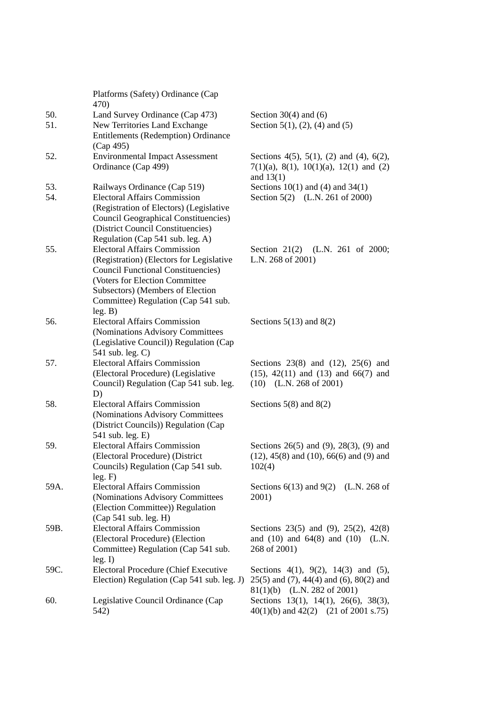|            | Platforms (Safety) Ordinance (Cap<br>470)                                                                                                                                                                                                             |                                                                                                                                     |
|------------|-------------------------------------------------------------------------------------------------------------------------------------------------------------------------------------------------------------------------------------------------------|-------------------------------------------------------------------------------------------------------------------------------------|
| 50.<br>51. | Land Survey Ordinance (Cap 473)<br>New Territories Land Exchange<br>Entitlements (Redemption) Ordinance                                                                                                                                               | Section $30(4)$ and $(6)$<br>Section 5(1), (2), (4) and (5)                                                                         |
| 52.        | (Cap 495)<br><b>Environmental Impact Assessment</b><br>Ordinance (Cap 499)                                                                                                                                                                            | Sections 4(5), 5(1), (2) and (4), 6(2),<br>$7(1)(a)$ , 8(1), 10(1)(a), 12(1) and (2)<br>and $13(1)$                                 |
| 53.<br>54. | Railways Ordinance (Cap 519)<br><b>Electoral Affairs Commission</b><br>(Registration of Electors) (Legislative<br><b>Council Geographical Constituencies</b> )<br>(District Council Constituencies)<br>Regulation (Cap 541 sub. leg. A)               | Sections $10(1)$ and $(4)$ and $34(1)$<br>Section 5(2) (L.N. 261 of 2000)                                                           |
| 55.        | <b>Electoral Affairs Commission</b><br>(Registration) (Electors for Legislative<br><b>Council Functional Constituencies</b> )<br>(Voters for Election Committee<br>Subsectors) (Members of Election<br>Committee) Regulation (Cap 541 sub.<br>leg. B) | Section $21(2)$<br>(L.N. 261 of 2000;<br>L.N. 268 of 2001)                                                                          |
| 56.        | <b>Electoral Affairs Commission</b><br>(Nominations Advisory Committees<br>(Legislative Council)) Regulation (Cap<br>541 sub. leg. C)                                                                                                                 | Sections $5(13)$ and $8(2)$                                                                                                         |
| 57.        | <b>Electoral Affairs Commission</b><br>(Electoral Procedure) (Legislative<br>Council) Regulation (Cap 541 sub. leg.<br>D)                                                                                                                             | Sections $23(8)$ and $(12)$ , $25(6)$ and<br>$(15)$ , $42(11)$ and $(13)$ and $66(7)$ and<br>$(10)$ (L.N. 268 of 2001)              |
| 58.        | <b>Electoral Affairs Commission</b><br>(Nominations Advisory Committees<br>(District Councils)) Regulation (Cap<br>541 sub. leg. E)                                                                                                                   | Sections $5(8)$ and $8(2)$                                                                                                          |
| 59.        | <b>Electoral Affairs Commission</b><br>(Electoral Procedure) (District<br>Councils) Regulation (Cap 541 sub.<br>leg. F)                                                                                                                               | Sections $26(5)$ and $(9)$ , $28(3)$ , $(9)$ and<br>$(12)$ , 45(8) and (10), 66(6) and (9) and<br>102(4)                            |
| 59A.       | <b>Electoral Affairs Commission</b><br>(Nominations Advisory Committees<br>(Election Committee)) Regulation<br>(Cap 541 sub. leg. H)                                                                                                                  | Sections $6(13)$ and $9(2)$ (L.N. 268 of<br>2001)                                                                                   |
| 59B.       | <b>Electoral Affairs Commission</b><br>(Electoral Procedure) (Election<br>Committee) Regulation (Cap 541 sub.<br>leg. I)                                                                                                                              | Sections 23(5) and (9), 25(2), 42(8)<br>and $(10)$ and $64(8)$ and $(10)$<br>(L.N.<br>268 of 2001)                                  |
| 59C.       | Electoral Procedure (Chief Executive<br>Election) Regulation (Cap 541 sub. leg. J)                                                                                                                                                                    | Sections $4(1)$ , $9(2)$ , $14(3)$ and $(5)$ ,<br>$25(5)$ and $(7)$ , 44(4) and $(6)$ , 80(2) and<br>(L.N. 282 of 2001)<br>81(1)(b) |
| 60.        | Legislative Council Ordinance (Cap<br>542)                                                                                                                                                                                                            | Sections 13(1), 14(1), 26(6), 38(3),<br>$40(1)(b)$ and $42(2)$ (21 of 2001 s.75)                                                    |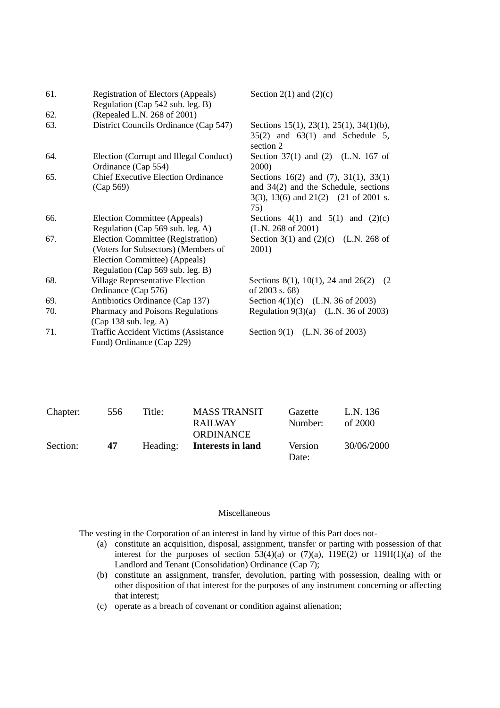| 61. | Registration of Electors (Appeals)<br>Regulation (Cap 542 sub. leg. B)                                                                        | Section 2(1) and $(2)(c)$                                                                                                                      |
|-----|-----------------------------------------------------------------------------------------------------------------------------------------------|------------------------------------------------------------------------------------------------------------------------------------------------|
| 62. | (Repealed L.N. 268 of 2001)                                                                                                                   |                                                                                                                                                |
| 63. | District Councils Ordinance (Cap 547)                                                                                                         | Sections 15(1), 23(1), 25(1), 34(1)(b),<br>$35(2)$ and $63(1)$ and Schedule 5,<br>section 2                                                    |
| 64. | Election (Corrupt and Illegal Conduct)<br>Ordinance (Cap 554)                                                                                 | Section $37(1)$ and $(2)$ (L.N. 167 of<br><b>2000</b> )                                                                                        |
| 65. | <b>Chief Executive Election Ordinance</b><br>(Cap 569)                                                                                        | Sections $16(2)$ and $(7)$ , $31(1)$ , $33(1)$<br>and $34(2)$ and the Schedule, sections<br>$3(3)$ , $13(6)$ and $21(2)$ (21 of 2001 s.<br>75) |
| 66. | Election Committee (Appeals)<br>Regulation (Cap 569 sub. leg. A)                                                                              | Sections $4(1)$ and $5(1)$ and $(2)(c)$<br>(L.N. 268 of 2001)                                                                                  |
| 67. | Election Committee (Registration)<br>(Voters for Subsectors) (Members of<br>Election Committee) (Appeals)<br>Regulation (Cap 569 sub. leg. B) | Section 3(1) and $(2)(c)$ (L.N. 268 of<br>2001)                                                                                                |
| 68. | <b>Village Representative Election</b><br>Ordinance (Cap 576)                                                                                 | Sections 8(1), 10(1), 24 and 26(2)<br>(2)<br>of 2003 s. 68)                                                                                    |
| 69. | Antibiotics Ordinance (Cap 137)                                                                                                               | Section 4(1)(c) (L.N. 36 of 2003)                                                                                                              |
| 70. | Pharmacy and Poisons Regulations<br>(Cap 138 sub. leg. A)                                                                                     | Regulation 9(3)(a) (L.N. 36 of 2003)                                                                                                           |
| 71. | <b>Traffic Accident Victims (Assistance</b><br>Fund) Ordinance (Cap 229)                                                                      | Section 9(1) (L.N. 36 of 2003)                                                                                                                 |

| Chapter: | 556 | Title: | <b>MASS TRANSIT</b><br><b>RAILWAY</b><br><b>ORDINANCE</b> | Gazette<br>Number: | L.N. 136<br>of $2000$ |
|----------|-----|--------|-----------------------------------------------------------|--------------------|-----------------------|
| Section: | 47  |        | Heading: Interests in land                                | Version<br>Date:   | 30/06/2000            |

#### Miscellaneous

The vesting in the Corporation of an interest in land by virtue of this Part does not-

- (a) constitute an acquisition, disposal, assignment, transfer or parting with possession of that interest for the purposes of section 53(4)(a) or  $(7)(a)$ ,  $119E(2)$  or  $119H(1)(a)$  of the Landlord and Tenant (Consolidation) Ordinance (Cap 7);
- (b) constitute an assignment, transfer, devolution, parting with possession, dealing with or other disposition of that interest for the purposes of any instrument concerning or affecting that interest;
- (c) operate as a breach of covenant or condition against alienation;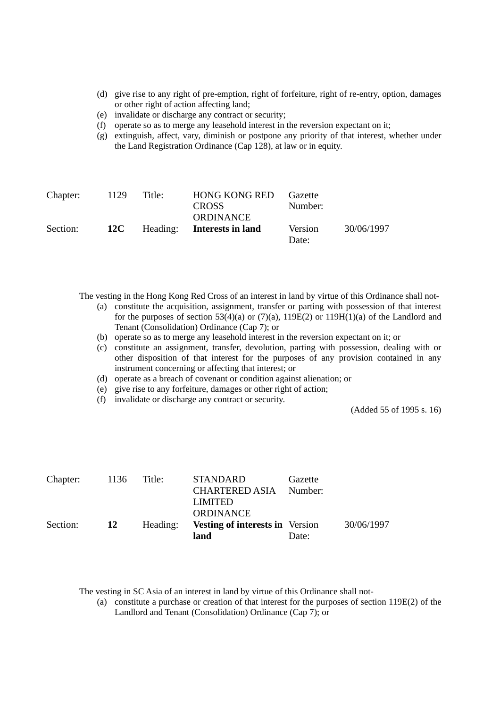- (d) give rise to any right of pre-emption, right of forfeiture, right of re-entry, option, damages or other right of action affecting land;
- (e) invalidate or discharge any contract or security;
- (f) operate so as to merge any leasehold interest in the reversion expectant on it;
- (g) extinguish, affect, vary, diminish or postpone any priority of that interest, whether under the Land Registration Ordinance (Cap 128), at law or in equity.

| Chapter: | 1129 | Title: | <b>HONG KONG RED</b><br><b>CROSS</b><br>ORDINANCE | Gazette<br>Number: |            |
|----------|------|--------|---------------------------------------------------|--------------------|------------|
| Section: | 12C  |        | Heading: Interests in land                        | Version<br>Date:   | 30/06/1997 |

The vesting in the Hong Kong Red Cross of an interest in land by virtue of this Ordinance shall not-

- (a) constitute the acquisition, assignment, transfer or parting with possession of that interest for the purposes of section 53(4)(a) or (7)(a), 119E(2) or 119H(1)(a) of the Landlord and Tenant (Consolidation) Ordinance (Cap 7); or
- (b) operate so as to merge any leasehold interest in the reversion expectant on it; or
- (c) constitute an assignment, transfer, devolution, parting with possession, dealing with or other disposition of that interest for the purposes of any provision contained in any instrument concerning or affecting that interest; or
- (d) operate as a breach of covenant or condition against alienation; or
- (e) give rise to any forfeiture, damages or other right of action;
- (f) invalidate or discharge any contract or security.

(Added 55 of 1995 s. 16)

| Chapter: | 1136      | Title:   | <b>STANDARD</b>                        | Gazette |            |
|----------|-----------|----------|----------------------------------------|---------|------------|
|          |           |          | CHARTERED ASIA Number:                 |         |            |
|          |           |          | <b>LIMITED</b>                         |         |            |
|          |           |          | <b>ORDINANCE</b>                       |         |            |
| Section: | <b>12</b> | Heading: | <b>Vesting of interests in</b> Version |         | 30/06/1997 |
|          |           |          | land                                   | Date:   |            |

The vesting in SC Asia of an interest in land by virtue of this Ordinance shall not-

(a) constitute a purchase or creation of that interest for the purposes of section 119E(2) of the Landlord and Tenant (Consolidation) Ordinance (Cap 7); or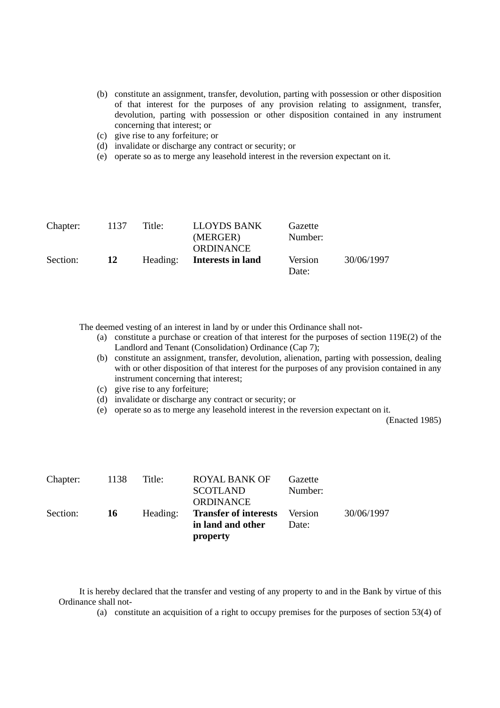- (b) constitute an assignment, transfer, devolution, parting with possession or other disposition of that interest for the purposes of any provision relating to assignment, transfer, devolution, parting with possession or other disposition contained in any instrument concerning that interest; or
- (c) give rise to any forfeiture; or
- (d) invalidate or discharge any contract or security; or
- (e) operate so as to merge any leasehold interest in the reversion expectant on it.

| Chapter: | 1137 | Title:   | LLOYDS BANK<br>(MERGER)<br>ORDINANCE | Gazette<br>Number: |            |
|----------|------|----------|--------------------------------------|--------------------|------------|
| Section: | 12   | Heading: | Interests in land                    | Version<br>Date:   | 30/06/1997 |

The deemed vesting of an interest in land by or under this Ordinance shall not-

- (a) constitute a purchase or creation of that interest for the purposes of section 119E(2) of the Landlord and Tenant (Consolidation) Ordinance (Cap 7);
- (b) constitute an assignment, transfer, devolution, alienation, parting with possession, dealing with or other disposition of that interest for the purposes of any provision contained in any instrument concerning that interest;
- (c) give rise to any forfeiture;
- (d) invalidate or discharge any contract or security; or
- (e) operate so as to merge any leasehold interest in the reversion expectant on it.

(Enacted 1985)

| Chapter: | 1138      | Title:   | <b>ROYAL BANK OF</b><br><b>SCOTLAND</b><br><b>ORDINANCE</b> | Gazette<br>Number: |            |
|----------|-----------|----------|-------------------------------------------------------------|--------------------|------------|
| Section: | <b>16</b> | Heading: | <b>Transfer of interests</b><br>in land and other           | Version<br>Date:   | 30/06/1997 |
|          |           |          | property                                                    |                    |            |

It is hereby declared that the transfer and vesting of any property to and in the Bank by virtue of this Ordinance shall not-

(a) constitute an acquisition of a right to occupy premises for the purposes of section 53(4) of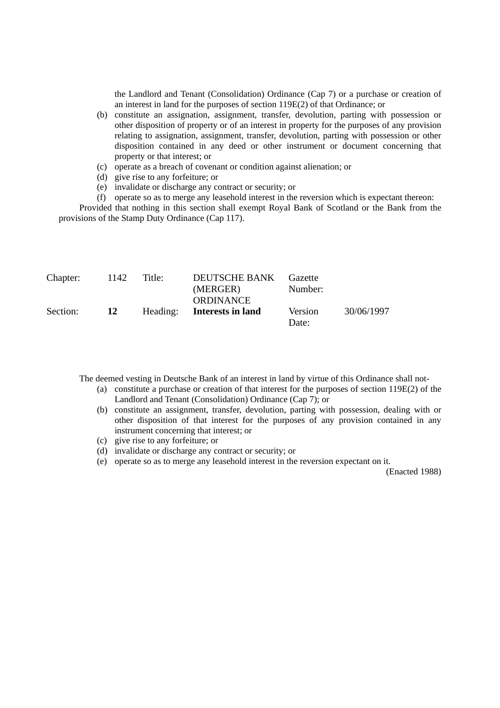the Landlord and Tenant (Consolidation) Ordinance (Cap 7) or a purchase or creation of an interest in land for the purposes of section 119E(2) of that Ordinance; or

- (b) constitute an assignation, assignment, transfer, devolution, parting with possession or other disposition of property or of an interest in property for the purposes of any provision relating to assignation, assignment, transfer, devolution, parting with possession or other disposition contained in any deed or other instrument or document concerning that property or that interest; or
- (c) operate as a breach of covenant or condition against alienation; or
- (d) give rise to any forfeiture; or
- (e) invalidate or discharge any contract or security; or
- (f) operate so as to merge any leasehold interest in the reversion which is expectant thereon:

Provided that nothing in this section shall exempt Royal Bank of Scotland or the Bank from the provisions of the Stamp Duty Ordinance (Cap 117).

| Chapter: | 1142      | Title:   | <b>DEUTSCHE BANK</b><br>(MERGER)<br><b>ORDINANCE</b> | Gazette<br>Number: |            |
|----------|-----------|----------|------------------------------------------------------|--------------------|------------|
| Section: | <b>12</b> | Heading: | <b>Interests in land</b>                             | Version<br>Date:   | 30/06/1997 |

The deemed vesting in Deutsche Bank of an interest in land by virtue of this Ordinance shall not-

- (a) constitute a purchase or creation of that interest for the purposes of section 119E(2) of the Landlord and Tenant (Consolidation) Ordinance (Cap 7); or
- (b) constitute an assignment, transfer, devolution, parting with possession, dealing with or other disposition of that interest for the purposes of any provision contained in any instrument concerning that interest; or
- (c) give rise to any forfeiture; or
- (d) invalidate or discharge any contract or security; or
- (e) operate so as to merge any leasehold interest in the reversion expectant on it.

(Enacted 1988)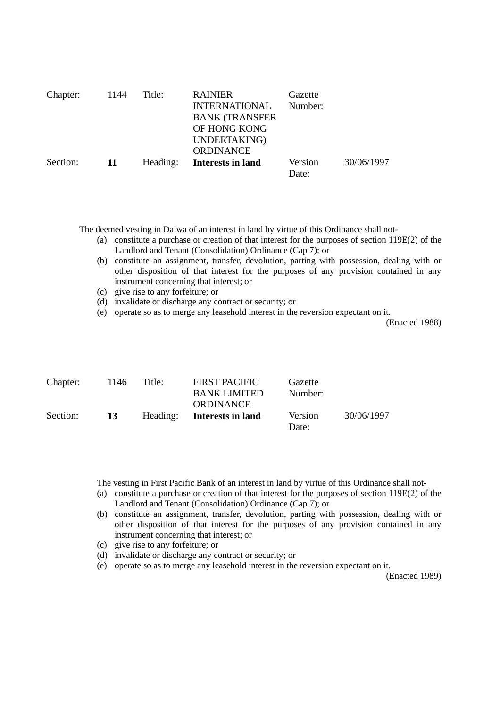| Chapter: | 1144 | Title:   | <b>RAINIER</b><br><b>INTERNATIONAL</b><br><b>BANK (TRANSFER</b><br>OF HONG KONG<br>UNDERTAKING)<br><b>ORDINANCE</b> | Gazette<br>Number: |            |
|----------|------|----------|---------------------------------------------------------------------------------------------------------------------|--------------------|------------|
| Section: | -11  | Heading: | <b>Interests in land</b>                                                                                            | Version<br>Date:   | 30/06/1997 |

The deemed vesting in Daiwa of an interest in land by virtue of this Ordinance shall not-

- (a) constitute a purchase or creation of that interest for the purposes of section 119E(2) of the Landlord and Tenant (Consolidation) Ordinance (Cap 7); or
- (b) constitute an assignment, transfer, devolution, parting with possession, dealing with or other disposition of that interest for the purposes of any provision contained in any instrument concerning that interest; or
- (c) give rise to any forfeiture; or
- (d) invalidate or discharge any contract or security; or
- (e) operate so as to merge any leasehold interest in the reversion expectant on it.

(Enacted 1988)

| Chapter: | 1146 | Title:   | <b>FIRST PACIFIC</b><br><b>BANK LIMITED</b> | Gazette<br>Number: |            |
|----------|------|----------|---------------------------------------------|--------------------|------------|
|          |      |          | <b>ORDINANCE</b>                            |                    |            |
| Section: | 13   | Heading: | Interests in land                           | Version<br>Date:   | 30/06/1997 |

The vesting in First Pacific Bank of an interest in land by virtue of this Ordinance shall not-

- (a) constitute a purchase or creation of that interest for the purposes of section 119E(2) of the Landlord and Tenant (Consolidation) Ordinance (Cap 7); or
- (b) constitute an assignment, transfer, devolution, parting with possession, dealing with or other disposition of that interest for the purposes of any provision contained in any instrument concerning that interest; or
- (c) give rise to any forfeiture; or
- (d) invalidate or discharge any contract or security; or
- (e) operate so as to merge any leasehold interest in the reversion expectant on it.

(Enacted 1989)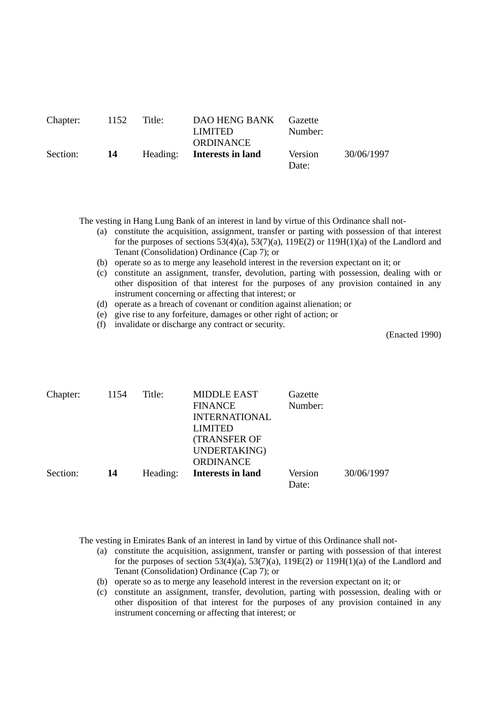| ORDINANCE<br>30/06/1997<br>Section:<br>Heading: Interests in land<br>Version<br>-14 | Chapter: | 1152 | Title: | DAO HENG BANK Gazette<br><b>LIMITED</b> | Number: |  |
|-------------------------------------------------------------------------------------|----------|------|--------|-----------------------------------------|---------|--|
|                                                                                     |          |      |        |                                         | Date:   |  |

The vesting in Hang Lung Bank of an interest in land by virtue of this Ordinance shall not-

- (a) constitute the acquisition, assignment, transfer or parting with possession of that interest for the purposes of sections  $53(4)(a)$ ,  $53(7)(a)$ ,  $119E(2)$  or  $119H(1)(a)$  of the Landlord and Tenant (Consolidation) Ordinance (Cap 7); or
- (b) operate so as to merge any leasehold interest in the reversion expectant on it; or
- (c) constitute an assignment, transfer, devolution, parting with possession, dealing with or other disposition of that interest for the purposes of any provision contained in any instrument concerning or affecting that interest; or
- (d) operate as a breach of covenant or condition against alienation; or
- (e) give rise to any forfeiture, damages or other right of action; or
- (f) invalidate or discharge any contract or security.

(Enacted 1990)

| Chapter: | 1154 | Title:   | <b>MIDDLE EAST</b>       | Gazette |            |
|----------|------|----------|--------------------------|---------|------------|
|          |      |          | <b>FINANCE</b>           | Number: |            |
|          |      |          | <b>INTERNATIONAL</b>     |         |            |
|          |      |          | <b>LIMITED</b>           |         |            |
|          |      |          | <b>(TRANSFER OF</b>      |         |            |
|          |      |          | UNDERTAKING)             |         |            |
|          |      |          | <b>ORDINANCE</b>         |         |            |
| Section: | 14   | Heading: | <b>Interests in land</b> | Version | 30/06/1997 |
|          |      |          |                          | Date:   |            |

The vesting in Emirates Bank of an interest in land by virtue of this Ordinance shall not-

- (a) constitute the acquisition, assignment, transfer or parting with possession of that interest for the purposes of section  $53(4)(a)$ ,  $53(7)(a)$ ,  $119E(2)$  or  $119H(1)(a)$  of the Landlord and Tenant (Consolidation) Ordinance (Cap 7); or
- (b) operate so as to merge any leasehold interest in the reversion expectant on it; or
- (c) constitute an assignment, transfer, devolution, parting with possession, dealing with or other disposition of that interest for the purposes of any provision contained in any instrument concerning or affecting that interest; or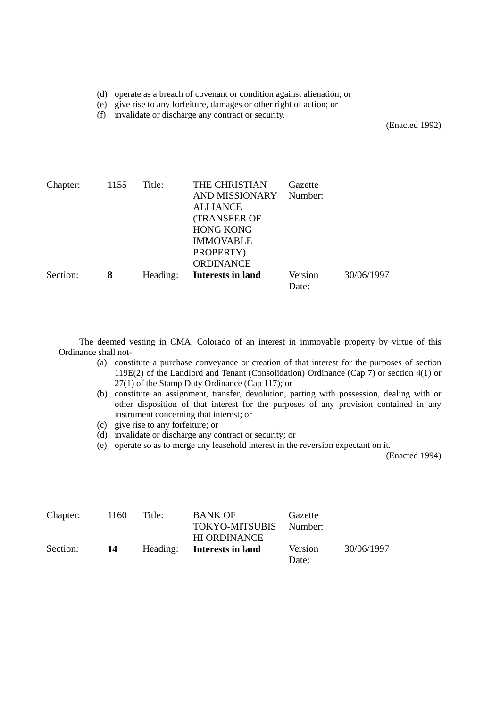- (d) operate as a breach of covenant or condition against alienation; or
- (e) give rise to any forfeiture, damages or other right of action; or
- (f) invalidate or discharge any contract or security.

(Enacted 1992)

| Chapter: | 1155 | Title:   | THE CHRISTIAN            | Gazette |            |
|----------|------|----------|--------------------------|---------|------------|
|          |      |          | <b>AND MISSIONARY</b>    | Number: |            |
|          |      |          | <b>ALLIANCE</b>          |         |            |
|          |      |          | <b>(TRANSFER OF</b>      |         |            |
|          |      |          | <b>HONG KONG</b>         |         |            |
|          |      |          | <b>IMMOVABLE</b>         |         |            |
|          |      |          | PROPERTY)                |         |            |
|          |      |          | <b>ORDINANCE</b>         |         |            |
| Section: | 8    | Heading: | <b>Interests in land</b> | Version | 30/06/1997 |
|          |      |          |                          | Date:   |            |

The deemed vesting in CMA, Colorado of an interest in immovable property by virtue of this Ordinance shall not-

- (a) constitute a purchase conveyance or creation of that interest for the purposes of section 119E(2) of the Landlord and Tenant (Consolidation) Ordinance (Cap 7) or section 4(1) or 27(1) of the Stamp Duty Ordinance (Cap 117); or
- (b) constitute an assignment, transfer, devolution, parting with possession, dealing with or other disposition of that interest for the purposes of any provision contained in any instrument concerning that interest; or
- (c) give rise to any forfeiture; or
- (d) invalidate or discharge any contract or security; or
- (e) operate so as to merge any leasehold interest in the reversion expectant on it.

(Enacted 1994)

| Chapter: | 1160 | Title: | <b>BANK OF</b><br><b>TOKYO-MITSUBIS</b><br><b>HI ORDINANCE</b> | Gazette<br>Number: |            |
|----------|------|--------|----------------------------------------------------------------|--------------------|------------|
| Section: | 14   |        | Heading: Interests in land                                     | Version<br>Date:   | 30/06/1997 |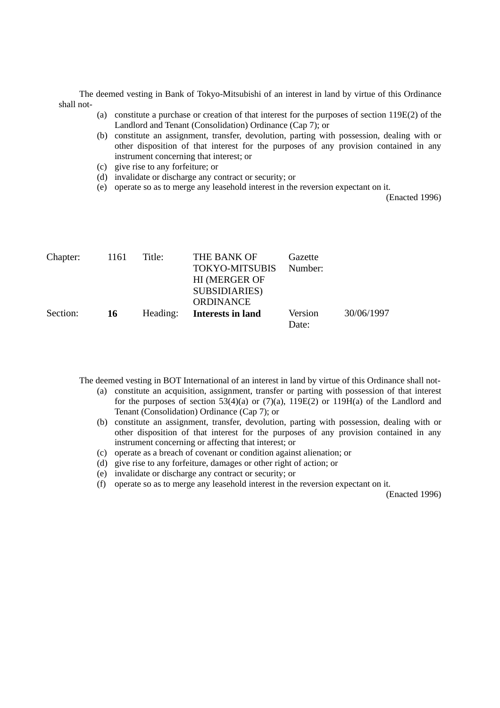The deemed vesting in Bank of Tokyo-Mitsubishi of an interest in land by virtue of this Ordinance shall not-

- (a) constitute a purchase or creation of that interest for the purposes of section 119E(2) of the Landlord and Tenant (Consolidation) Ordinance (Cap 7); or
- (b) constitute an assignment, transfer, devolution, parting with possession, dealing with or other disposition of that interest for the purposes of any provision contained in any instrument concerning that interest; or
- (c) give rise to any forfeiture; or
- (d) invalidate or discharge any contract or security; or
- (e) operate so as to merge any leasehold interest in the reversion expectant on it.

(Enacted 1996)

| THE BANK OF           |         |                             |
|-----------------------|---------|-----------------------------|
| <b>TOKYO-MITSUBIS</b> |         |                             |
| <b>HI (MERGER OF</b>  |         |                             |
| <b>SUBSIDIARIES</b> ) |         |                             |
| <b>ORDINANCE</b>      |         |                             |
| Interests in land     | Version | 30/06/1997                  |
|                       |         |                             |
|                       |         | Gazette<br>Number:<br>Date: |

The deemed vesting in BOT International of an interest in land by virtue of this Ordinance shall not-

- (a) constitute an acquisition, assignment, transfer or parting with possession of that interest for the purposes of section  $53(4)(a)$  or  $(7)(a)$ ,  $119E(2)$  or  $119H(a)$  of the Landlord and Tenant (Consolidation) Ordinance (Cap 7); or
- (b) constitute an assignment, transfer, devolution, parting with possession, dealing with or other disposition of that interest for the purposes of any provision contained in any instrument concerning or affecting that interest; or
- (c) operate as a breach of covenant or condition against alienation; or
- (d) give rise to any forfeiture, damages or other right of action; or
- (e) invalidate or discharge any contract or security; or
- (f) operate so as to merge any leasehold interest in the reversion expectant on it.

(Enacted 1996)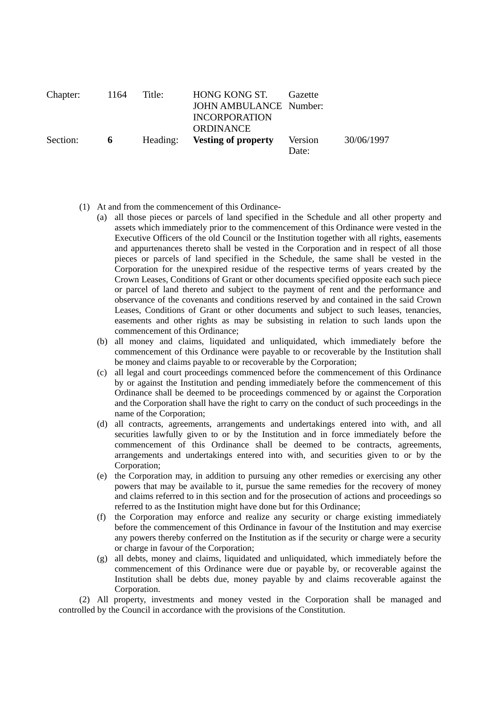| Chapter: | -1164 | Title:   | HONG KONG ST.              | Gazette |            |
|----------|-------|----------|----------------------------|---------|------------|
|          |       |          | JOHN AMBULANCE Number:     |         |            |
|          |       |          | <b>INCORPORATION</b>       |         |            |
|          |       |          | <b>ORDINANCE</b>           |         |            |
| Section: | 6     | Heading: | <b>Vesting of property</b> | Version | 30/06/1997 |
|          |       |          |                            | Date:   |            |

- (1) At and from the commencement of this Ordinance-
	- (a) all those pieces or parcels of land specified in the Schedule and all other property and assets which immediately prior to the commencement of this Ordinance were vested in the Executive Officers of the old Council or the Institution together with all rights, easements and appurtenances thereto shall be vested in the Corporation and in respect of all those pieces or parcels of land specified in the Schedule, the same shall be vested in the Corporation for the unexpired residue of the respective terms of years created by the Crown Leases, Conditions of Grant or other documents specified opposite each such piece or parcel of land thereto and subject to the payment of rent and the performance and observance of the covenants and conditions reserved by and contained in the said Crown Leases, Conditions of Grant or other documents and subject to such leases, tenancies, easements and other rights as may be subsisting in relation to such lands upon the commencement of this Ordinance;
	- (b) all money and claims, liquidated and unliquidated, which immediately before the commencement of this Ordinance were payable to or recoverable by the Institution shall be money and claims payable to or recoverable by the Corporation;
	- (c) all legal and court proceedings commenced before the commencement of this Ordinance by or against the Institution and pending immediately before the commencement of this Ordinance shall be deemed to be proceedings commenced by or against the Corporation and the Corporation shall have the right to carry on the conduct of such proceedings in the name of the Corporation;
	- (d) all contracts, agreements, arrangements and undertakings entered into with, and all securities lawfully given to or by the Institution and in force immediately before the commencement of this Ordinance shall be deemed to be contracts, agreements, arrangements and undertakings entered into with, and securities given to or by the Corporation;
	- (e) the Corporation may, in addition to pursuing any other remedies or exercising any other powers that may be available to it, pursue the same remedies for the recovery of money and claims referred to in this section and for the prosecution of actions and proceedings so referred to as the Institution might have done but for this Ordinance;
	- (f) the Corporation may enforce and realize any security or charge existing immediately before the commencement of this Ordinance in favour of the Institution and may exercise any powers thereby conferred on the Institution as if the security or charge were a security or charge in favour of the Corporation;
	- (g) all debts, money and claims, liquidated and unliquidated, which immediately before the commencement of this Ordinance were due or payable by, or recoverable against the Institution shall be debts due, money payable by and claims recoverable against the Corporation.

(2) All property, investments and money vested in the Corporation shall be managed and controlled by the Council in accordance with the provisions of the Constitution.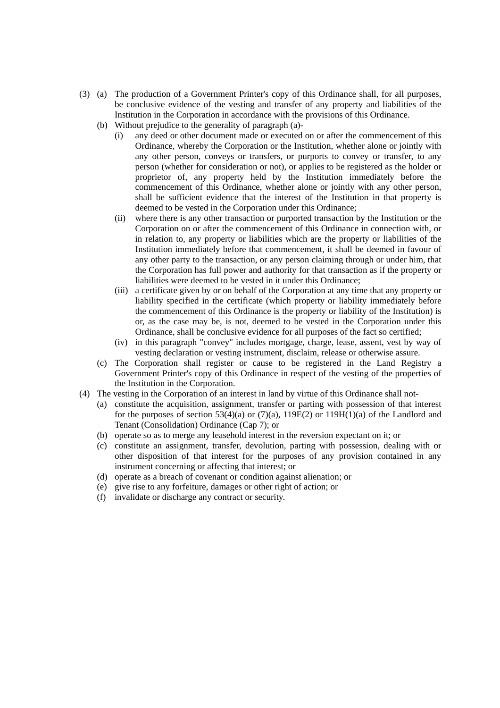- (3) (a) The production of a Government Printer's copy of this Ordinance shall, for all purposes, be conclusive evidence of the vesting and transfer of any property and liabilities of the Institution in the Corporation in accordance with the provisions of this Ordinance.
	- (b) Without prejudice to the generality of paragraph (a)-
		- (i) any deed or other document made or executed on or after the commencement of this Ordinance, whereby the Corporation or the Institution, whether alone or jointly with any other person, conveys or transfers, or purports to convey or transfer, to any person (whether for consideration or not), or applies to be registered as the holder or proprietor of, any property held by the Institution immediately before the commencement of this Ordinance, whether alone or jointly with any other person, shall be sufficient evidence that the interest of the Institution in that property is deemed to be vested in the Corporation under this Ordinance;
		- (ii) where there is any other transaction or purported transaction by the Institution or the Corporation on or after the commencement of this Ordinance in connection with, or in relation to, any property or liabilities which are the property or liabilities of the Institution immediately before that commencement, it shall be deemed in favour of any other party to the transaction, or any person claiming through or under him, that the Corporation has full power and authority for that transaction as if the property or liabilities were deemed to be vested in it under this Ordinance;
		- (iii) a certificate given by or on behalf of the Corporation at any time that any property or liability specified in the certificate (which property or liability immediately before the commencement of this Ordinance is the property or liability of the Institution) is or, as the case may be, is not, deemed to be vested in the Corporation under this Ordinance, shall be conclusive evidence for all purposes of the fact so certified;
		- (iv) in this paragraph "convey" includes mortgage, charge, lease, assent, vest by way of vesting declaration or vesting instrument, disclaim, release or otherwise assure.
	- (c) The Corporation shall register or cause to be registered in the Land Registry a Government Printer's copy of this Ordinance in respect of the vesting of the properties of the Institution in the Corporation.
- (4) The vesting in the Corporation of an interest in land by virtue of this Ordinance shall not-
	- (a) constitute the acquisition, assignment, transfer or parting with possession of that interest for the purposes of section  $53(4)(a)$  or  $(7)(a)$ ,  $119E(2)$  or  $119H(1)(a)$  of the Landlord and Tenant (Consolidation) Ordinance (Cap 7); or
	- (b) operate so as to merge any leasehold interest in the reversion expectant on it; or
	- (c) constitute an assignment, transfer, devolution, parting with possession, dealing with or other disposition of that interest for the purposes of any provision contained in any instrument concerning or affecting that interest; or
	- (d) operate as a breach of covenant or condition against alienation; or
	- (e) give rise to any forfeiture, damages or other right of action; or
	- (f) invalidate or discharge any contract or security.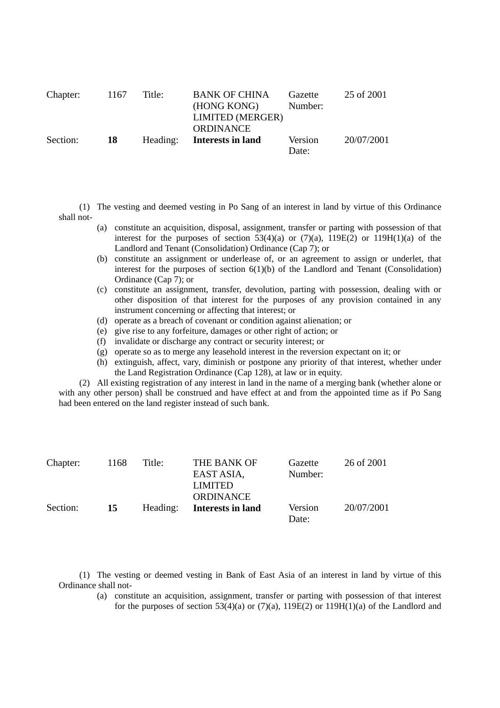| Chapter: | 1167 | Title:   | <b>BANK OF CHINA</b><br>(HONG KONG)<br>LIMITED (MERGER) | Gazette<br>Number: | 25 of 2001 |
|----------|------|----------|---------------------------------------------------------|--------------------|------------|
|          |      |          |                                                         |                    |            |
|          |      |          | <b>ORDINANCE</b>                                        |                    |            |
| Section: | -18  | Heading: | Interests in land                                       | Version            | 20/07/2001 |
|          |      |          |                                                         | Date:              |            |

(1) The vesting and deemed vesting in Po Sang of an interest in land by virtue of this Ordinance shall not-

- (a) constitute an acquisition, disposal, assignment, transfer or parting with possession of that interest for the purposes of section 53(4)(a) or  $(7)(a)$ , 119E(2) or 119H(1)(a) of the Landlord and Tenant (Consolidation) Ordinance (Cap 7); or
- (b) constitute an assignment or underlease of, or an agreement to assign or underlet, that interest for the purposes of section  $6(1)(b)$  of the Landlord and Tenant (Consolidation) Ordinance (Cap 7); or
- (c) constitute an assignment, transfer, devolution, parting with possession, dealing with or other disposition of that interest for the purposes of any provision contained in any instrument concerning or affecting that interest; or
- (d) operate as a breach of covenant or condition against alienation; or
- (e) give rise to any forfeiture, damages or other right of action; or
- (f) invalidate or discharge any contract or security interest; or
- (g) operate so as to merge any leasehold interest in the reversion expectant on it; or
- (h) extinguish, affect, vary, diminish or postpone any priority of that interest, whether under the Land Registration Ordinance (Cap 128), at law or in equity.

(2) All existing registration of any interest in land in the name of a merging bank (whether alone or with any other person) shall be construed and have effect at and from the appointed time as if Po Sang had been entered on the land register instead of such bank.

| Chapter: | 1168 | Title:   | THE BANK OF       | Gazette | 26 of 2001 |
|----------|------|----------|-------------------|---------|------------|
|          |      |          | EAST ASIA,        | Number: |            |
|          |      |          | <b>LIMITED</b>    |         |            |
|          |      |          | <b>ORDINANCE</b>  |         |            |
| Section: | 15   | Heading: | Interests in land | Version | 20/07/2001 |
|          |      |          |                   | Date:   |            |

(1) The vesting or deemed vesting in Bank of East Asia of an interest in land by virtue of this Ordinance shall not-

> (a) constitute an acquisition, assignment, transfer or parting with possession of that interest for the purposes of section 53(4)(a) or (7)(a),  $119E(2)$  or  $119H(1)$ (a) of the Landlord and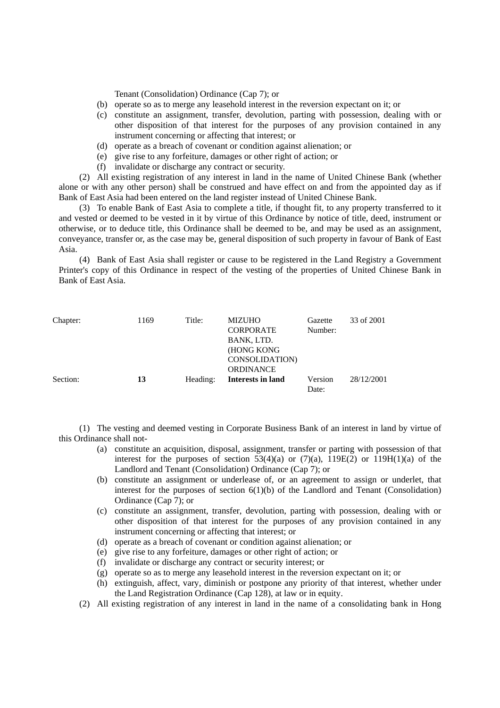Tenant (Consolidation) Ordinance (Cap 7); or

- (b) operate so as to merge any leasehold interest in the reversion expectant on it; or
- (c) constitute an assignment, transfer, devolution, parting with possession, dealing with or other disposition of that interest for the purposes of any provision contained in any instrument concerning or affecting that interest; or
- (d) operate as a breach of covenant or condition against alienation; or
- (e) give rise to any forfeiture, damages or other right of action; or
- (f) invalidate or discharge any contract or security.

(2) All existing registration of any interest in land in the name of United Chinese Bank (whether alone or with any other person) shall be construed and have effect on and from the appointed day as if Bank of East Asia had been entered on the land register instead of United Chinese Bank.

(3) To enable Bank of East Asia to complete a title, if thought fit, to any property transferred to it and vested or deemed to be vested in it by virtue of this Ordinance by notice of title, deed, instrument or otherwise, or to deduce title, this Ordinance shall be deemed to be, and may be used as an assignment, conveyance, transfer or, as the case may be, general disposition of such property in favour of Bank of East Asia.

(4) Bank of East Asia shall register or cause to be registered in the Land Registry a Government Printer's copy of this Ordinance in respect of the vesting of the properties of United Chinese Bank in Bank of East Asia.

| Chapter: | 1169 | Title:   | <b>MIZUHO</b>        | Gazette | 33 of 2001 |
|----------|------|----------|----------------------|---------|------------|
|          |      |          | <b>CORPORATE</b>     | Number: |            |
|          |      |          | BANK, LTD.           |         |            |
|          |      |          | (HONG KONG           |         |            |
|          |      |          | <b>CONSOLIDATION</b> |         |            |
|          |      |          | <b>ORDINANCE</b>     |         |            |
| Section: | 13   | Heading: | Interests in land    | Version | 28/12/2001 |
|          |      |          |                      | Date:   |            |

(1) The vesting and deemed vesting in Corporate Business Bank of an interest in land by virtue of this Ordinance shall not-

- (a) constitute an acquisition, disposal, assignment, transfer or parting with possession of that interest for the purposes of section  $53(4)(a)$  or  $(7)(a)$ ,  $119E(2)$  or  $119H(1)(a)$  of the Landlord and Tenant (Consolidation) Ordinance (Cap 7); or
- (b) constitute an assignment or underlease of, or an agreement to assign or underlet, that interest for the purposes of section  $6(1)(b)$  of the Landlord and Tenant (Consolidation) Ordinance (Cap 7); or
- (c) constitute an assignment, transfer, devolution, parting with possession, dealing with or other disposition of that interest for the purposes of any provision contained in any instrument concerning or affecting that interest; or
- (d) operate as a breach of covenant or condition against alienation; or
- (e) give rise to any forfeiture, damages or other right of action; or
- (f) invalidate or discharge any contract or security interest; or
- (g) operate so as to merge any leasehold interest in the reversion expectant on it; or
- (h) extinguish, affect, vary, diminish or postpone any priority of that interest, whether under the Land Registration Ordinance (Cap 128), at law or in equity.
- (2) All existing registration of any interest in land in the name of a consolidating bank in Hong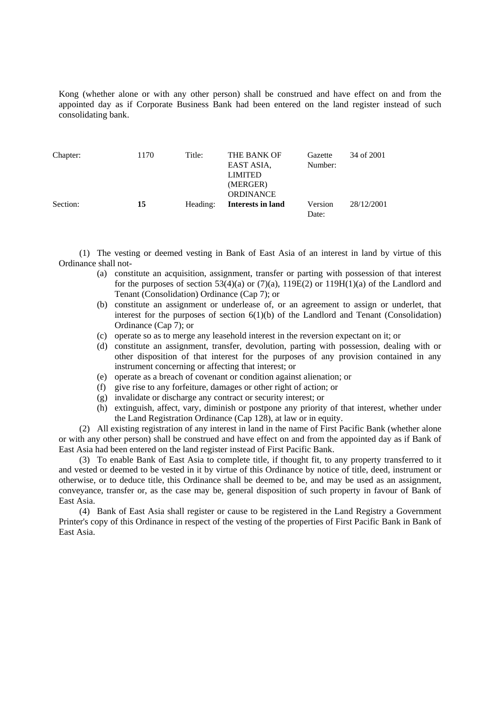Kong (whether alone or with any other person) shall be construed and have effect on and from the appointed day as if Corporate Business Bank had been entered on the land register instead of such consolidating bank.

| Chapter: | 1170 | Title:   | THE BANK OF<br>EAST ASIA.<br><b>LIMITED</b><br>(MERGER) | Gazette<br>Number: | 34 of 2001 |
|----------|------|----------|---------------------------------------------------------|--------------------|------------|
| Section: | 15   | Heading: | <b>ORDINANCE</b><br>Interests in land                   | Version<br>Date:   | 28/12/2001 |

(1) The vesting or deemed vesting in Bank of East Asia of an interest in land by virtue of this Ordinance shall not-

- (a) constitute an acquisition, assignment, transfer or parting with possession of that interest for the purposes of section 53(4)(a) or  $(7)(a)$ , 119E(2) or 119H(1)(a) of the Landlord and Tenant (Consolidation) Ordinance (Cap 7); or
- (b) constitute an assignment or underlease of, or an agreement to assign or underlet, that interest for the purposes of section  $6(1)(b)$  of the Landlord and Tenant (Consolidation) Ordinance (Cap 7); or
- (c) operate so as to merge any leasehold interest in the reversion expectant on it; or
- (d) constitute an assignment, transfer, devolution, parting with possession, dealing with or other disposition of that interest for the purposes of any provision contained in any instrument concerning or affecting that interest; or
- (e) operate as a breach of covenant or condition against alienation; or
- (f) give rise to any forfeiture, damages or other right of action; or
- (g) invalidate or discharge any contract or security interest; or
- (h) extinguish, affect, vary, diminish or postpone any priority of that interest, whether under the Land Registration Ordinance (Cap 128), at law or in equity.

(2) All existing registration of any interest in land in the name of First Pacific Bank (whether alone or with any other person) shall be construed and have effect on and from the appointed day as if Bank of East Asia had been entered on the land register instead of First Pacific Bank.

(3) To enable Bank of East Asia to complete title, if thought fit, to any property transferred to it and vested or deemed to be vested in it by virtue of this Ordinance by notice of title, deed, instrument or otherwise, or to deduce title, this Ordinance shall be deemed to be, and may be used as an assignment, conveyance, transfer or, as the case may be, general disposition of such property in favour of Bank of East Asia.

(4) Bank of East Asia shall register or cause to be registered in the Land Registry a Government Printer's copy of this Ordinance in respect of the vesting of the properties of First Pacific Bank in Bank of East Asia.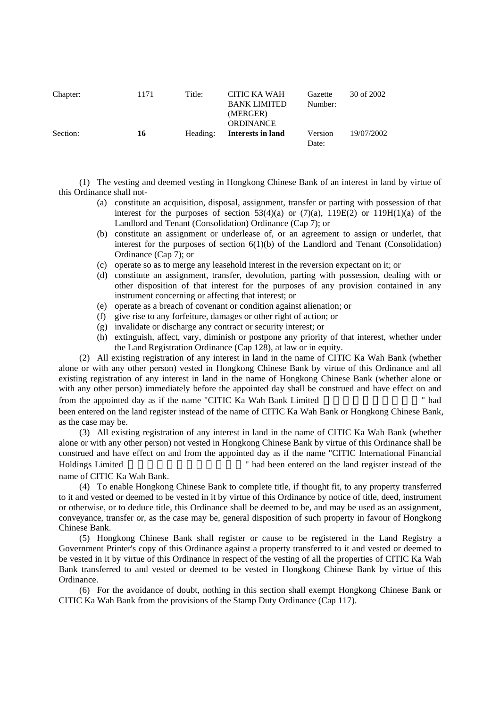| Chapter: | 1171 | Title:   | CITIC KA WAH<br><b>BANK LIMITED</b><br>(MERGER)<br><b>ORDINANCE</b> | Gazette<br>Number: | 30 of 2002 |
|----------|------|----------|---------------------------------------------------------------------|--------------------|------------|
| Section: | 16   | Heading: | Interests in land                                                   | Version<br>Date:   | 19/07/2002 |

(1) The vesting and deemed vesting in Hongkong Chinese Bank of an interest in land by virtue of this Ordinance shall not-

- (a) constitute an acquisition, disposal, assignment, transfer or parting with possession of that interest for the purposes of section  $53(4)(a)$  or  $(7)(a)$ ,  $119E(2)$  or  $119H(1)(a)$  of the Landlord and Tenant (Consolidation) Ordinance (Cap 7); or
- (b) constitute an assignment or underlease of, or an agreement to assign or underlet, that interest for the purposes of section  $6(1)(b)$  of the Landlord and Tenant (Consolidation) Ordinance (Cap 7); or
- (c) operate so as to merge any leasehold interest in the reversion expectant on it; or
- (d) constitute an assignment, transfer, devolution, parting with possession, dealing with or other disposition of that interest for the purposes of any provision contained in any instrument concerning or affecting that interest; or
- (e) operate as a breach of covenant or condition against alienation; or
- (f) give rise to any forfeiture, damages or other right of action; or
- (g) invalidate or discharge any contract or security interest; or
- (h) extinguish, affect, vary, diminish or postpone any priority of that interest, whether under the Land Registration Ordinance (Cap 128), at law or in equity.

(2) All existing registration of any interest in land in the name of CITIC Ka Wah Bank (whether alone or with any other person) vested in Hongkong Chinese Bank by virtue of this Ordinance and all existing registration of any interest in land in the name of Hongkong Chinese Bank (whether alone or with any other person) immediately before the appointed day shall be construed and have effect on and from the appointed day as if the name "CITIC Ka Wah Bank Limited " had

been entered on the land register instead of the name of CITIC Ka Wah Bank or Hongkong Chinese Bank, as the case may be.

(3) All existing registration of any interest in land in the name of CITIC Ka Wah Bank (whether alone or with any other person) not vested in Hongkong Chinese Bank by virtue of this Ordinance shall be construed and have effect on and from the appointed day as if the name "CITIC International Financial Holdings Limited **Holdings Limited Holdings Limited Holdings Limited Holdings Limited Holdings Holdings Holdings Holdings Holdings Holdings Holdings Holdings Holdings Holdings Holdings Holding** 

name of CITIC Ka Wah Bank.

(4) To enable Hongkong Chinese Bank to complete title, if thought fit, to any property transferred to it and vested or deemed to be vested in it by virtue of this Ordinance by notice of title, deed, instrument or otherwise, or to deduce title, this Ordinance shall be deemed to be, and may be used as an assignment, conveyance, transfer or, as the case may be, general disposition of such property in favour of Hongkong Chinese Bank.

(5) Hongkong Chinese Bank shall register or cause to be registered in the Land Registry a Government Printer's copy of this Ordinance against a property transferred to it and vested or deemed to be vested in it by virtue of this Ordinance in respect of the vesting of all the properties of CITIC Ka Wah Bank transferred to and vested or deemed to be vested in Hongkong Chinese Bank by virtue of this Ordinance.

(6) For the avoidance of doubt, nothing in this section shall exempt Hongkong Chinese Bank or CITIC Ka Wah Bank from the provisions of the Stamp Duty Ordinance (Cap 117).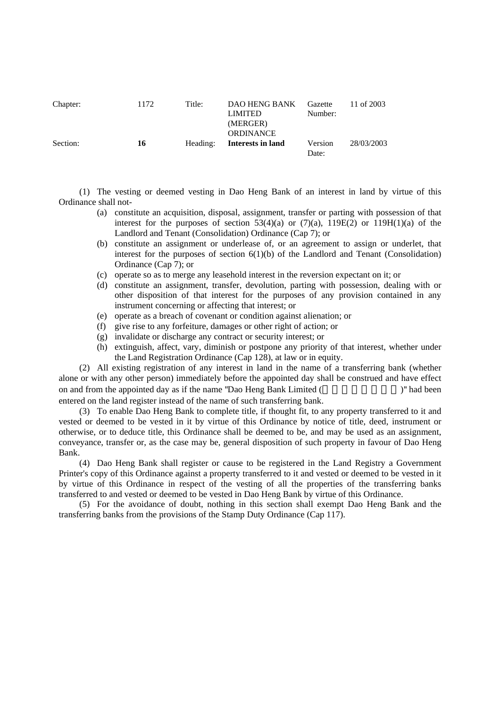| Chapter: | 1172 | Title:   | DAO HENG BANK<br><b>LIMITED</b><br>(MERGER)<br><b>ORDINANCE</b> | Gazette<br>Number: | 11 of 2003 |
|----------|------|----------|-----------------------------------------------------------------|--------------------|------------|
| Section: | 16   | Heading: | Interests in land                                               | Version<br>Date:   | 28/03/2003 |

(1) The vesting or deemed vesting in Dao Heng Bank of an interest in land by virtue of this Ordinance shall not-

- (a) constitute an acquisition, disposal, assignment, transfer or parting with possession of that interest for the purposes of section 53(4)(a) or  $(7)(a)$ , 119E(2) or 119H(1)(a) of the Landlord and Tenant (Consolidation) Ordinance (Cap 7); or
- (b) constitute an assignment or underlease of, or an agreement to assign or underlet, that interest for the purposes of section  $6(1)(b)$  of the Landlord and Tenant (Consolidation) Ordinance (Cap 7); or
- (c) operate so as to merge any leasehold interest in the reversion expectant on it; or
- (d) constitute an assignment, transfer, devolution, parting with possession, dealing with or other disposition of that interest for the purposes of any provision contained in any instrument concerning or affecting that interest; or
- (e) operate as a breach of covenant or condition against alienation; or
- (f) give rise to any forfeiture, damages or other right of action; or
- (g) invalidate or discharge any contract or security interest; or
- (h) extinguish, affect, vary, diminish or postpone any priority of that interest, whether under the Land Registration Ordinance (Cap 128), at law or in equity.

(2) All existing registration of any interest in land in the name of a transferring bank (whether alone or with any other person) immediately before the appointed day shall be construed and have effect on and from the appointed day as if the name "Dao Heng Bank Limited (Separate and Separate 1)" had been entered on the land register instead of the name of such transferring bank.

(3) To enable Dao Heng Bank to complete title, if thought fit, to any property transferred to it and vested or deemed to be vested in it by virtue of this Ordinance by notice of title, deed, instrument or otherwise, or to deduce title, this Ordinance shall be deemed to be, and may be used as an assignment, conveyance, transfer or, as the case may be, general disposition of such property in favour of Dao Heng Bank.

(4) Dao Heng Bank shall register or cause to be registered in the Land Registry a Government Printer's copy of this Ordinance against a property transferred to it and vested or deemed to be vested in it by virtue of this Ordinance in respect of the vesting of all the properties of the transferring banks transferred to and vested or deemed to be vested in Dao Heng Bank by virtue of this Ordinance.

(5) For the avoidance of doubt, nothing in this section shall exempt Dao Heng Bank and the transferring banks from the provisions of the Stamp Duty Ordinance (Cap 117).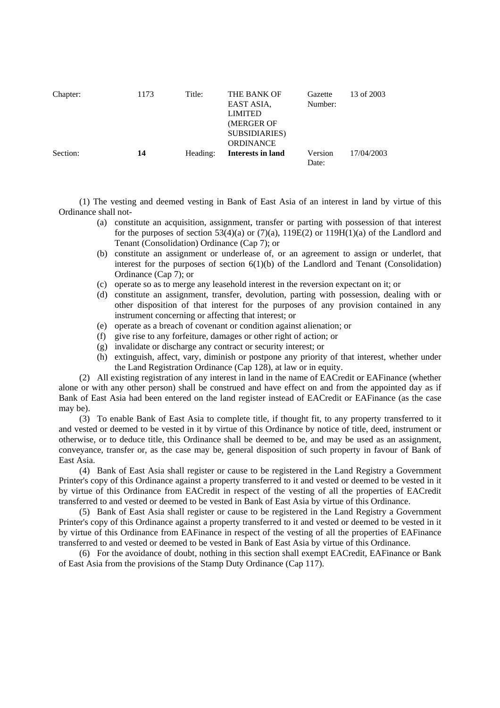| Chapter: | 1173 | Title:   | THE BANK OF<br>EAST ASIA.<br><b>LIMITED</b><br>(MERGER OF<br><b>SUBSIDIARIES</b> )<br><b>ORDINANCE</b> | Gazette<br>Number: | 13 of 2003 |
|----------|------|----------|--------------------------------------------------------------------------------------------------------|--------------------|------------|
| Section: | 14   | Heading: | Interests in land                                                                                      | Version<br>Date:   | 17/04/2003 |

(1) The vesting and deemed vesting in Bank of East Asia of an interest in land by virtue of this Ordinance shall not-

- (a) constitute an acquisition, assignment, transfer or parting with possession of that interest for the purposes of section  $53(4)(a)$  or  $(7)(a)$ ,  $119E(2)$  or  $119H(1)(a)$  of the Landlord and Tenant (Consolidation) Ordinance (Cap 7); or
- (b) constitute an assignment or underlease of, or an agreement to assign or underlet, that interest for the purposes of section  $6(1)(b)$  of the Landlord and Tenant (Consolidation) Ordinance (Cap 7); or
- (c) operate so as to merge any leasehold interest in the reversion expectant on it; or
- (d) constitute an assignment, transfer, devolution, parting with possession, dealing with or other disposition of that interest for the purposes of any provision contained in any instrument concerning or affecting that interest; or
- (e) operate as a breach of covenant or condition against alienation; or
- (f) give rise to any forfeiture, damages or other right of action; or
- (g) invalidate or discharge any contract or security interest; or
- (h) extinguish, affect, vary, diminish or postpone any priority of that interest, whether under the Land Registration Ordinance (Cap 128), at law or in equity.

(2) All existing registration of any interest in land in the name of EACredit or EAFinance (whether alone or with any other person) shall be construed and have effect on and from the appointed day as if Bank of East Asia had been entered on the land register instead of EACredit or EAFinance (as the case may be).

(3) To enable Bank of East Asia to complete title, if thought fit, to any property transferred to it and vested or deemed to be vested in it by virtue of this Ordinance by notice of title, deed, instrument or otherwise, or to deduce title, this Ordinance shall be deemed to be, and may be used as an assignment, conveyance, transfer or, as the case may be, general disposition of such property in favour of Bank of East Asia.

(4) Bank of East Asia shall register or cause to be registered in the Land Registry a Government Printer's copy of this Ordinance against a property transferred to it and vested or deemed to be vested in it by virtue of this Ordinance from EACredit in respect of the vesting of all the properties of EACredit transferred to and vested or deemed to be vested in Bank of East Asia by virtue of this Ordinance.

(5) Bank of East Asia shall register or cause to be registered in the Land Registry a Government Printer's copy of this Ordinance against a property transferred to it and vested or deemed to be vested in it by virtue of this Ordinance from EAFinance in respect of the vesting of all the properties of EAFinance transferred to and vested or deemed to be vested in Bank of East Asia by virtue of this Ordinance.

(6) For the avoidance of doubt, nothing in this section shall exempt EACredit, EAFinance or Bank of East Asia from the provisions of the Stamp Duty Ordinance (Cap 117).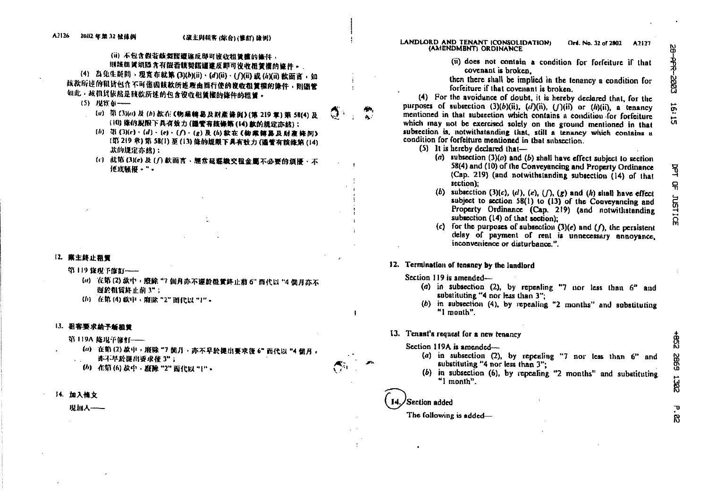# (ii) 不包含假若酸契諾遭遂反即可该收租賃撞的條件。 则該很賃須隱含有假若腹契諾這還反即可沒收很賃權的條件。.

(4) 為免生疑問, 現實布就第(3)(b)(ii)、(d)(ii)、(f)(ii) 或 (h)(ii) 款面言, 如 核款所連的租赁包含不可值因該款所連理由循行使的搜收租賃權的條件,則儲管 如此,故机货依然是链数所述的包含没收租賃榷的條件的粗賃。

- (5) 现實布 --
	- (a) 第(3)(a)及(b)款在《物集轉易及財產條例》(第219章)第58(4)及 (10) 陈的规限下具有效力(議管有技條第(14) 款的規定亦然);
	- (b) 第(3)(c)·(d)·(e)·(f)·(g)及(h)款在《物業轉易及財產條例》 (第219章)第58(1)至(13)修的规限下具有效力(盛管有該條第(14) 款的规定亦依):
	- (c) 就第(3)(e)及(f)款而言、經常延遲繳交租金萬不必要的煩擾、不 使改赋招。"。

#### 12. 業主終止租賃

- 第119 旋棍手旋缸——
	- (a) 在第(2)款中, 殷除 "7 倘月亦不運於租賃終止前 6" 而代以 "4 個月亦不 堰於粗貨終止前3";
	- (b) 在第(4) 数中, 腹除 "2" 而代以 "1"。

#### 13. 租客要求给予新担賃

第119A 能現予催忙 --

- (a) 在第(2)款中, 廢除 "7個月, 亦不早於提出要求復 6" 而代以 "4個月, · 逃不早於提出要求後 3";
- (6) 在第(6) 款中, 廢除 "2" 雨代以 "{" -
- 14. 加入恢文

现加人——

#### LANDLORD AND TENANT (CONSOLIDATION) Ord. No. 32 of 2802 AJIJ T (AMENDMENT) ORDINANCE

(ii) does not contain a condition for forfeiture if that covenant is broken.

then there shall be implied in the tenancy a condition for forfeiture if that covenant is broken.

(4) For the avoidance of doubt, it is hereby declared that, for the purposes of subsection  $(3)(b)(ii)$ ,  $(d)(ii)$ ,  $(f)(ii)$  or  $(h)(ii)$ , a tenancy mentioned in that subsection which contains a condition for forfeiture which may not be exercised solely on the ground mentioned in that subsection is, notwithstanding that, still a tenancy which contains a condition for forfeiture mentioned in that subsection.

- $(5)$  It is hereby declared that-
	- (a) subsection  $(3)(a)$  and (b) shall have effect subject to section 58(4) and (10) of the Conveyancing and Property Ordinance (Cap. 219) (and notwithstanding subsection (14) of that section):
	- (b) subsection (3)(c), (d), (e),  $(f)$ ,  $(g)$  and  $(h)$  shall have effect subject to section  $58(1)$  to  $(13)$  of the Conveyancing and Property Ordinance (Cap. 219) (and notwithstanding subsection (14) of that section):
	- for the purposes of subsection  $(3)(e)$  and  $( f )$ , the persistent  $(c)$ delay of payment of rent is unnecessary annoyance. inconvenience or disturbance.".

# 12. Termination of tenancy by the landlord

#### Section 119 is amended—

- (a) in subsection (2), by repeating "7 nor less than  $6<sup>n</sup>$  and substituting "4 nor less than 3":
- (b) in subsection (4), by repealing "2 months" and substituting "I month".

#### 13. Tenant's request for a new tenancy

- Section 119A is amended-
	- (a) in subsection (2), by repeating "7 nor less than  $6$ " and substituting "4 nor less than 3":
	- (b) in subsection (6), by repeating "2 months" and substituting " $\mathsf{I}$  month".

# 'Section added

 $\mathbf{I}$ 

# The following is added-

 $\ddot{g}$ 5992 **1382**  $\mathbf{v}$ 

R

**H** 

믂

**JUSTI** 

ណ្ណ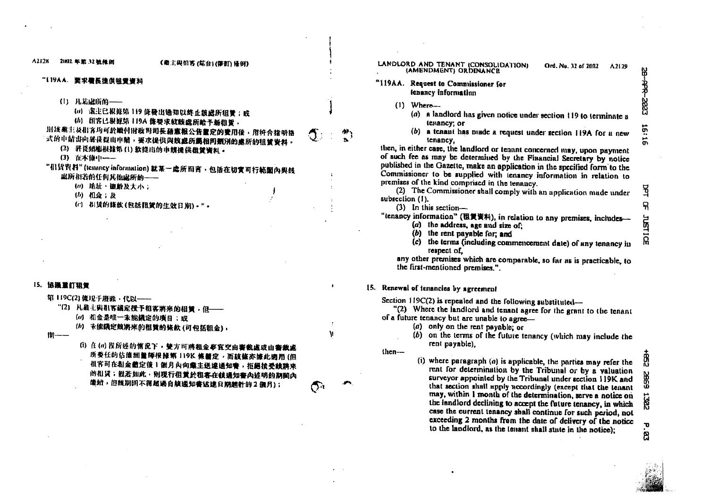A2129

Ord. No. 32 of 2007

#### 21802年第32號條例 (義主與相害 (航台)(筆記) 後例) LANDLORD AND TENANT (CONSOLIDATION) (AMENDMENT) ORDINANCE "119AA. 要求看長提供租赁资料  $\frac{411014}{2}$  Because 1,  $\sigma_{\text{tot}}$  (1, 1, 1, 1, 1, 1) (1) 凡是虚所的 ---(a) 塞主已报述第 119 能發出適知以終止該處所租賃; 或 (h) 组客已根据第 119A 條要求就該處所給予新租賃, 期該業主及相客均可於嫩付財政刊司長蔬意報公告董定的豐用後、用符合指明格 式的申情步向署發提出申請,要求提供與該處所篇相同類別的重所的租賃資料。 (2) 署長須應根據第(1)款提出的申請提供積賃審料。 (3) 在本條中 ---"但货资料"(tennney information)就某一虚所而言,包括在切實可行範圍內與該 磁所相装的任何其他虚所的----(ii) 地址、键龄及大小;  $(b)$   $h2 \div h$

(c) 相賛的錢款(包括租賃的生效日期)·"。

### 15. 協議重訂租貸

 $A212K$ 

第 119C(2) 條)見于廢除,代以–––

"(2) 凡業主與粗客議定授予和客將來的相賃,但–––

- (a) 相金是唯一未能議定的項目;或
- (h) 未能議定競將來的租賃的條款(可包括租金),

 $||||$ 

(i) 住(a) 段所连的惰況下, 雙方可將租金事宜交由審裁處或由審裁處 所委任的佔腹湖量師根據第119K 條體定,而該條亦據此國用(但 机客可在租金體定復1個月內向藥主送達通知書,拒絕接受該將來 的相贤;般若如此,则现行但黄於租客在核通知書內迹明的期間內 **能銳, 但該期間不得超過自該通知書送建日期越計的2個月);** 

|        | <b>ILLING.</b> Acquest to Commissioner for<br>tenancy information                  |
|--------|------------------------------------------------------------------------------------|
| $\cup$ | $When -$                                                                           |
|        | a landlord has given notice under section 119 to terminate a<br>(a)<br>tenancy; or |
|        | (b) a tenant has made a request under section 119A for a new<br>tenancy.           |
|        | then, in either case, the landford or tenant concerned may, upon payment           |

n pavment of such fee as may be determined by the Financial Secretary by notice published in the Gazette, make an application in the specified form to the Commissioner to be supplied with tenancy information in relation to premises of the kind comprised in the tenancy.

(2) The Commissioner shall comply with an application made under subsection (1).

(3) In this section-

# "tenancy information" (租賃资料), in relation to any premises, includes—  $(a)$  the address, age and size of:

- $(b)$  the rent payable for: and
- $(c)$  the terms (including commencement date) of any tenancy in respect of.

any other premises which are comparable, so far as is practicable, to the first-mentioned premises."

# 15. Renewal of tenancies by agreement

Section  $119C(2)$  is repealed and the following substituted-

"(2) Where the landlord and tenant agree for the grant to the tenant of a future tenancy but are unable to agree-

- $(a)$  only on the rent payable; or
- 
- (b) on the terms of the future tenancy (which may include the rent payable).

 $then-$ 

 $\mathbf{v}$ 

(i) where paragraph  $(a)$  is applicable, the parties may refer the rent for determination by the Tribunal or by a valuation surveyor appointed by the Tribunal under section 119K and that section shall apply accordingly (except that the tenant may, within 1 month of the determination, serve a notice on the landlord declining to accept the future tenancy, in which case the current tenancy shall continue for such period, not exceeding 2 months from the date of delivery of the notice to the landlord, as the tenant shall state in the notice);

ಕ್ಷ<br>ಬ Φ සි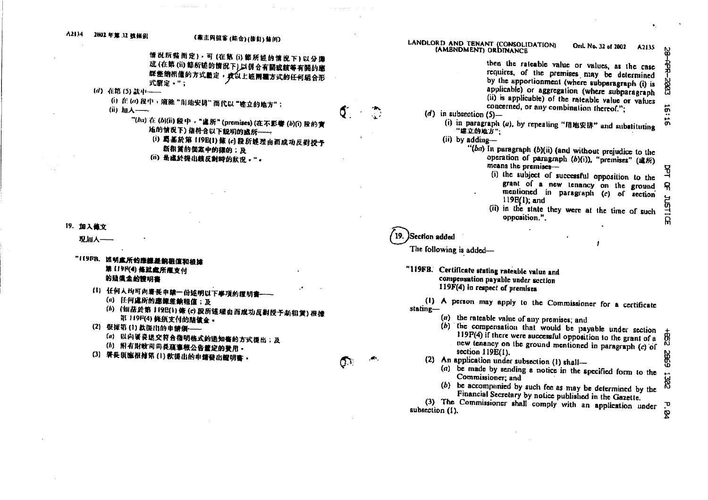

- (a) 以向署長送交符合指明格式的通知售的方式提出;及
- (h) 附有財政司司長藉事報公告董定的費用
- (3) 署長須應根據第(1)款提出的申請發出證明書

(2) An application under subsection (1) shall-(a) be made by sending a notice in the specified form to the Commissioner; and

new tenancy on the ground mentioned in paragraph (c) of

(b) be accompanied by such fee as may be determined by the Financial Secretary by notice published in the Gazette.

(3) The Commissioner shall comply with an application under subsection (1).

section 119E(1).

5932  $\overline{\phantom{a}}$ **RR** P. 84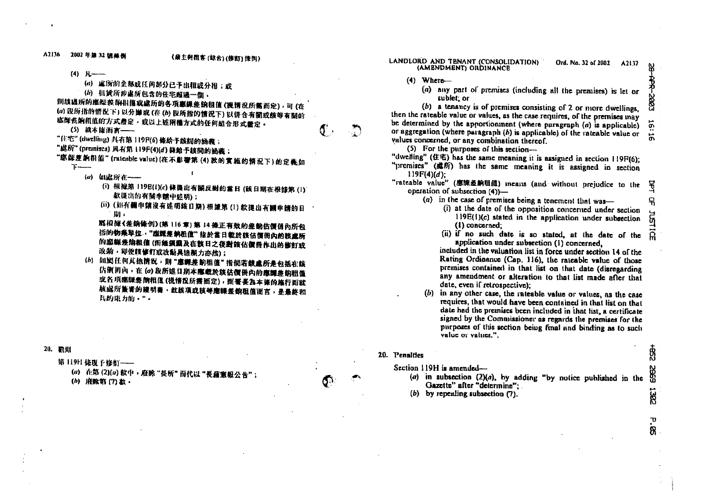A2136 2002年第32號條例

 $(4)$   $H$  —

- (a) 虚脉的全部或任何部分已予出粗或分相;或
- (b) 租賃所涉處所包含的住宅超過一個,

则核战所的膨梨菜,附旧僖敢處所的各項贏課差的租值(視情況所需而定),可(在 (a) 股所指的情况下) 以分操或 (在(b) 段所指的情况下) 以讲合有翻或慈等有關的 **滤卸瓷餉租值的方式釐定,或以上述兩種方式的任何組合形式釐定。** 

(5) 粮本能而言——

"住宅"(dwelling) 具有第 119P(6) 條給予該師的涵義;

"虑所"(premises) 具有第 119F(4)(d) 條給予該詞的涵義;

"愿躁差餉相值"(niteable value)(在不影響第(4)款的實施的情況下)的定義如

- 1

- $\mathfrak{I}$ 
	- (a) 如處所在 --
		- (i) 根據第 119B(1)(c) 條提出有關反對的當日 (該日期在根據第 (i) 款提出的有關申請中述明);
		- (ii)(如有删申請沒有述明該日期)根據第(1)款提出有剛申請的日 脚,

X5 根據《差銷條例》(第116章) 第14 條正有效的差銷估價個內所包 福的物業單位,"應課差納租值"指於當日載於該估價冊內的該處所 的應線差納租值(而继須顧及在該日之後對該佔價冊作出的修訂或 改動,即使賴修訂或改動具追溯力亦然);

(b) 如图任何其他情况,則"應課差餉租值"指倘若缺處所是包括在該 估價削內,在 (a) 段所述日期本應載於該估價冊內的應譯差的租值 或各项感媒老简根值(说情没所需面定),而署畏為本條的施行面就 **族處所養署的證明書,就該項或該等應課差銷租值面言,是最終和** 具的重力的,"。

#### 20. 配印

第119日 依現于修訂 ---

(a) 在第(2)(a) 款中, 廢除"長所"而代以"長藉憲報公告"; (b) 府除第(7)款。

- LANDLORD AND TENANT (CONSOLIDATION) Ord. No. 32 of 2002 A2137 (AMENDMENT) ORDINANCE
	- $(4)$  Where-
		- (a) any part of premises (including all the premises) is let or sublet; or

(b) a tenancy is of premises consisting of 2 or more dwellings, then the rateable value or values, as the case requires, of the premises may be determined by the apportionment (where paragraph  $(a)$  is applicable) or aggregation (where paragraph  $(b)$  is applicable) of the rateable value or values concerned, or any combination thereof.

(5) For the purposes of this section-

- "dwelling" (住宅) has the same meaning it is assigned in section 119F(6);
- "premises" (處所) has the same meaning it is assigned in section  $119F(4)(d)$ :
- "rateable value" (應線差餉租值) ineans (and without prejudice to the operation of subsection  $(4)$ )-
	- (a) in the case of premises being a tenement that was-
		- (i) at the date of the opposition concerned under section  $119E(1)(c)$  stated in the application under subsection (1) concerned:
		- (ii) if no such date is so stated, at the date of the application under subsection (1) concerned.

included in the valuation list in force under section 14 of the Rating Ordinance (Cap. 116), the rateable value of those premises contained in that list on that date (disregarding any amendment or alteration to that list made after that date, even if retrospective);

(b) in any other case, the rateable value or values, as the case requires, that would have been contained in that list on that date had the premises been included in that list, a certificate signed by the Commissioner as regards the premises for the purposes of this section being final and binding as to such value or values."

#### 20. Penalties

Section 119H is amended-

- (a) in subsection  $(2)(a)$ , by adding "by notice published in the Gazette" after "determine":
- $(b)$  by repealing subsection  $(7)$ .

Ö.

 $\vec{a}$ 

됨

유

क्र

 $\Omega$ 

∯<br>©

Œ

1302

 $\mathbf{\tau}$ 88.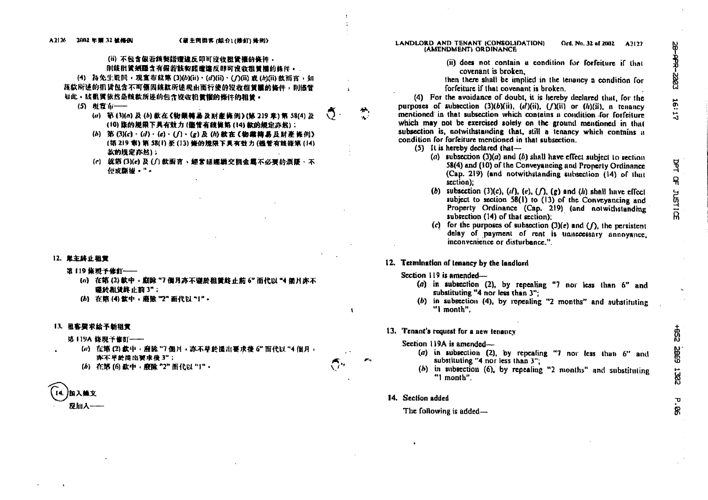$\mathbf{r}$ 

 $\mathbf{I}$ 

人人

 $\alpha$  .

### (ii) 不包含假岩簇製能還達反即可沒收稅管權的條件, 则該批質須羅含有假若該契諾遭達反歸可沒收租賃攜的條件。.

(4) 為免生疑問,現實布就第(3)(b)(ii)、(d)(ii)、(f)(ii) 或(h)(ii) 數而言,如 **蔬款所述的机货包含不可懂因該款所述理由面行使的沒收租賃權的條件,則能管** 如此,該很賃依然是該款所連的包含沒收和賃權的條件的租賃。

- (5) 附官句——
	- (a) 第(3)(a) 及(b) 数在《物業轉易及財産條例》(第219章)第58(4) 及 (10) 临的屋限下具有效力(儘管有該條第(14)款的規定亦然):
	- (b) 第(3)(c)·(d)·(e)·(f)·(g)及(h)故在《物業轉易及財產條例》 (第219 章) 第58(1) 至 (13) 修的规限下具有效力(循管有能低第(14) 款的規定亦然);
	- (c) 就第(3)(e) 及(f) 数面言, 绝常延续缴交租金属不必要的煩語, 不 **仲或酥拙。"。**

#### 12. 莫主終止租官

- 第119 旅现予修訂 --
	- (a) 在第(2)款中, 顧除 "7 個月亦不讓於租賃終止前 6" 而代以 "4 個月亦不 盛於慰贷終止前3";
	- (b) 在第(4) 软中, 廢除 "2" 而代以 "1",

#### 13. 租客要求給予新租赁

第119A 绕現予修訂 ---

- (a) 在第(2) 款中, 廢除 "7 個月, 亦不早於提出要求後 6" 而代以 "4 個月, 亦不早於提出要求後3";
- (b) 在第(6) 款中, 廢除 "2" 而代以 "1",

加入航文 现加入--

#### LANDLORD AND TENANT (CONSOLIDATION) Ord, No. 32 of 2002 A2122 **IAMENDMENTI ORDINANCE**

(ii) does not contain a condition for forfeiture if that covenant is broken.

then there shall be implied in the tenancy a condition for forfeiture if that covenant is broken.

(4) For the avoidance of doubt, it is hereby declared that, for the nurnoses of subsection (3)(b)(ii), (d)(ii), (f)(ii) or (h)(ii), a tenancy mentioned in that subsection which contains a condition for forfeiture which may not be exercised solely on the ground mentioned in that subsection is, notwithstanding that, still a tenancy which contains a condition for forfeiture mentioned in that subsection.

- $(5)$  It is hereby declared that-
	- (a) subsection  $(3)(a)$  and (b) shall have effect subject to section 58(4) and (10) of the Conveyancing and Property Ordinance (Cap. 219) (and notwithstanding subsection (14) of that section):
	- (b) subsection (3)(c), (d), (e), ( $\bigcap$ , (g) and (h) shall have effect subject to section 58(1) to (13) of the Conveyancing and Property Ordinance (Cap. 219) (and notwithstanding subsection (14) of that section):
	- (c) for the purposes of subsection  $(3)(e)$  and  $(1)$ , the persistent delay of payment of rent is unnecessary annoyance. inconvenience or disturbance."

#### 12. Termination of tenancy by the landlord

#### Section  $119$  is amended—

- (a) in subsection (2), by repealing "7 nor less than  $6$ " and substituting "4 nor less than 3":
- $(b)$  in subsection (4), by repealing "2 months" and substituting "I month".

#### 13. Tenant's request for a new tenancy

#### Section 119A is amended—

- $(a)$  in subsection (2), by repeating "7 nor less than  $6$ " and substituting "4 nor less than 3":
- (b) in subsection (6), by repealing "2 months" and substituting "I month".

#### 14. Section added

## The following is added-

**PR-2003** 16:17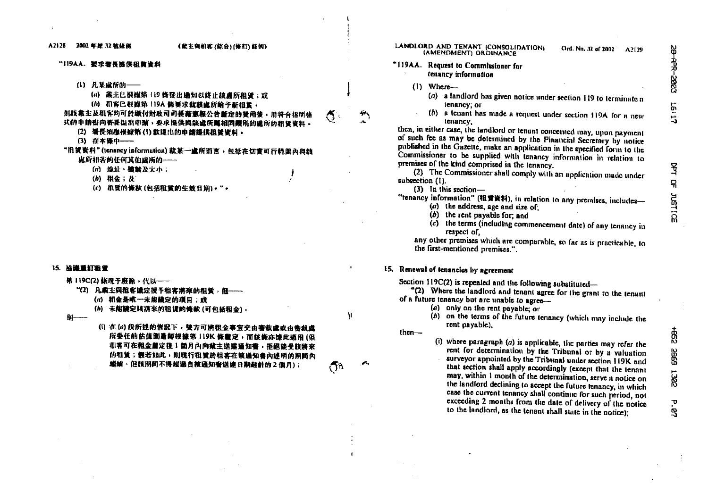#### "119AA. 要求署長提供租賃資料

(1) 凡某业所的——

(a) 粪主已根械第 119 锋登出通知以终止該盧所相晉;或

(h) 机客已根磁第 119A 恢要求就該盘所給予新租賃

姐族裁主及租客均可於繳付財政司司長藉蜜樞公告釐定的營用後,用符合指明格 式的申請書向署提起出申請,要求提供與談盧所篇相問顯限的盧所的租曾資料。

- (2) 墙長翔應根據第(1)數億出的申請提供租賃資料。
- (3) 在本條中––

"组黄资料"(tenancy information) 就某一盧所涵言,包括在切實可行範圍內與該 成所相类的任何其他成所的-----

- (a) 继址、辖龄及大小;
- (b) 粗金; 应
- (c) 机质的條款(包括粗質的生效日期)·"·

#### 15. 協議重訂祖堂

第119C(2)條現于廢除,代以--

- "(2) 凡業主與很客議定授予租客將來的租賃, 但-----
	- (a) 粗金是唯一未能最定的项目;或
	- (h) 未能議定該將來的租賃的條款 (可包括租金),

94-

(i) 在(a)段所逆的情况下, 键方可將租金事宜交由審裁處或由審裁處 所委任的估值测量師根據第119K 條置定, 面該條亦據此適用(但 **机客可在租金盖定货1個月內向業主送達通知書,拒絕接受該將來** 的租賃;假若如此,則現行租賃於租客在該通知書內述明的期間內 缴纳,但該期間不得超過自該通知費送建日期起計的2個月);

LANDLORD AND TENANT (CONSOLIDATION) Ord. No. 32 of 2002 A2120 (AMENDMENT) ORDINANCE

### "119AA. Request to Commissioner for tenancy information

- $(1)$  Where-
	- $(a)$  a landlord has given notice under section 119 to terminate a tenancy; or
	- (b) a tenant has made a request under section 119A for a new tenancy.

then, in either case, the landlord or tenant concerned may, unon payment of such fee as may be determined by the Financial Secretary by notice nublished in the Gazette, make an application in the specified form to the Commissioner to be supplied with tenancy information in relation to premises of the kind comprised in the tenancy.

(2) The Commissioner shall comply with an application made under subsection (1).

 $(3)$  In this section-

"tenancy information" (租赁資料), in relation to any premises, includes-

- (a) the address, age and size of;
- $(b)$  the rent payable for: and
- $(c)$  the terms (including commencement date) of any tenancy in respect of.

any other premises which are comparable, so far as is practicable, to the first-mentioned premises.".

# 15. Renewal of tenancies by agreement

Section 119C(2) is repealed and the following substituted-

"(2) Where the landlord and tenant agree for the grant to the tenant of a future tenancy but are unable to agree-

- (a) only on the rent payable; or
- (b) on the terms of the future tenancy (which may include the rent payable).

 $then -$ 

N

റീ

(i) where paragraph  $(a)$  is applicable, the parties may refer the rent for determination by the Tribunal or by a valuation surveyor appointed by the Tribunal under section 119K and that section shall apply accordingly (except that the tenant may, within 1 month of the determination, serve a notice on the landford declining to accept the future tenancy, in which case the current tenancy shall continue for such period, not exceeding 2 months from the date of delivery of the notice to the landford, as the tenant shall state in the notice);

유

**JUSTICE** 

 $\mathbf{U}$ 

٩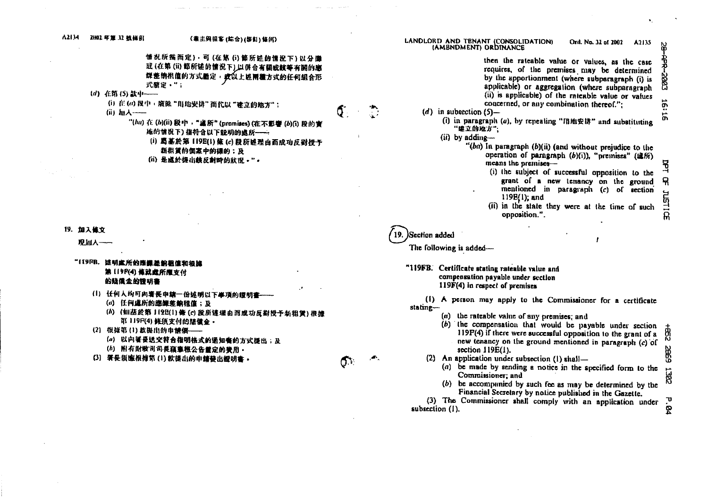| A2134<br><b>ZHO2 年算 32 软体例</b><br>《業主與組客 (綜合) (修訂) 條例)                                                                                                                                                                                                                                                                                                                                |     | LANDLORD AND TENANT (CONSOLIDATION)<br>Ord. No. 32 of 2002<br>A <sub>2135</sub><br>(AMENDMENT) ORDINANCE                                                                                                                                                                                                                                                                                                                                                                                                                                                                                                                                                                                                                                                                                                                                   | 8                                                          |
|---------------------------------------------------------------------------------------------------------------------------------------------------------------------------------------------------------------------------------------------------------------------------------------------------------------------------------------------------------------------------------------|-----|--------------------------------------------------------------------------------------------------------------------------------------------------------------------------------------------------------------------------------------------------------------------------------------------------------------------------------------------------------------------------------------------------------------------------------------------------------------------------------------------------------------------------------------------------------------------------------------------------------------------------------------------------------------------------------------------------------------------------------------------------------------------------------------------------------------------------------------------|------------------------------------------------------------|
| 情况所需而定),可(在第(i)節所述的情况下)以分廉<br>武(在第(ii) 節所述的情况下),以併合有關或該等有關的應<br>課 整 饷 机 值 的 方式 监 定 · 疫 以 上 述 兩 種 方 式 的 任 何 組 合 形<br>式瞭定 · ";<br>(d) 在第(5)款中----<br>(i) 在(a) 段中, 廢除"用地安排"而代以"建立的地方";<br>(ii) 加入-----<br>"(hu) 在 (b)(ii) 段中,"盧所" (premises) (在不影響 (b)(i) 段的實<br>施的情况下)指符合以下説明的處所 --<br>(i) 葛基於第 119E(1) 條 (c) 段所越型由而成功反對授予<br>新很賃的個案中的標的;及<br>(ii) 是越於提出該反對時的狀況。"。<br>19. 加入维文<br>现加入-- | σ.  | then the rateable value or values, as the case<br>requires, of the premises may be determined<br>by the apportionment (where subparagraph (i) is<br>applicable) or aggregation (where subparagraph<br>(ii) is applicable) of the rateable value or values<br>concerned, or any combination thereof.";<br>(d) in subsection $(5)$ —<br>(i) in paragraph (a), by repeating "用地安排" and substituting<br>"建立的地方";<br>(ii) by adding-<br>"(ba) In paragraph $(b)$ (ii) (and without prejudice to the<br>operation of paragraph (b)(i)), "premises" (追所)<br>means the premises-<br>(i) the subject of successful opposition to the<br>grant of a new tenancy on the ground<br>mentioned in paragraph (c) of section<br>$119E(1)$ ; and<br>(ii) in the state they were at the time of such<br>opposition.".<br>Section added                       | <b>2002-945</b><br>m<br>m<br>묘<br>٩<br>ዳ<br><b>JUSTICE</b> |
| "IT9FB. 遮明處所的應課差前租億和根據<br>第 119F(4) 修就處所應支付<br>的特徵金的證明書<br>(1) 任何人均可向署長申請一份述明以下事項的證明書<br>(a) 任何處所的應課差輸租值;及<br>(h) (如茲於第1198(1)條(c)段所達理由而成功反對授予新租賃)根據<br>第 119F(4) 條須支付的店債金·<br>(2) 很懂第(1) 款提出的申請須 --<br>(a) 以向署侵送交符合指明格式的通知书的方式提出;及<br>(h) 附有財政司司長竊意根公告體定的費用·<br>(3) 署長須應根據第(1)款提出的申請發出證明書。                                                                                           | Q7. | The following is added-<br>"119FB. Certificate stating rateable value and<br>compensation payable under section<br>119F(4) in respect of premises<br>(1) A person may apply to the Commissioner for a certificate<br>stating-<br>(a) the rateable value of any premises; and<br>(b) the compensation that would be payable under section<br>119F(4) if there were successful opposition to the grant of a<br>new tenancy on the ground mentioned in paragraph (c) of<br>section 119E(1).<br>(2) An application under subsection (1) shall-<br>(a) be made by sending a notice in the specified form to the<br>Commissioner; and<br>(b) be accompanied by such fee as may be determined by the<br>Financial Secretary by notice published in the Gazette.<br>(3) The Commissioner shall comply with an application under<br>subsection (1). | +82<br><b>SBS</b><br>1382<br>P. 94                         |

المنافعة المستقرر المنافعة ومناسبة.<br>- " المنافعة المنافعة ومناسبة المسافر المنافعة المنافعة المنافعة المنافعة المنافعة المنافعة المنافعة المنافعة

the contract of the contract of the contract of

 $\label{eq:2.1} \mathbf{E}(\mathbf{r}) = \mathbf{E}(\mathbf{r}) \mathbf{E}(\mathbf{r}) + \mathbf{E}(\mathbf{r}) \mathbf{E}(\mathbf{r})$ 

 $\mathcal{L}^{\text{max}}_{\text{max}}$  , where  $\mathcal{L}^{\text{max}}_{\text{max}}$ 

 $\mathcal{N}_{\mathrm{c}}$  .